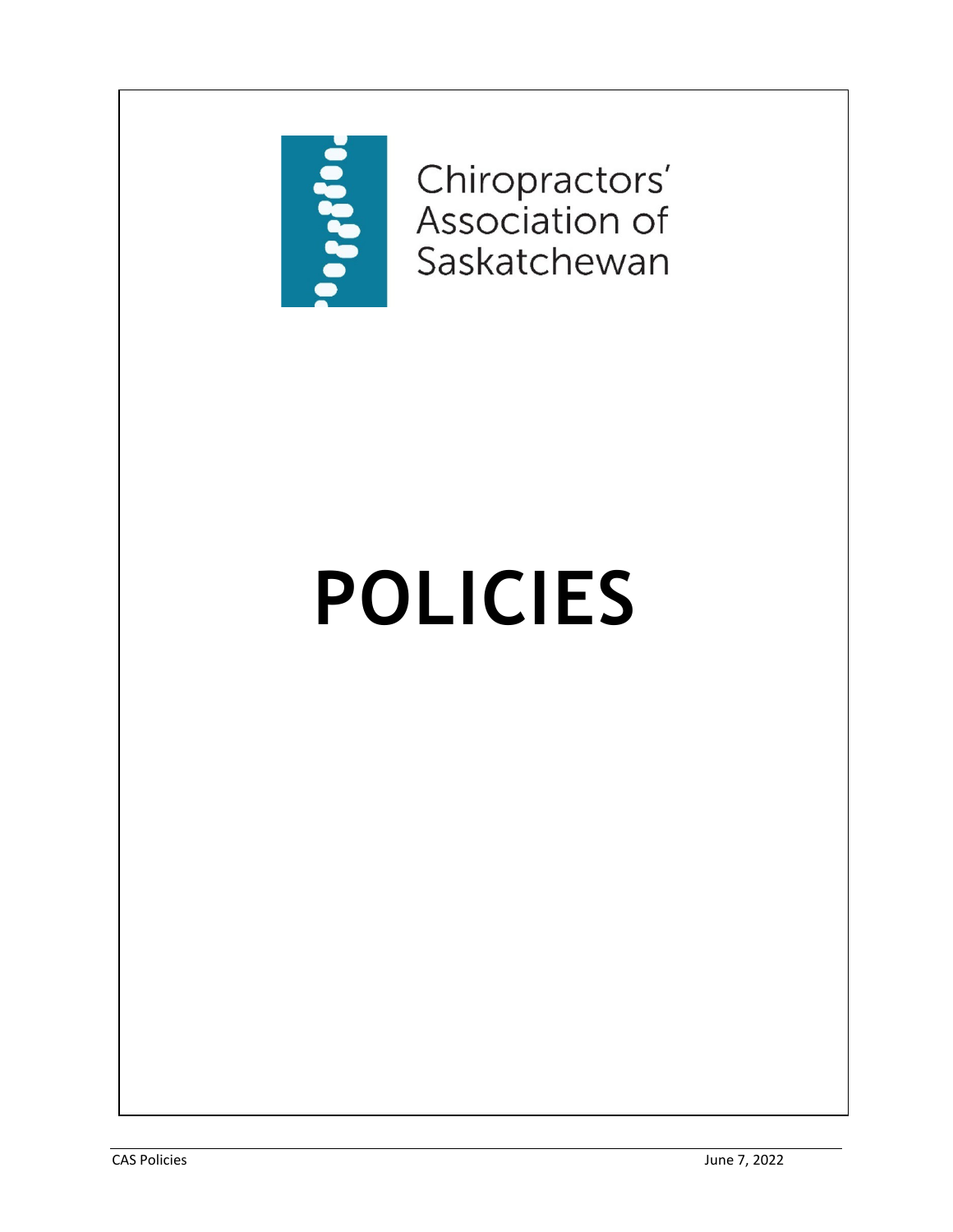

Chiropractors'<br>Association of Saskatchewan

# **POLICIES**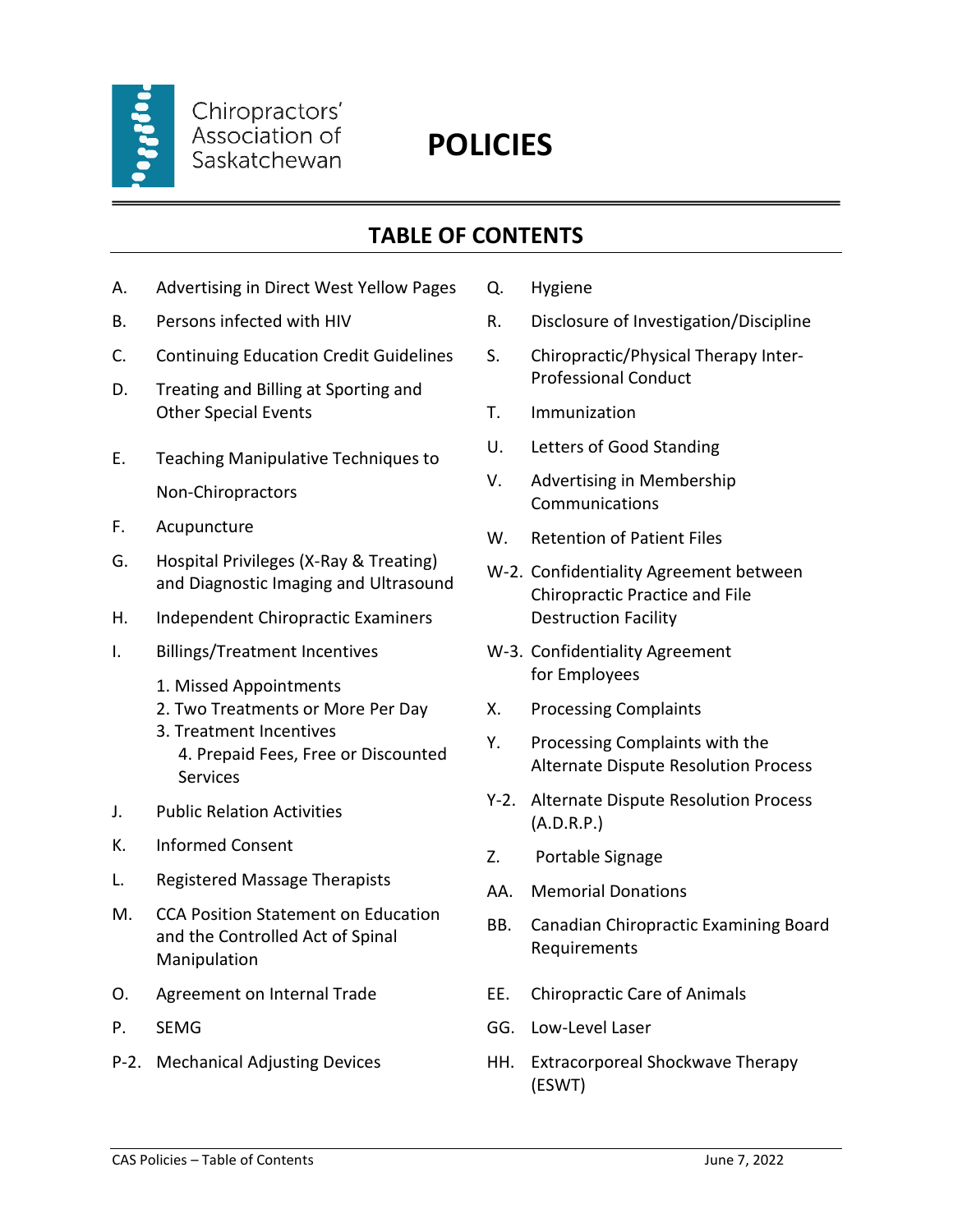

# **POLICIES**

### **TABLE OF CONTENTS**

- A. Advertising in Direct West Yellow Pages
- B. Persons infected with HIV
- C. Continuing Education Credit Guidelines
- D. Treating and Billing at Sporting and Other Special Events
- E. Teaching Manipulative Techniques to Non-Chiropractors
- F. Acupuncture
- G. Hospital Privileges (X-Ray & Treating) and Diagnostic Imaging and Ultrasound
- H. Independent Chiropractic Examiners
- I. Billings/Treatment Incentives
	- 1. Missed Appointments
	- 2. Two Treatments or More Per Day
	- 3. Treatment Incentives 4. Prepaid Fees, Free or Discounted Services
- J. Public Relation Activities
- K. Informed Consent
- L. Registered Massage Therapists
- M. CCA Position Statement on Education and the Controlled Act of Spinal Manipulation
- O. Agreement on Internal Trade
- P. SEMG
- P-2. Mechanical Adjusting Devices
- Q. Hygiene
- R. Disclosure of Investigation/Discipline
- S. Chiropractic/Physical Therapy Inter-Professional Conduct
- T. Immunization
- U. Letters of Good Standing
- V. Advertising in Membership Communications
- W. Retention of Patient Files
- W-2. Confidentiality Agreement between Chiropractic Practice and File Destruction Facility
- W-3. Confidentiality Agreement for Employees
- X. Processing Complaints
- Y. Processing Complaints with the Alternate Dispute Resolution Process
- Y-2. Alternate Dispute Resolution Process (A.D.R.P.)
- Z. Portable Signage
- AA. Memorial Donations
- BB. Canadian Chiropractic Examining Board Requirements
- EE. Chiropractic Care of Animals
- GG. Low-Level Laser
- HH. Extracorporeal Shockwave Therapy (ESWT)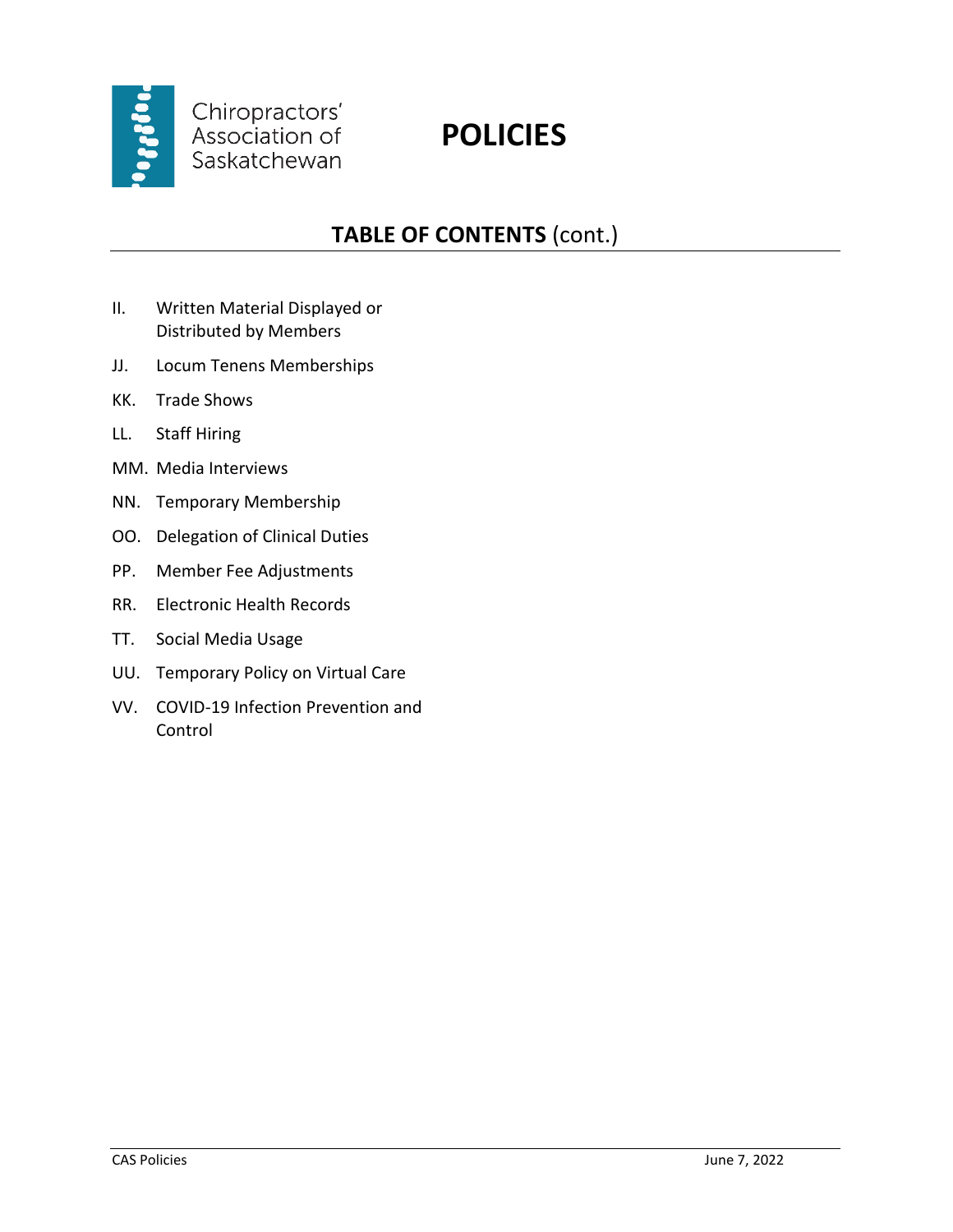

# **POLICIES**

## **TABLE OF CONTENTS** (cont.)

- II. Written Material Displayed or Distributed by Members
- JJ. Locum Tenens Memberships
- KK. Trade Shows
- LL. Staff Hiring
- MM. Media Interviews
- NN. Temporary Membership
- OO. Delegation of Clinical Duties
- PP. Member Fee Adjustments
- RR. Electronic Health Records
- TT. Social Media Usage
- UU. Temporary Policy on Virtual Care
- VV. COVID-19 Infection Prevention and Control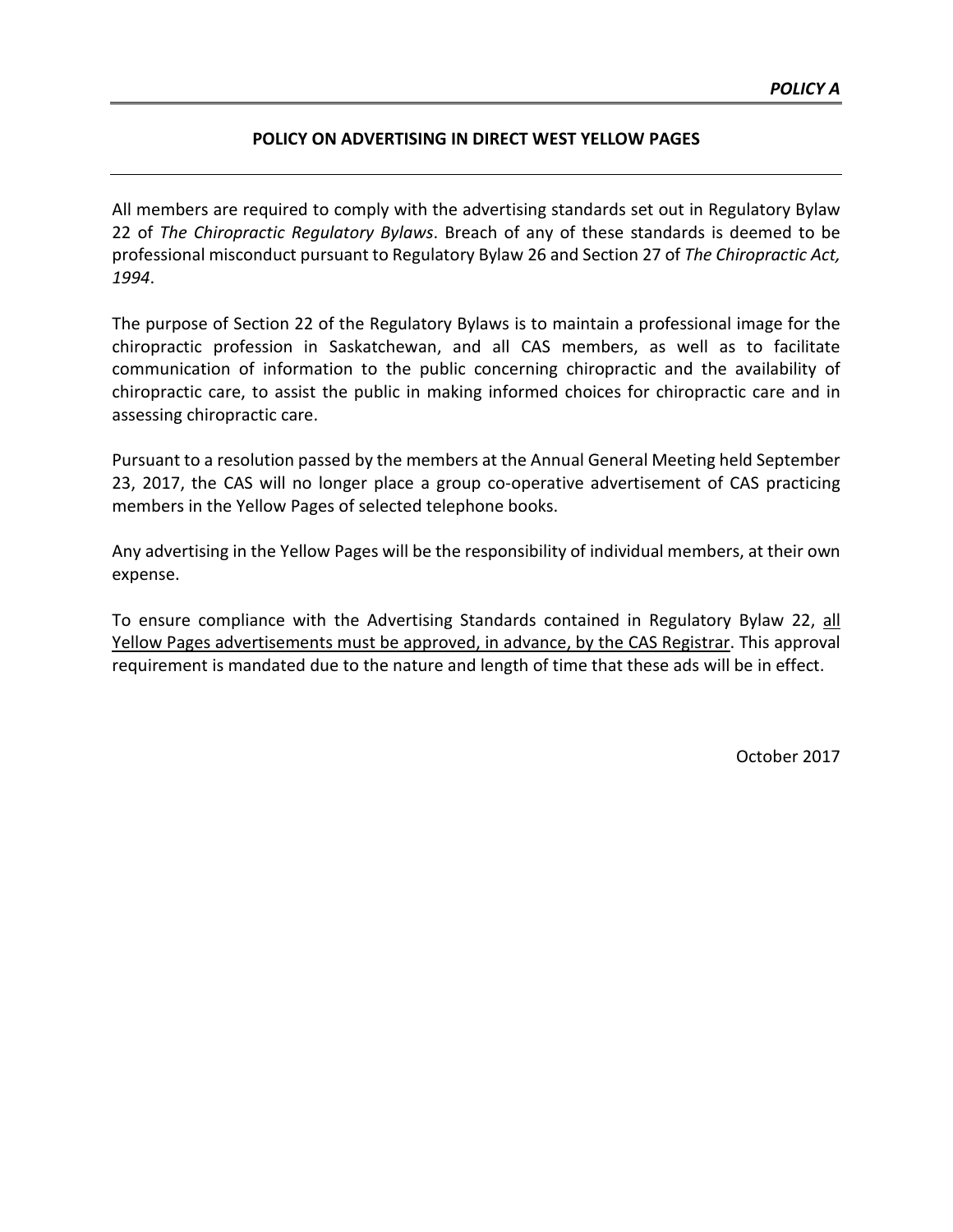#### **POLICY ON ADVERTISING IN DIRECT WEST YELLOW PAGES**

All members are required to comply with the advertising standards set out in Regulatory Bylaw 22 of *The Chiropractic Regulatory Bylaws*. Breach of any of these standards is deemed to be professional misconduct pursuant to Regulatory Bylaw 26 and Section 27 of *The Chiropractic Act, 1994*.

The purpose of Section 22 of the Regulatory Bylaws is to maintain a professional image for the chiropractic profession in Saskatchewan, and all CAS members, as well as to facilitate communication of information to the public concerning chiropractic and the availability of chiropractic care, to assist the public in making informed choices for chiropractic care and in assessing chiropractic care.

Pursuant to a resolution passed by the members at the Annual General Meeting held September 23, 2017, the CAS will no longer place a group co-operative advertisement of CAS practicing members in the Yellow Pages of selected telephone books.

Any advertising in the Yellow Pages will be the responsibility of individual members, at their own expense.

To ensure compliance with the Advertising Standards contained in Regulatory Bylaw 22, all Yellow Pages advertisements must be approved, in advance, by the CAS Registrar. This approval requirement is mandated due to the nature and length of time that these ads will be in effect.

October 2017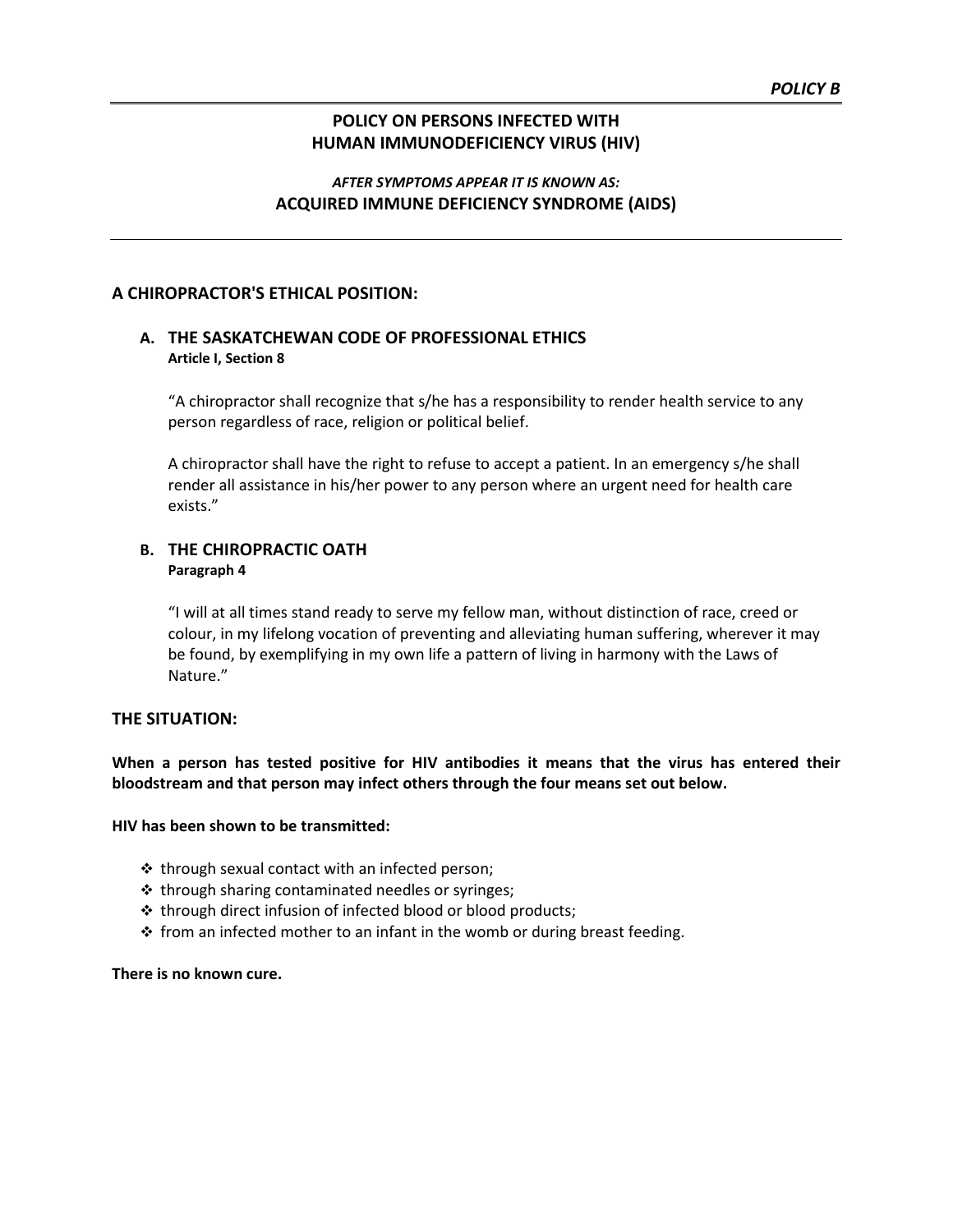#### **POLICY ON PERSONS INFECTED WITH HUMAN IMMUNODEFICIENCY VIRUS (HIV)**

#### *AFTER SYMPTOMS APPEAR IT IS KNOWN AS:* **ACQUIRED IMMUNE DEFICIENCY SYNDROME (AIDS)**

#### **A CHIROPRACTOR'S ETHICAL POSITION:**

#### **A. THE SASKATCHEWAN CODE OF PROFESSIONAL ETHICS Article I, Section 8**

"A chiropractor shall recognize that s/he has a responsibility to render health service to any person regardless of race, religion or political belief.

A chiropractor shall have the right to refuse to accept a patient. In an emergency s/he shall render all assistance in his/her power to any person where an urgent need for health care exists."

#### **B. THE CHIROPRACTIC OATH Paragraph 4**

"I will at all times stand ready to serve my fellow man, without distinction of race, creed or colour, in my lifelong vocation of preventing and alleviating human suffering, wherever it may be found, by exemplifying in my own life a pattern of living in harmony with the Laws of Nature."

#### **THE SITUATION:**

**When a person has tested positive for HIV antibodies it means that the virus has entered their bloodstream and that person may infect others through the four means set out below.**

#### **HIV has been shown to be transmitted:**

- $\cdot$  through sexual contact with an infected person;
- $\cdot$  through sharing contaminated needles or syringes;
- $\cdot$  through direct infusion of infected blood or blood products;
- $\hat{P}$  from an infected mother to an infant in the womb or during breast feeding.

#### **There is no known cure.**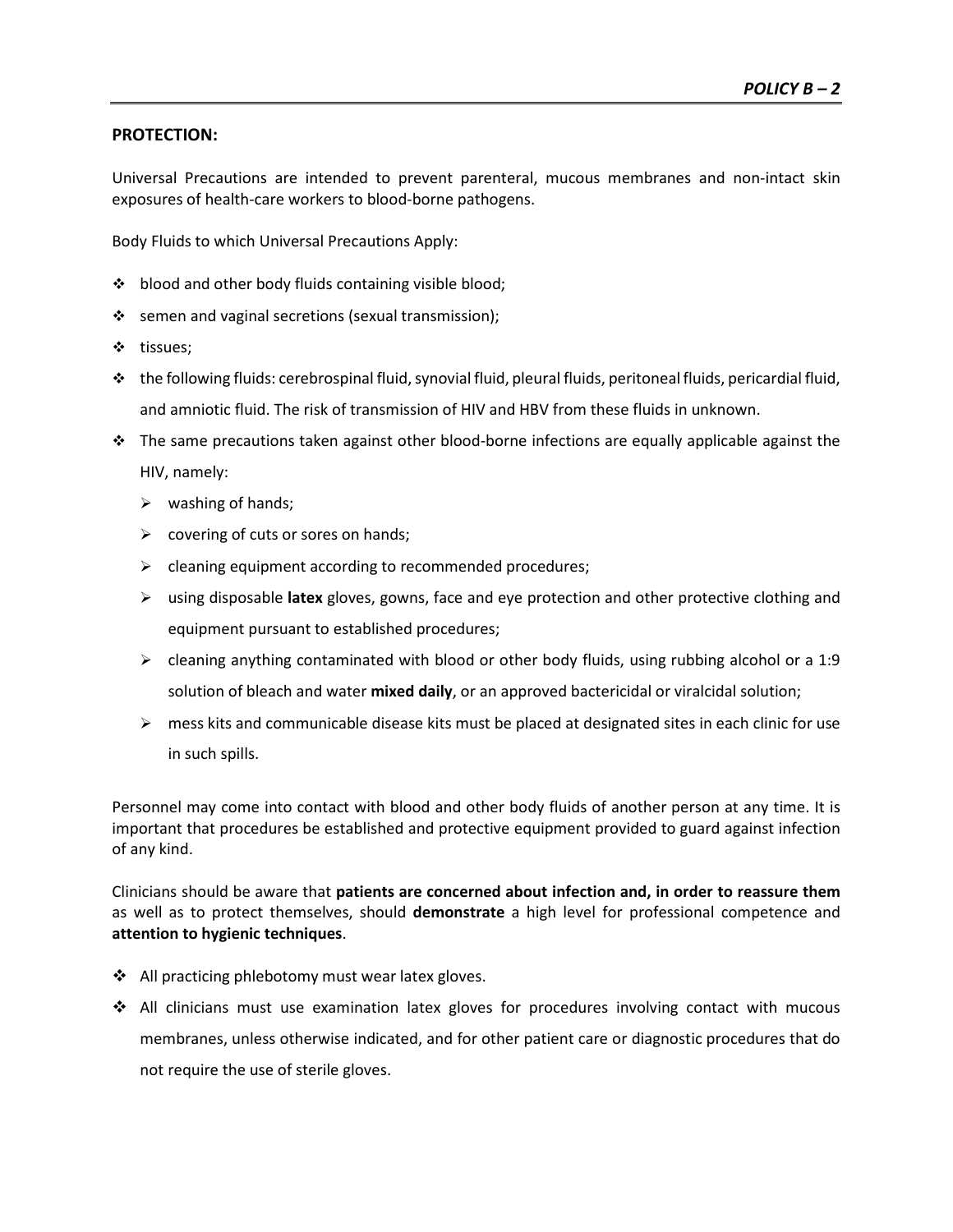#### **PROTECTION:**

Universal Precautions are intended to prevent parenteral, mucous membranes and non-intact skin exposures of health-care workers to blood-borne pathogens.

Body Fluids to which Universal Precautions Apply:

- ❖ blood and other body fluids containing visible blood;
- $\div$  semen and vaginal secretions (sexual transmission);
- ❖ tissues;
- $\cdot$  the following fluids: cerebrospinal fluid, synovial fluid, pleural fluids, peritoneal fluids, pericardial fluid, and amniotic fluid. The risk of transmission of HIV and HBV from these fluids in unknown.
- $\cdot \cdot$  The same precautions taken against other blood-borne infections are equally applicable against the HIV, namely:
	- $\triangleright$  washing of hands;
	- $\triangleright$  covering of cuts or sores on hands;
	- $\triangleright$  cleaning equipment according to recommended procedures;
	- using disposable **latex** gloves, gowns, face and eye protection and other protective clothing and equipment pursuant to established procedures;
	- $\triangleright$  cleaning anything contaminated with blood or other body fluids, using rubbing alcohol or a 1:9 solution of bleach and water **mixed daily**, or an approved bactericidal or viralcidal solution;
	- $\triangleright$  mess kits and communicable disease kits must be placed at designated sites in each clinic for use in such spills.

Personnel may come into contact with blood and other body fluids of another person at any time. It is important that procedures be established and protective equipment provided to guard against infection of any kind.

Clinicians should be aware that **patients are concerned about infection and, in order to reassure them** as well as to protect themselves, should **demonstrate** a high level for professional competence and **attention to hygienic techniques**.

- $\triangleleft$  All practicing phlebotomy must wear latex gloves.
- $\div$  All clinicians must use examination latex gloves for procedures involving contact with mucous membranes, unless otherwise indicated, and for other patient care or diagnostic procedures that do not require the use of sterile gloves.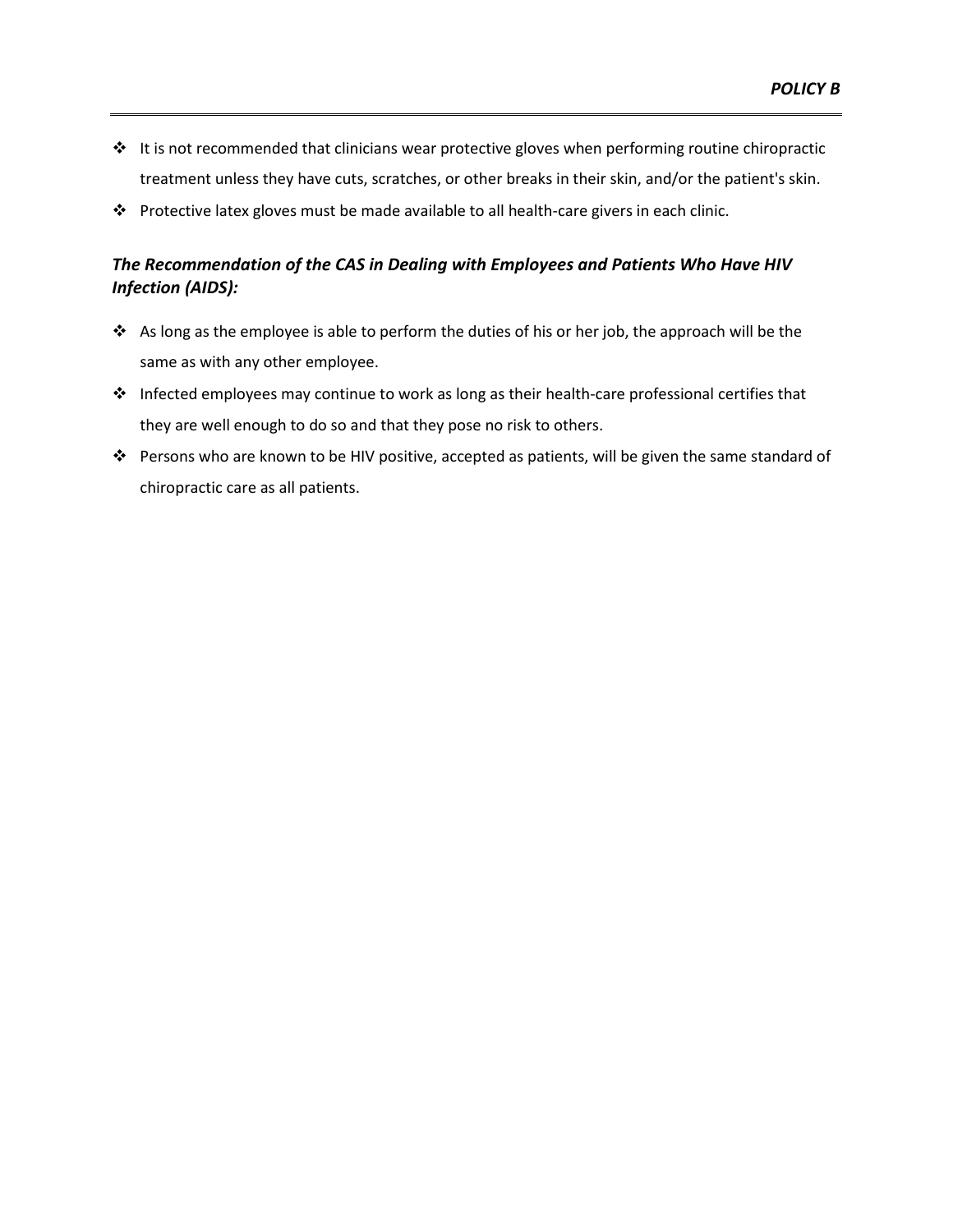- It is not recommended that clinicians wear protective gloves when performing routine chiropractic treatment unless they have cuts, scratches, or other breaks in their skin, and/or the patient's skin.
- Protective latex gloves must be made available to all health-care givers in each clinic.

#### *The Recommendation of the CAS in Dealing with Employees and Patients Who Have HIV Infection (AIDS):*

- $\clubsuit$  As long as the employee is able to perform the duties of his or her job, the approach will be the same as with any other employee.
- Infected employees may continue to work as long as their health-care professional certifies that they are well enough to do so and that they pose no risk to others.
- Persons who are known to be HIV positive, accepted as patients, will be given the same standard of chiropractic care as all patients.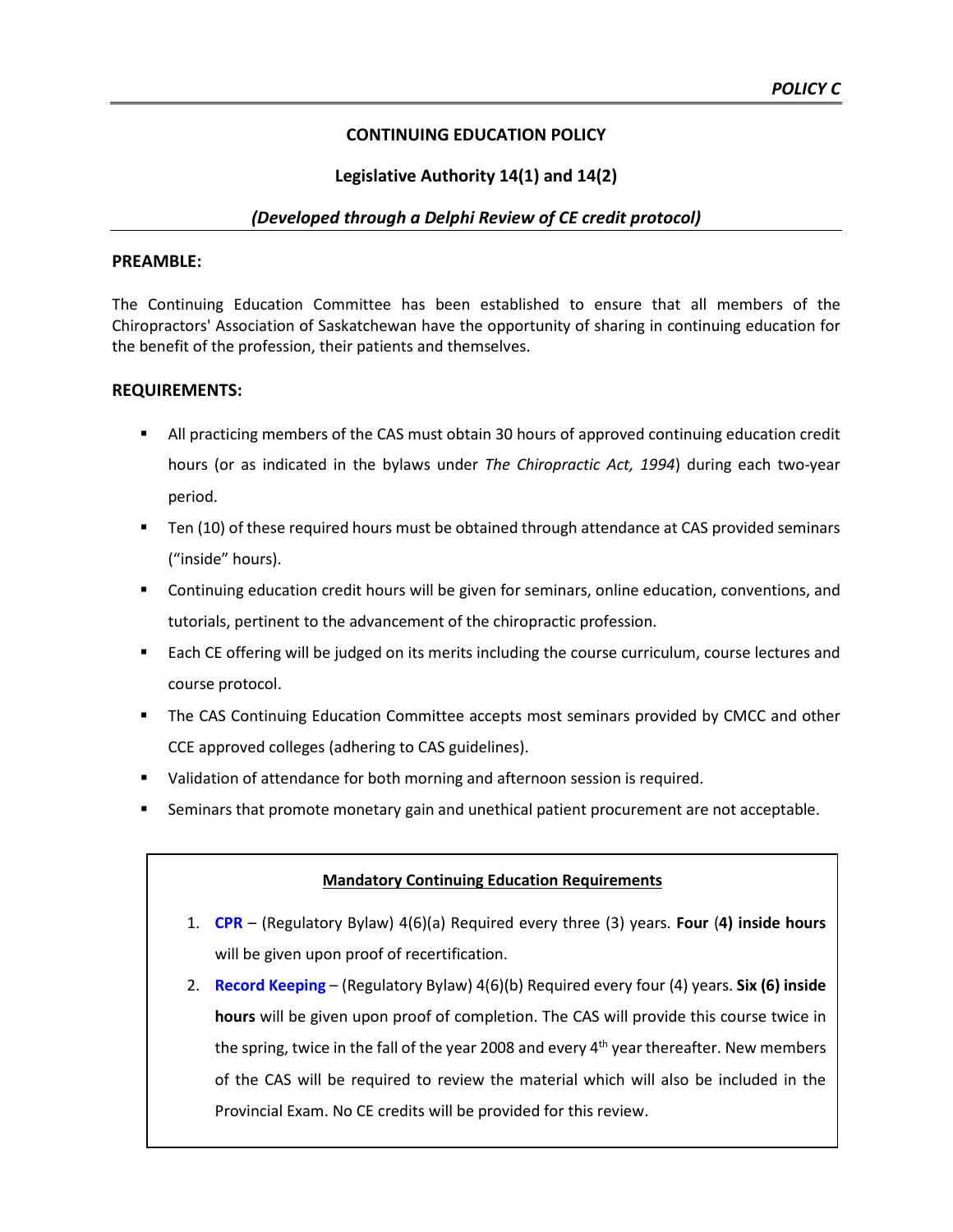#### **CONTINUING EDUCATION POLICY**

#### **Legislative Authority 14(1) and 14(2)**

#### *(Developed through a Delphi Review of CE credit protocol)*

#### **PREAMBLE:**

The Continuing Education Committee has been established to ensure that all members of the Chiropractors' Association of Saskatchewan have the opportunity of sharing in continuing education for the benefit of the profession, their patients and themselves.

#### **REQUIREMENTS:**

- **All practicing members of the CAS must obtain 30 hours of approved continuing education credit** hours (or as indicated in the bylaws under *The Chiropractic Act, 1994*) during each two-year period.
- Ten (10) of these required hours must be obtained through attendance at CAS provided seminars ("inside" hours).
- Continuing education credit hours will be given for seminars, online education, conventions, and tutorials, pertinent to the advancement of the chiropractic profession.
- Each CE offering will be judged on its merits including the course curriculum, course lectures and course protocol.
- **The CAS Continuing Education Committee accepts most seminars provided by CMCC and other** CCE approved colleges (adhering to CAS guidelines).
- Validation of attendance for both morning and afternoon session is required.
- Seminars that promote monetary gain and unethical patient procurement are not acceptable.

#### **Mandatory Continuing Education Requirements**

- 1. **CPR**  (Regulatory Bylaw) 4(6)(a) Required every three (3) years. **Four** (**4) inside hours** will be given upon proof of recertification.
- 2. **Record Keeping** (Regulatory Bylaw) 4(6)(b) Required every four (4) years. **Six (6) inside hours** will be given upon proof of completion. The CAS will provide this course twice in the spring, twice in the fall of the year 2008 and every  $4<sup>th</sup>$  year thereafter. New members of the CAS will be required to review the material which will also be included in the Provincial Exam. No CE credits will be provided for this review.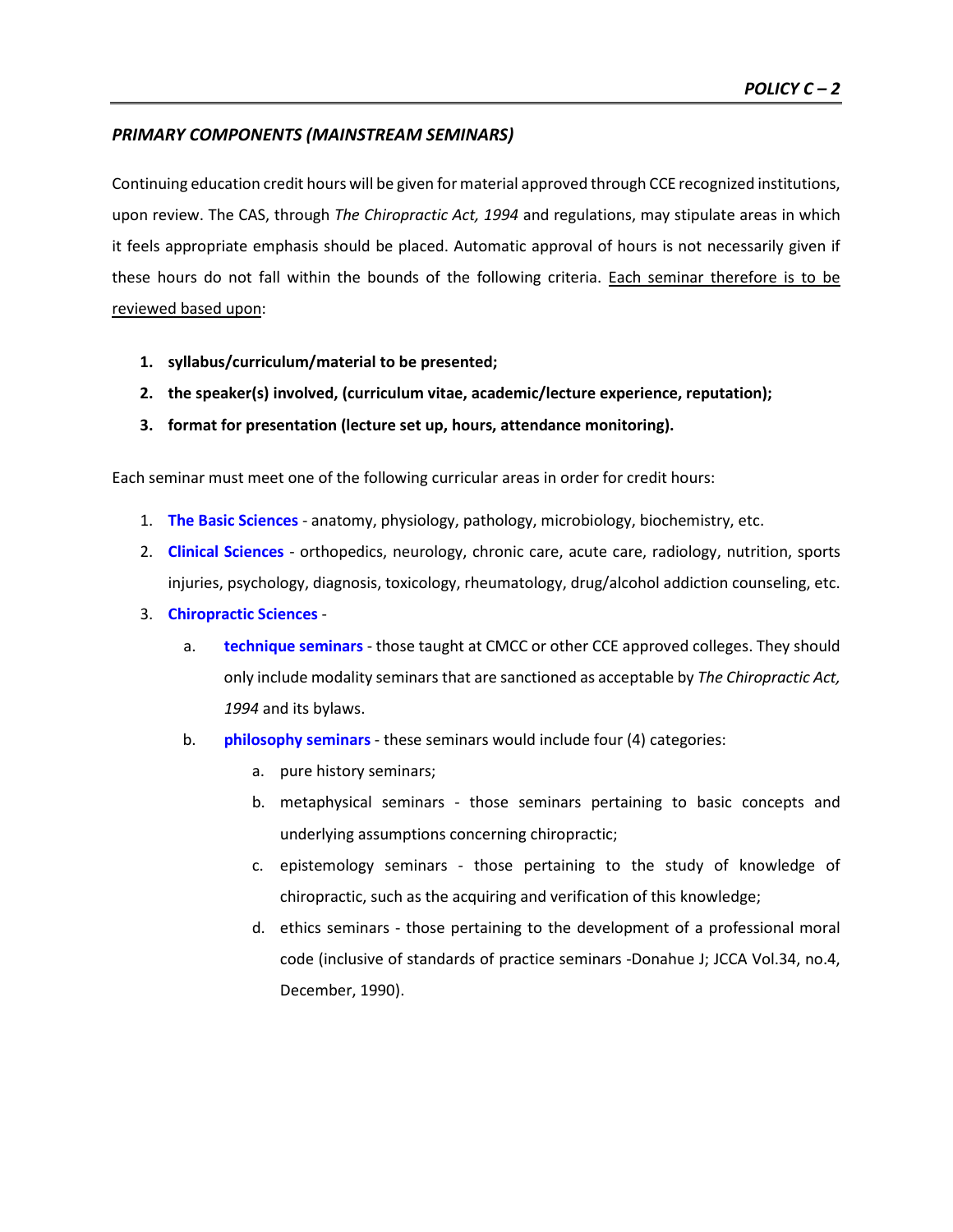#### *PRIMARY COMPONENTS (MAINSTREAM SEMINARS)*

Continuing education credit hours will be given for material approved through CCE recognized institutions, upon review. The CAS, through *The Chiropractic Act, 1994* and regulations, may stipulate areas in which it feels appropriate emphasis should be placed. Automatic approval of hours is not necessarily given if these hours do not fall within the bounds of the following criteria. Each seminar therefore is to be reviewed based upon:

- **1. syllabus/curriculum/material to be presented;**
- **2. the speaker(s) involved, (curriculum vitae, academic/lecture experience, reputation);**
- **3. format for presentation (lecture set up, hours, attendance monitoring).**

Each seminar must meet one of the following curricular areas in order for credit hours:

- 1. **The Basic Sciences** anatomy, physiology, pathology, microbiology, biochemistry, etc.
- 2. **Clinical Sciences** orthopedics, neurology, chronic care, acute care, radiology, nutrition, sports injuries, psychology, diagnosis, toxicology, rheumatology, drug/alcohol addiction counseling, etc.
- 3. **Chiropractic Sciences**
	- a. **technique seminars** those taught at CMCC or other CCE approved colleges. They should only include modality seminars that are sanctioned as acceptable by *The Chiropractic Act, 1994* and its bylaws.
	- b. **philosophy seminars** these seminars would include four (4) categories:
		- a. pure history seminars;
		- b. metaphysical seminars those seminars pertaining to basic concepts and underlying assumptions concerning chiropractic;
		- c. epistemology seminars those pertaining to the study of knowledge of chiropractic, such as the acquiring and verification of this knowledge;
		- d. ethics seminars those pertaining to the development of a professional moral code (inclusive of standards of practice seminars -Donahue J; JCCA Vol.34, no.4, December, 1990).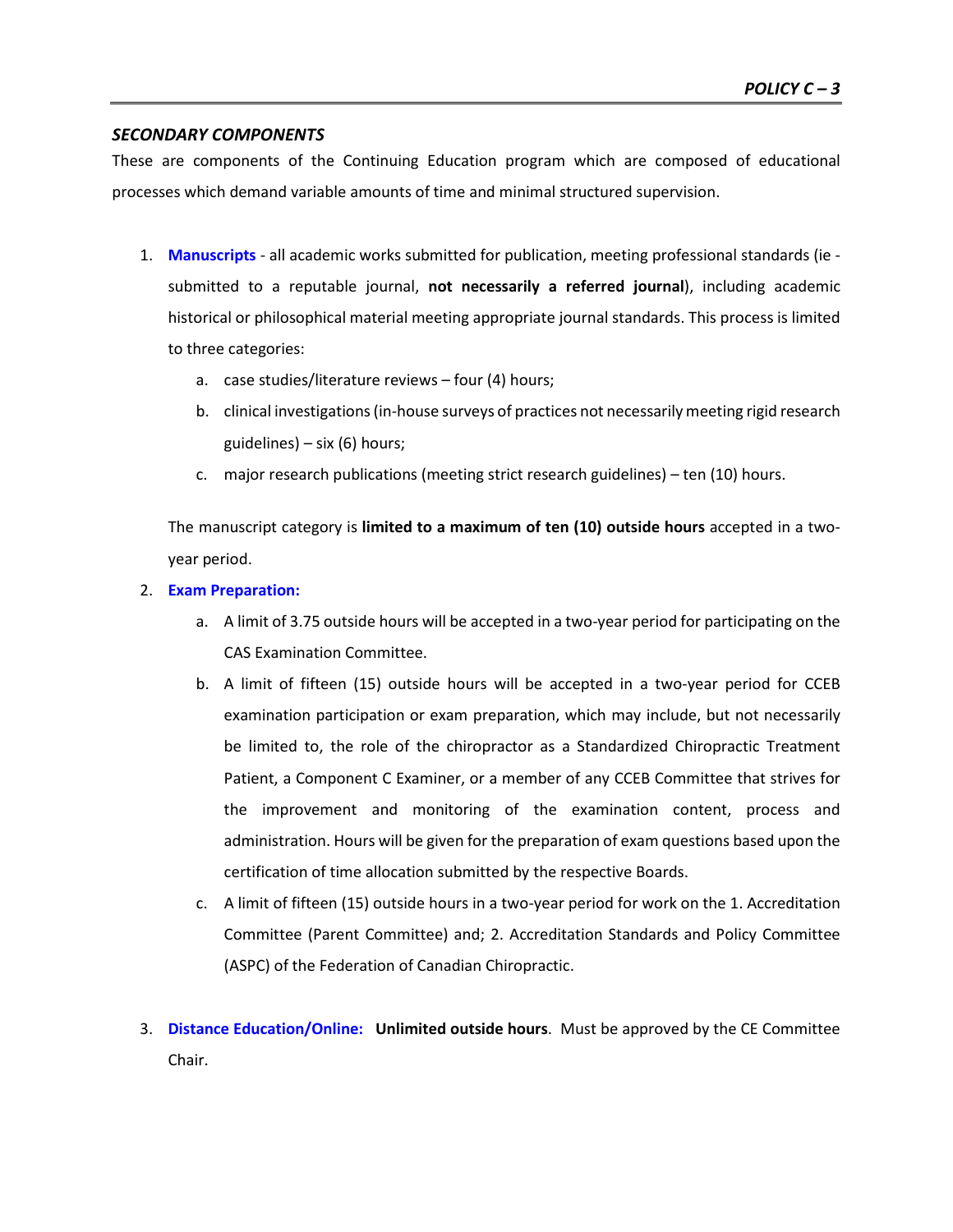#### *SECONDARY COMPONENTS*

These are components of the Continuing Education program which are composed of educational processes which demand variable amounts of time and minimal structured supervision.

- 1. **Manuscripts**  all academic works submitted for publication, meeting professional standards (ie submitted to a reputable journal, **not necessarily a referred journal**), including academic historical or philosophical material meeting appropriate journal standards. This process is limited to three categories:
	- a. case studies/literature reviews four (4) hours;
	- b. clinical investigations (in-house surveys of practices not necessarily meeting rigid research guidelines) – six (6) hours;
	- c. major research publications (meeting strict research guidelines) ten (10) hours.

The manuscript category is **limited to a maximum of ten (10) outside hours** accepted in a twoyear period.

- 2. **Exam Preparation:**
	- a. A limit of 3.75 outside hours will be accepted in a two-year period for participating on the CAS Examination Committee.
	- b. A limit of fifteen (15) outside hours will be accepted in a two-year period for CCEB examination participation or exam preparation, which may include, but not necessarily be limited to, the role of the chiropractor as a Standardized Chiropractic Treatment Patient, a Component C Examiner, or a member of any CCEB Committee that strives for the improvement and monitoring of the examination content, process and administration. Hours will be given for the preparation of exam questions based upon the certification of time allocation submitted by the respective Boards.
	- c. A limit of fifteen (15) outside hours in a two-year period for work on the 1. Accreditation Committee (Parent Committee) and; 2. Accreditation Standards and Policy Committee (ASPC) of the Federation of Canadian Chiropractic.
- 3. **Distance Education/Online: Unlimited outside hours**.Must be approved by the CE Committee Chair.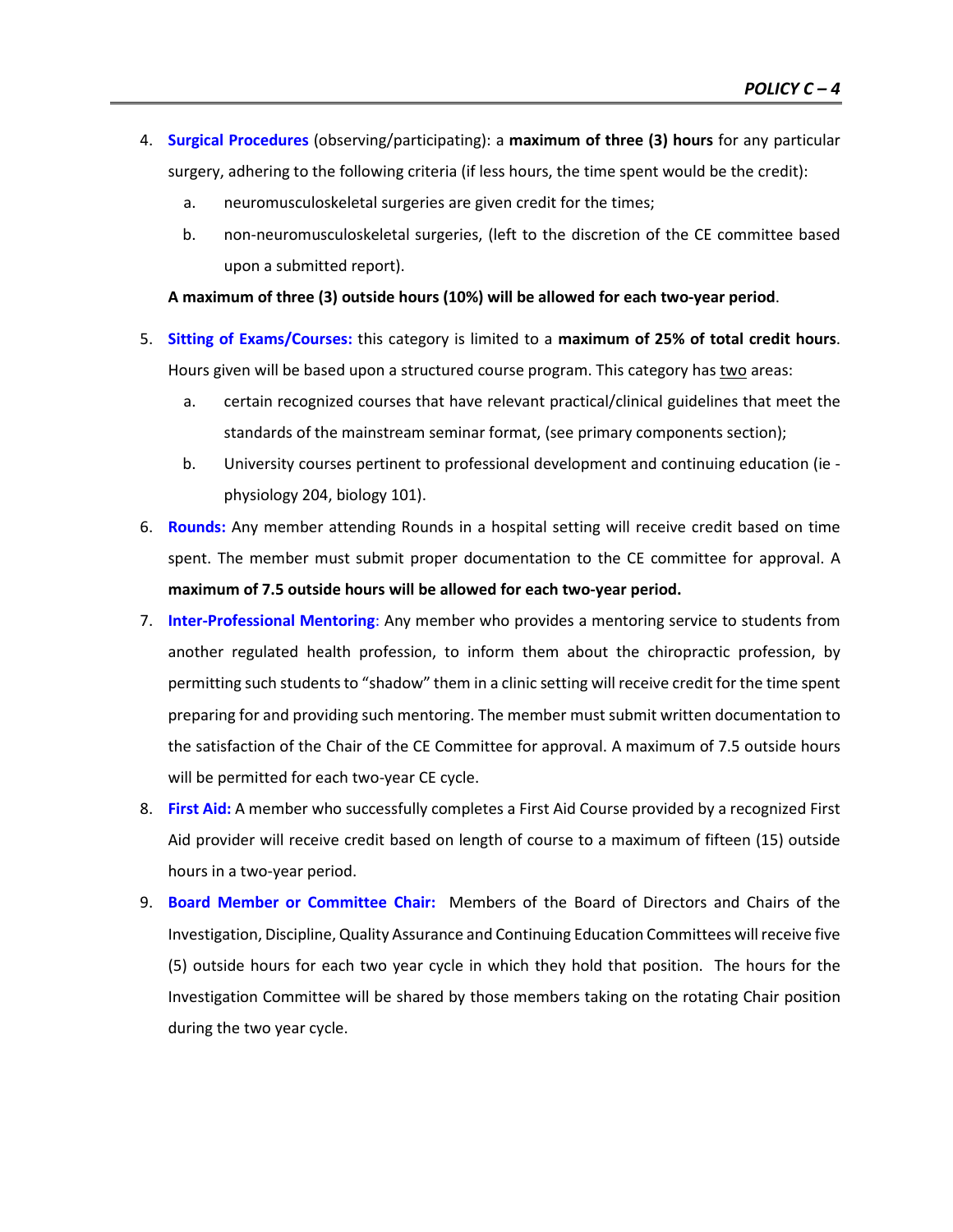- 4. **Surgical Procedures** (observing/participating): a **maximum of three (3) hours** for any particular surgery, adhering to the following criteria (if less hours, the time spent would be the credit):
	- a. neuromusculoskeletal surgeries are given credit for the times;
	- b. non-neuromusculoskeletal surgeries, (left to the discretion of the CE committee based upon a submitted report).

**A maximum of three (3) outside hours (10%) will be allowed for each two-year period**.

- 5. **Sitting of Exams/Courses:** this category is limited to a **maximum of 25% of total credit hours**. Hours given will be based upon a structured course program. This category has two areas:
	- a. certain recognized courses that have relevant practical/clinical guidelines that meet the standards of the mainstream seminar format, (see primary components section);
	- b. University courses pertinent to professional development and continuing education (ie physiology 204, biology 101).
- 6. **Rounds:** Any member attending Rounds in a hospital setting will receive credit based on time spent. The member must submit proper documentation to the CE committee for approval. A **maximum of 7.5 outside hours will be allowed for each two-year period.**
- 7. **Inter-Professional Mentoring**: Any member who provides a mentoring service to students from another regulated health profession, to inform them about the chiropractic profession, by permitting such students to "shadow" them in a clinic setting will receive credit for the time spent preparing for and providing such mentoring. The member must submit written documentation to the satisfaction of the Chair of the CE Committee for approval. A maximum of 7.5 outside hours will be permitted for each two-year CE cycle.
- 8. **First Aid:** A member who successfully completes a First Aid Course provided by a recognized First Aid provider will receive credit based on length of course to a maximum of fifteen (15) outside hours in a two-year period.
- 9. **Board Member or Committee Chair:** Members of the Board of Directors and Chairs of the Investigation, Discipline, Quality Assurance and Continuing Education Committees will receive five (5) outside hours for each two year cycle in which they hold that position. The hours for the Investigation Committee will be shared by those members taking on the rotating Chair position during the two year cycle.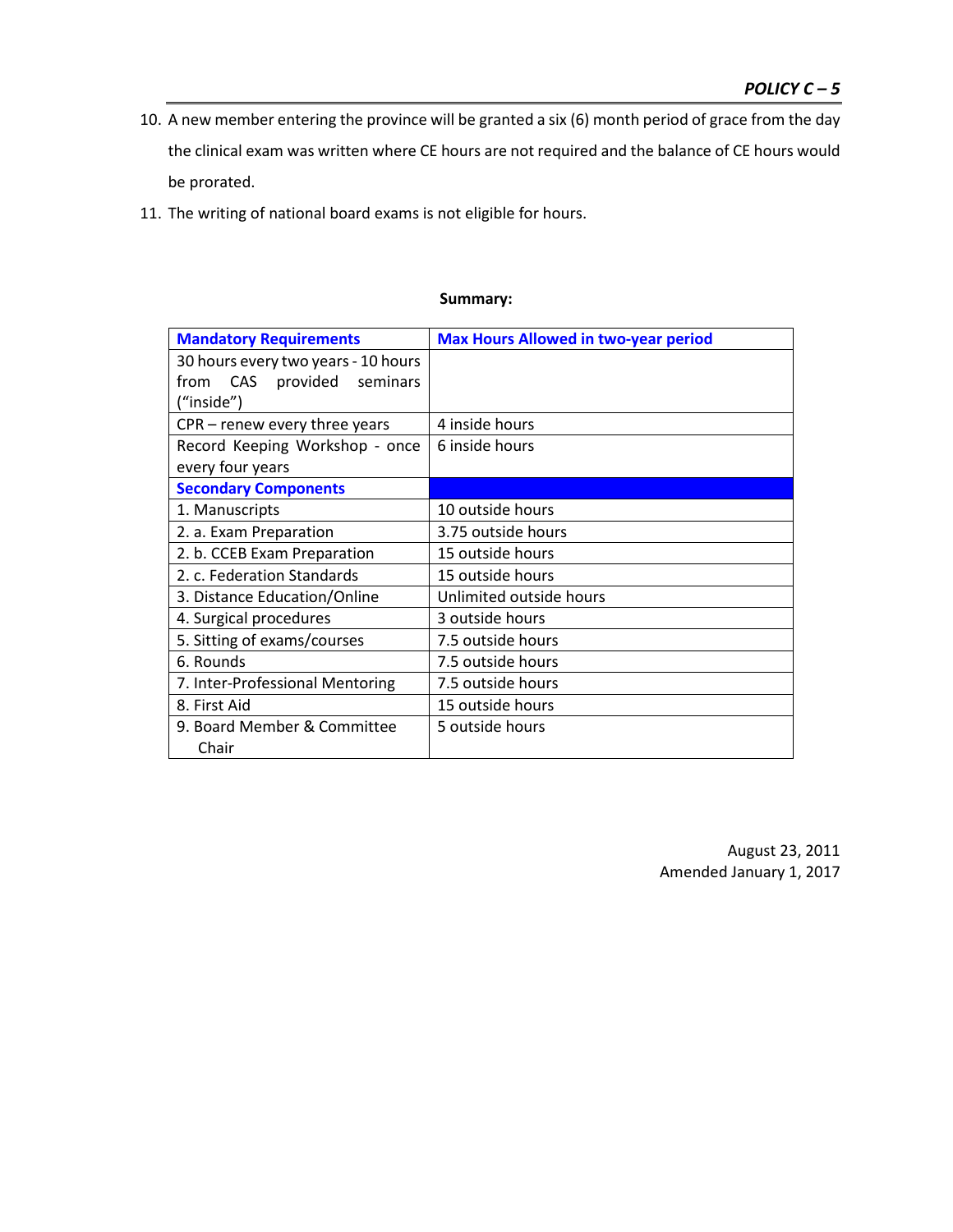- 10. A new member entering the province will be granted a six (6) month period of grace from the day the clinical exam was written where CE hours are not required and the balance of CE hours would be prorated.
- 11. The writing of national board exams is not eligible for hours.

| <b>Mandatory Requirements</b>       | <b>Max Hours Allowed in two-year period</b> |
|-------------------------------------|---------------------------------------------|
| 30 hours every two years - 10 hours |                                             |
| from CAS provided seminars          |                                             |
| ("inside")                          |                                             |
| $CPR$ – renew every three years     | 4 inside hours                              |
| Record Keeping Workshop - once      | 6 inside hours                              |
| every four years                    |                                             |
| <b>Secondary Components</b>         |                                             |
| 1. Manuscripts                      | 10 outside hours                            |
| 2. a. Exam Preparation              | 3.75 outside hours                          |
| 2. b. CCEB Exam Preparation         | 15 outside hours                            |
| 2. c. Federation Standards          | 15 outside hours                            |
| 3. Distance Education/Online        | Unlimited outside hours                     |
| 4. Surgical procedures              | 3 outside hours                             |
| 5. Sitting of exams/courses         | 7.5 outside hours                           |
| 6. Rounds                           | 7.5 outside hours                           |
| 7. Inter-Professional Mentoring     | 7.5 outside hours                           |
| 8. First Aid                        | 15 outside hours                            |
| 9. Board Member & Committee         | 5 outside hours                             |
| Chair                               |                                             |

#### **Summary:**

August 23, 2011 Amended January 1, 2017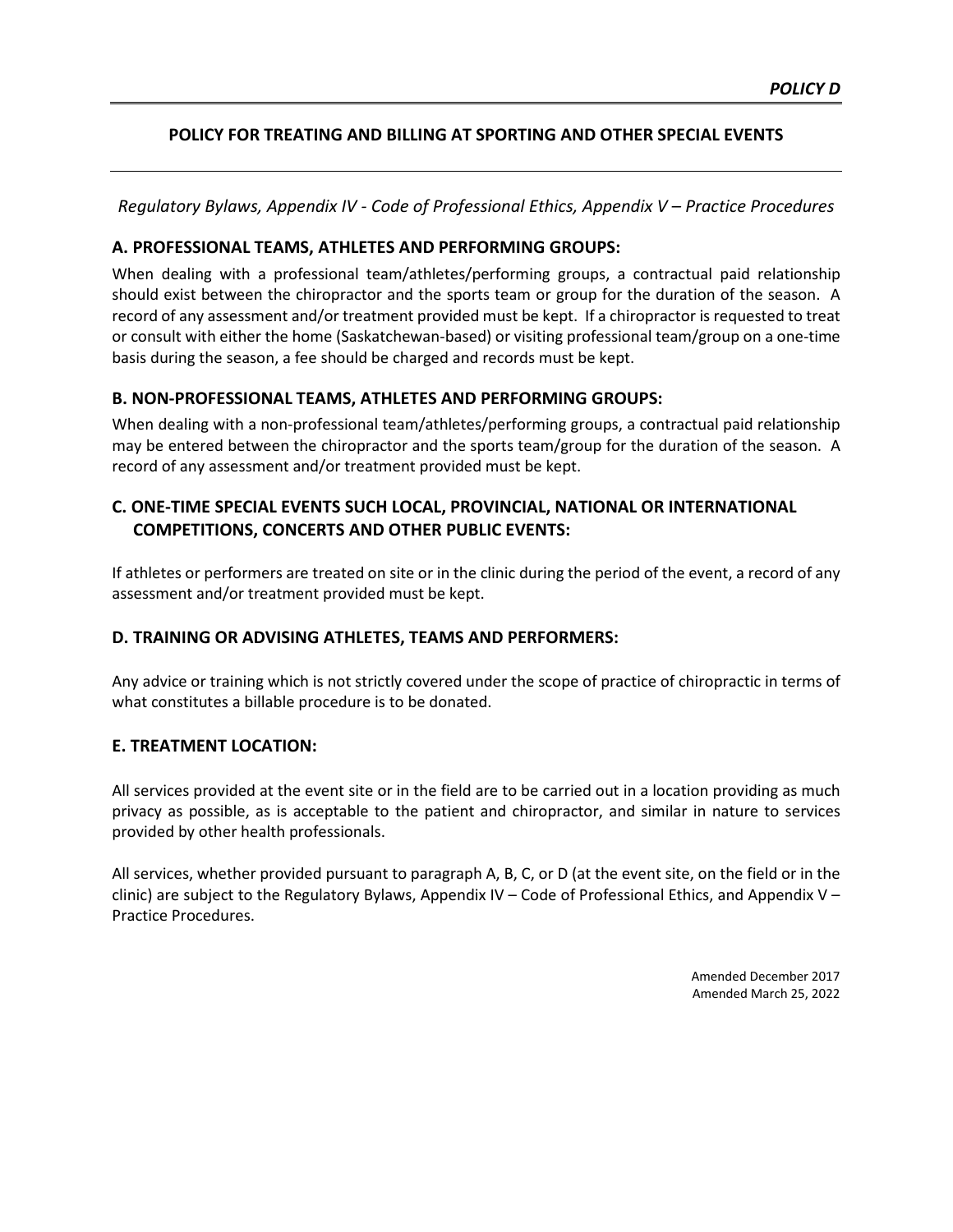#### **POLICY FOR TREATING AND BILLING AT SPORTING AND OTHER SPECIAL EVENTS**

*Regulatory Bylaws, Appendix IV - Code of Professional Ethics, Appendix V – Practice Procedures*

#### **A. PROFESSIONAL TEAMS, ATHLETES AND PERFORMING GROUPS:**

When dealing with a professional team/athletes/performing groups, a contractual paid relationship should exist between the chiropractor and the sports team or group for the duration of the season. A record of any assessment and/or treatment provided must be kept. If a chiropractor is requested to treat or consult with either the home (Saskatchewan-based) or visiting professional team/group on a one-time basis during the season, a fee should be charged and records must be kept.

#### **B. NON-PROFESSIONAL TEAMS, ATHLETES AND PERFORMING GROUPS:**

When dealing with a non-professional team/athletes/performing groups, a contractual paid relationship may be entered between the chiropractor and the sports team/group for the duration of the season. A record of any assessment and/or treatment provided must be kept.

#### **C. ONE-TIME SPECIAL EVENTS SUCH LOCAL, PROVINCIAL, NATIONAL OR INTERNATIONAL COMPETITIONS, CONCERTS AND OTHER PUBLIC EVENTS:**

If athletes or performers are treated on site or in the clinic during the period of the event, a record of any assessment and/or treatment provided must be kept.

#### **D. TRAINING OR ADVISING ATHLETES, TEAMS AND PERFORMERS:**

Any advice or training which is not strictly covered under the scope of practice of chiropractic in terms of what constitutes a billable procedure is to be donated.

#### **E. TREATMENT LOCATION:**

All services provided at the event site or in the field are to be carried out in a location providing as much privacy as possible, as is acceptable to the patient and chiropractor, and similar in nature to services provided by other health professionals.

All services, whether provided pursuant to paragraph A, B, C, or D (at the event site, on the field or in the clinic) are subject to the Regulatory Bylaws, Appendix IV – Code of Professional Ethics, and Appendix V – Practice Procedures.

> Amended December 2017 Amended March 25, 2022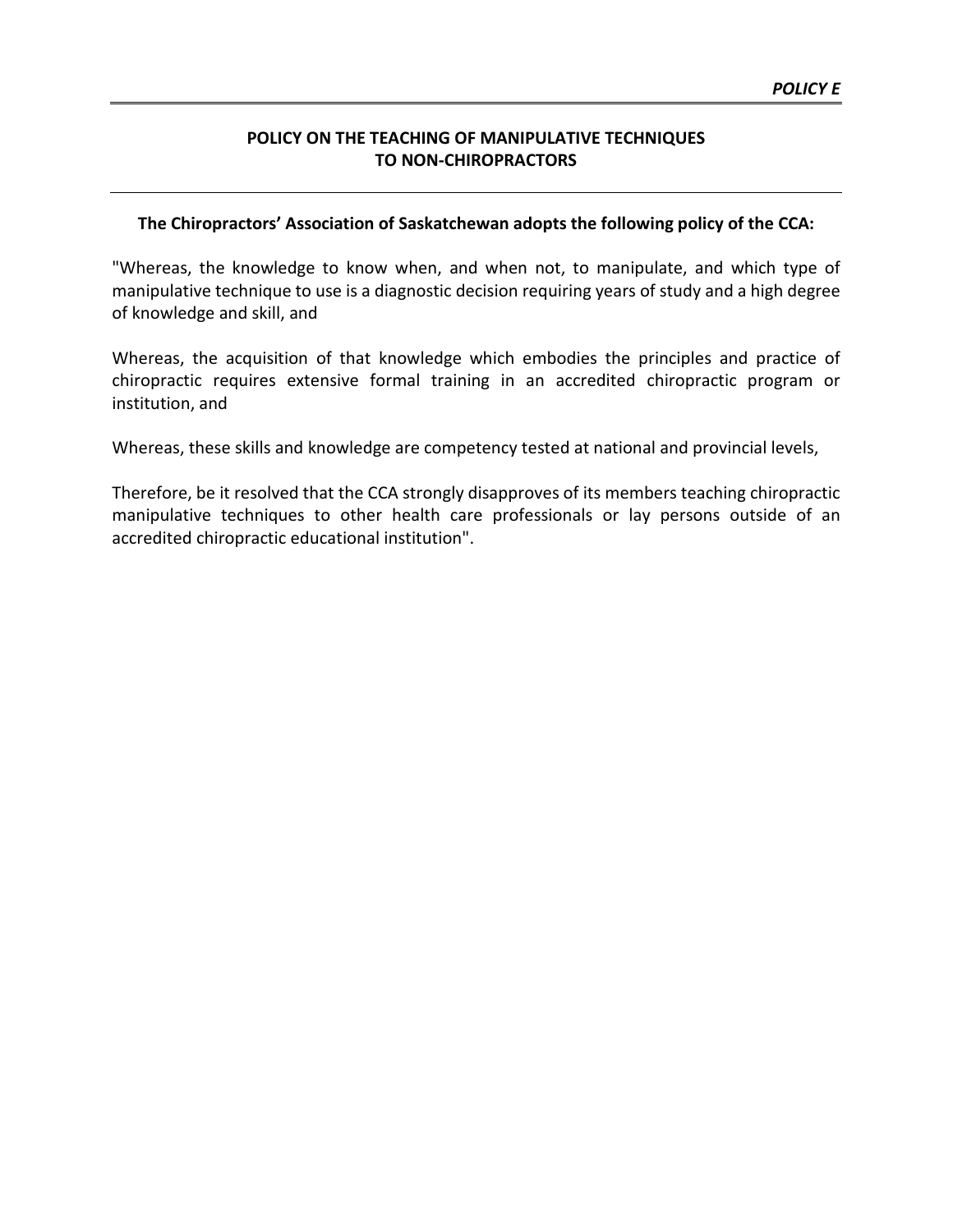#### **POLICY ON THE TEACHING OF MANIPULATIVE TECHNIQUES TO NON-CHIROPRACTORS**

#### **The Chiropractors' Association of Saskatchewan adopts the following policy of the CCA:**

"Whereas, the knowledge to know when, and when not, to manipulate, and which type of manipulative technique to use is a diagnostic decision requiring years of study and a high degree of knowledge and skill, and

Whereas, the acquisition of that knowledge which embodies the principles and practice of chiropractic requires extensive formal training in an accredited chiropractic program or institution, and

Whereas, these skills and knowledge are competency tested at national and provincial levels,

Therefore, be it resolved that the CCA strongly disapproves of its members teaching chiropractic manipulative techniques to other health care professionals or lay persons outside of an accredited chiropractic educational institution".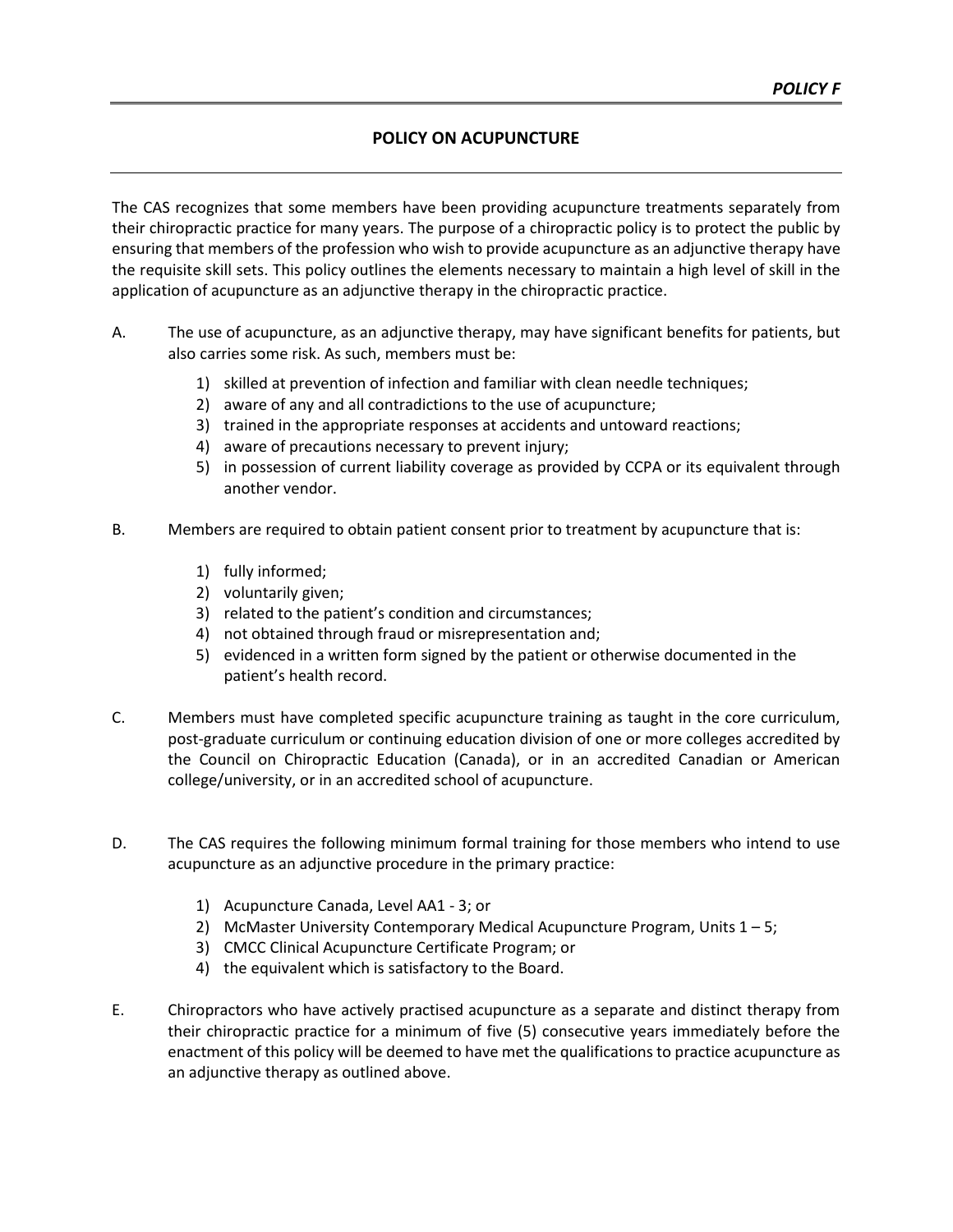#### **POLICY ON ACUPUNCTURE**

The CAS recognizes that some members have been providing acupuncture treatments separately from their chiropractic practice for many years. The purpose of a chiropractic policy is to protect the public by ensuring that members of the profession who wish to provide acupuncture as an adjunctive therapy have the requisite skill sets. This policy outlines the elements necessary to maintain a high level of skill in the application of acupuncture as an adjunctive therapy in the chiropractic practice.

- A. The use of acupuncture, as an adjunctive therapy, may have significant benefits for patients, but also carries some risk. As such, members must be:
	- 1) skilled at prevention of infection and familiar with clean needle techniques;
	- 2) aware of any and all contradictions to the use of acupuncture;
	- 3) trained in the appropriate responses at accidents and untoward reactions;
	- 4) aware of precautions necessary to prevent injury;
	- 5) in possession of current liability coverage as provided by CCPA or its equivalent through another vendor.
- B. Members are required to obtain patient consent prior to treatment by acupuncture that is:
	- 1) fully informed;
	- 2) voluntarily given;
	- 3) related to the patient's condition and circumstances;
	- 4) not obtained through fraud or misrepresentation and;
	- 5) evidenced in a written form signed by the patient or otherwise documented in the patient's health record.
- C. Members must have completed specific acupuncture training as taught in the core curriculum, post-graduate curriculum or continuing education division of one or more colleges accredited by the Council on Chiropractic Education (Canada), or in an accredited Canadian or American college/university, or in an accredited school of acupuncture.
- D. The CAS requires the following minimum formal training for those members who intend to use acupuncture as an adjunctive procedure in the primary practice:
	- 1) Acupuncture Canada, Level AA1 3; or
	- 2) McMaster University Contemporary Medical Acupuncture Program, Units  $1 5$ ;
	- 3) CMCC Clinical Acupuncture Certificate Program; or
	- 4) the equivalent which is satisfactory to the Board.
- E. Chiropractors who have actively practised acupuncture as a separate and distinct therapy from their chiropractic practice for a minimum of five (5) consecutive years immediately before the enactment of this policy will be deemed to have met the qualifications to practice acupuncture as an adjunctive therapy as outlined above.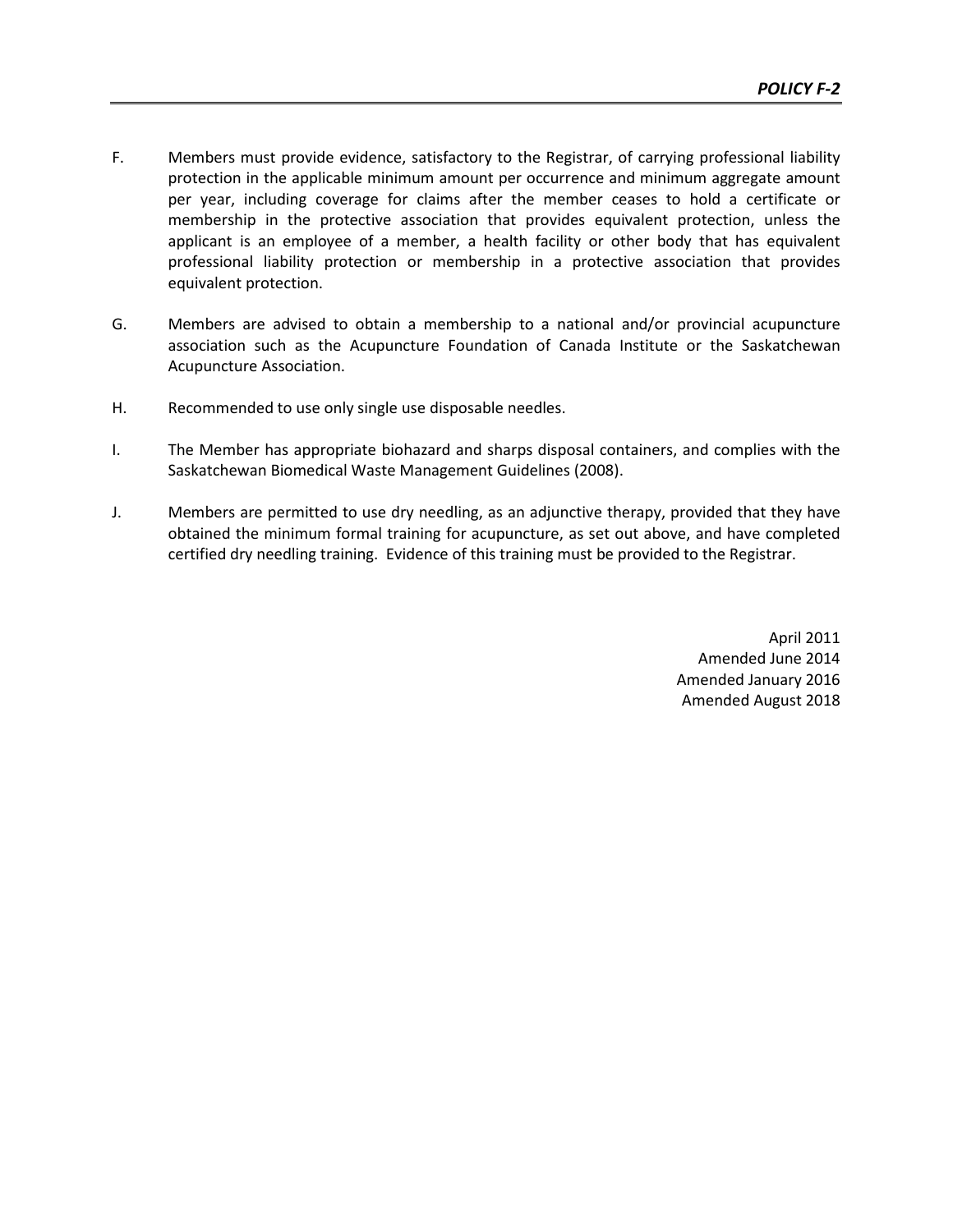- F. Members must provide evidence, satisfactory to the Registrar, of carrying professional liability protection in the applicable minimum amount per occurrence and minimum aggregate amount per year, including coverage for claims after the member ceases to hold a certificate or membership in the protective association that provides equivalent protection, unless the applicant is an employee of a member, a health facility or other body that has equivalent professional liability protection or membership in a protective association that provides equivalent protection.
- G. Members are advised to obtain a membership to a national and/or provincial acupuncture association such as the Acupuncture Foundation of Canada Institute or the Saskatchewan Acupuncture Association.
- H. Recommended to use only single use disposable needles.
- I. The Member has appropriate biohazard and sharps disposal containers, and complies with the Saskatchewan Biomedical Waste Management Guidelines (2008).
- J. Members are permitted to use dry needling, as an adjunctive therapy, provided that they have obtained the minimum formal training for acupuncture, as set out above, and have completed certified dry needling training. Evidence of this training must be provided to the Registrar.

April 2011 Amended June 2014 Amended January 2016 Amended August 2018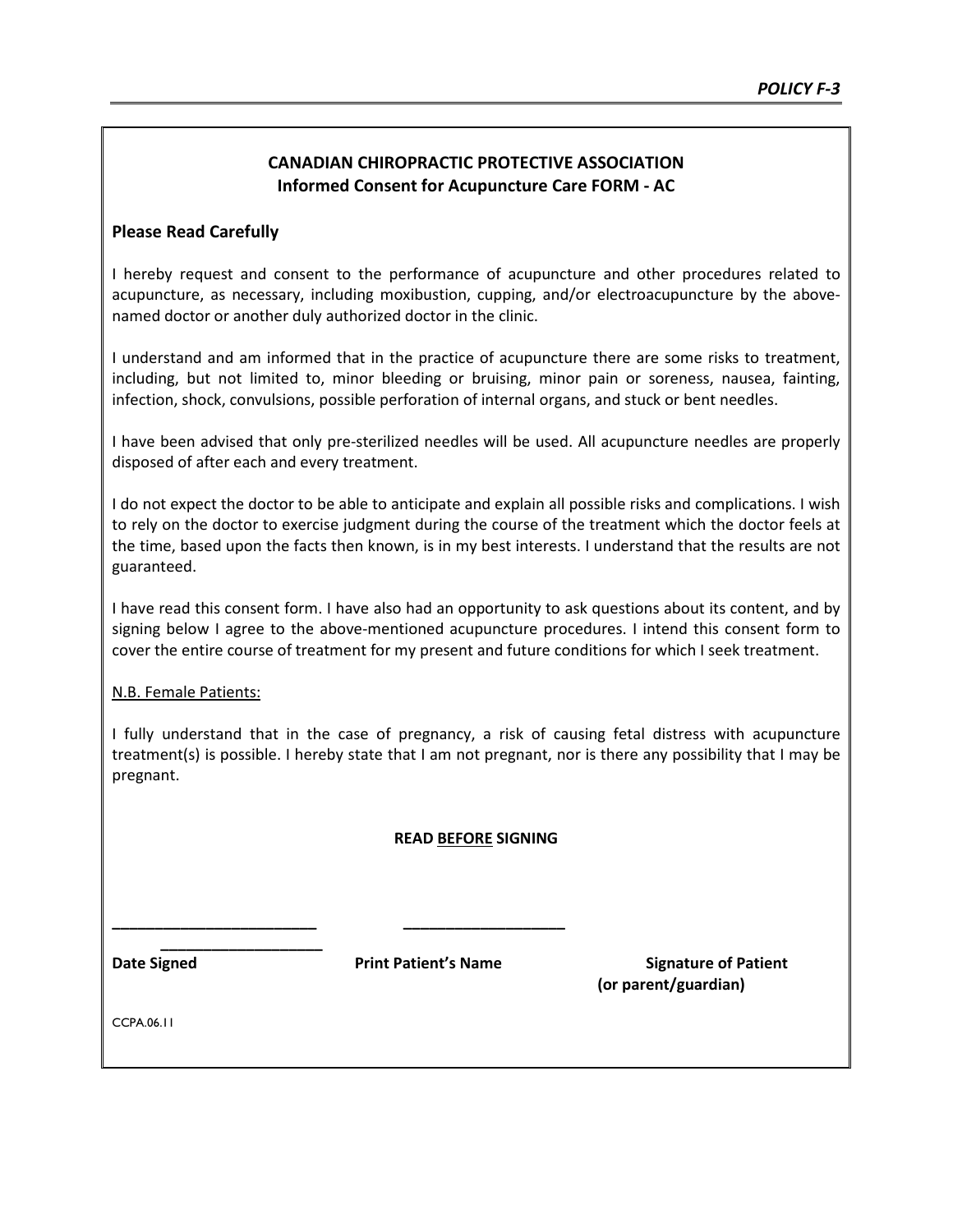#### **CANADIAN CHIROPRACTIC PROTECTIVE ASSOCIATION Informed Consent for Acupuncture Care FORM - AC**

#### **Please Read Carefully**

I hereby request and consent to the performance of acupuncture and other procedures related to acupuncture, as necessary, including moxibustion, cupping, and/or electroacupuncture by the abovenamed doctor or another duly authorized doctor in the clinic.

I understand and am informed that in the practice of acupuncture there are some risks to treatment, including, but not limited to, minor bleeding or bruising, minor pain or soreness, nausea, fainting, infection, shock, convulsions, possible perforation of internal organs, and stuck or bent needles.

I have been advised that only pre-sterilized needles will be used. All acupuncture needles are properly disposed of after each and every treatment.

I do not expect the doctor to be able to anticipate and explain all possible risks and complications. I wish to rely on the doctor to exercise judgment during the course of the treatment which the doctor feels at the time, based upon the facts then known, is in my best interests. I understand that the results are not guaranteed.

I have read this consent form. I have also had an opportunity to ask questions about its content, and by signing below I agree to the above-mentioned acupuncture procedures. I intend this consent form to cover the entire course of treatment for my present and future conditions for which I seek treatment.

#### N.B. Female Patients:

I fully understand that in the case of pregnancy, a risk of causing fetal distress with acupuncture treatment(s) is possible. I hereby state that I am not pregnant, nor is there any possibility that I may be pregnant.

#### **READ BEFORE SIGNING**

**\_\_\_\_\_\_\_\_\_\_\_\_\_\_\_\_\_\_\_**

**\_\_\_\_\_\_\_\_\_\_\_\_\_\_\_\_\_\_\_\_\_\_\_\_ \_\_\_\_\_\_\_\_\_\_\_\_\_\_\_\_\_\_\_** 

**Date Signed State Print Patient's Name Signature of Patient (or parent/guardian)**

CCPA.06.11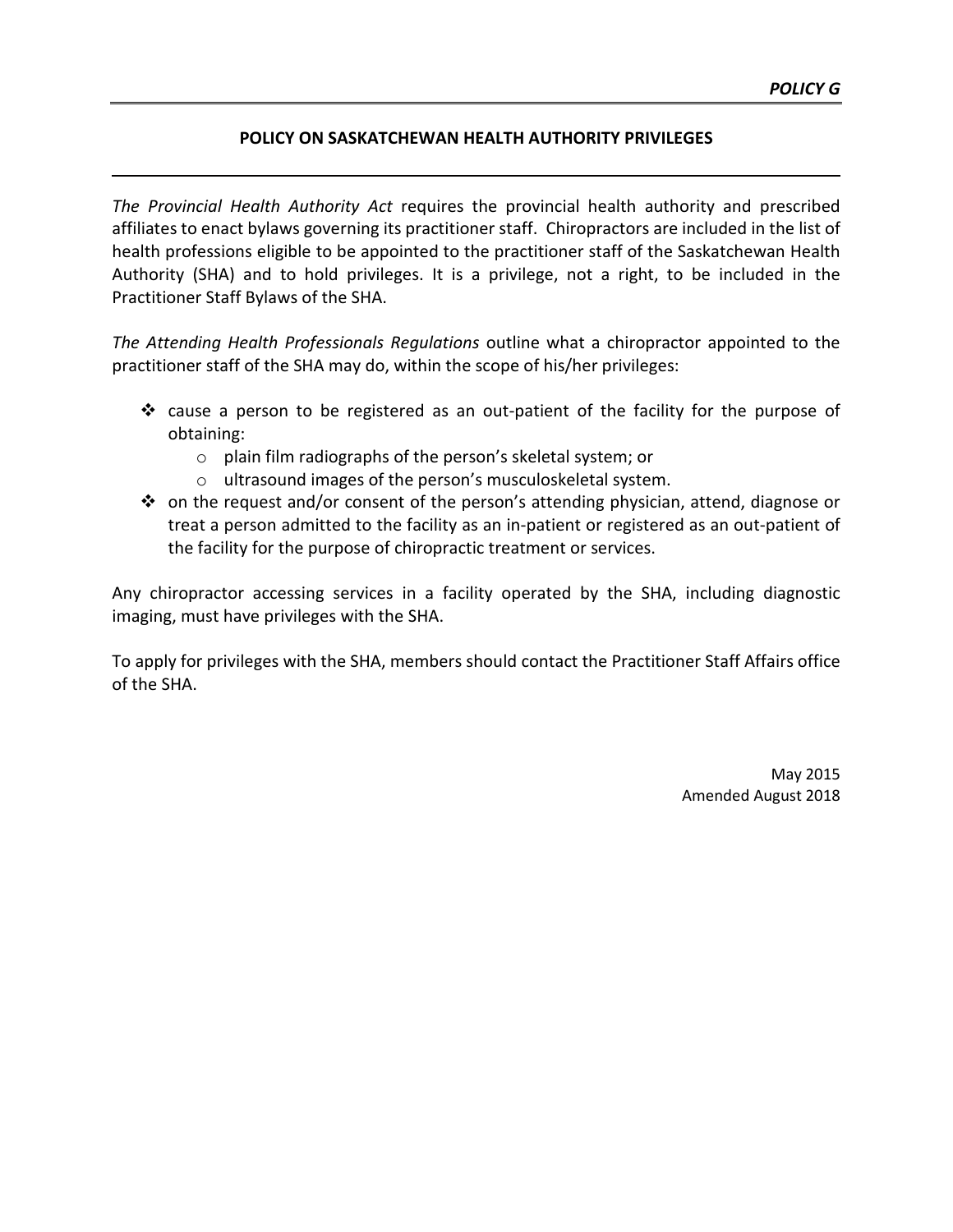#### **POLICY ON SASKATCHEWAN HEALTH AUTHORITY PRIVILEGES**

*The Provincial Health Authority Act* requires the provincial health authority and prescribed affiliates to enact bylaws governing its practitioner staff. Chiropractors are included in the list of health professions eligible to be appointed to the practitioner staff of the Saskatchewan Health Authority (SHA) and to hold privileges. It is a privilege, not a right, to be included in the Practitioner Staff Bylaws of the SHA.

*The Attending Health Professionals Regulations* outline what a chiropractor appointed to the practitioner staff of the SHA may do, within the scope of his/her privileges:

- $\div$  cause a person to be registered as an out-patient of the facility for the purpose of obtaining:
	- o plain film radiographs of the person's skeletal system; or
	- o ultrasound images of the person's musculoskeletal system.
- on the request and/or consent of the person's attending physician, attend, diagnose or treat a person admitted to the facility as an in-patient or registered as an out-patient of the facility for the purpose of chiropractic treatment or services.

Any chiropractor accessing services in a facility operated by the SHA, including diagnostic imaging, must have privileges with the SHA.

To apply for privileges with the SHA, members should contact the Practitioner Staff Affairs office of the SHA.

> May 2015 Amended August 2018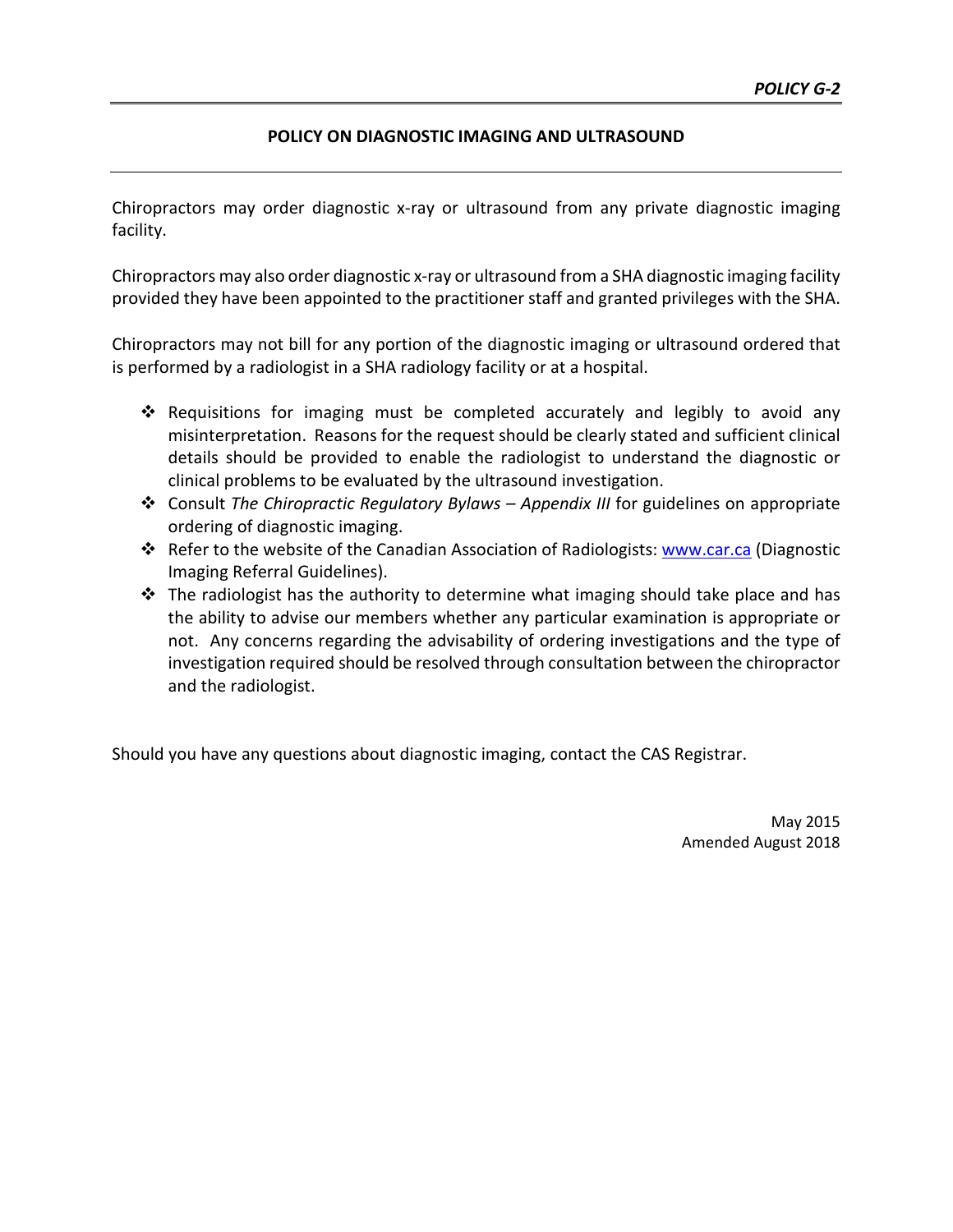#### **POLICY ON DIAGNOSTIC IMAGING AND ULTRASOUND**

Chiropractors may order diagnostic x-ray or ultrasound from any private diagnostic imaging facility.

Chiropractors may also order diagnostic x-ray or ultrasound from a SHA diagnostic imaging facility provided they have been appointed to the practitioner staff and granted privileges with the SHA.

Chiropractors may not bill for any portion of the diagnostic imaging or ultrasound ordered that is performed by a radiologist in a SHA radiology facility or at a hospital.

- Requisitions for imaging must be completed accurately and legibly to avoid any misinterpretation. Reasons for the request should be clearly stated and sufficient clinical details should be provided to enable the radiologist to understand the diagnostic or clinical problems to be evaluated by the ultrasound investigation.
- Consult *The Chiropractic Regulatory Bylaws Appendix III* for guidelines on appropriate ordering of diagnostic imaging.
- Refer to the website of the Canadian Association of Radiologists: [www.car.ca](http://www.car.ca/) (Diagnostic Imaging Referral Guidelines).
- $\cdot \cdot$  The radiologist has the authority to determine what imaging should take place and has the ability to advise our members whether any particular examination is appropriate or not. Any concerns regarding the advisability of ordering investigations and the type of investigation required should be resolved through consultation between the chiropractor and the radiologist.

Should you have any questions about diagnostic imaging, contact the CAS Registrar.

May 2015 Amended August 2018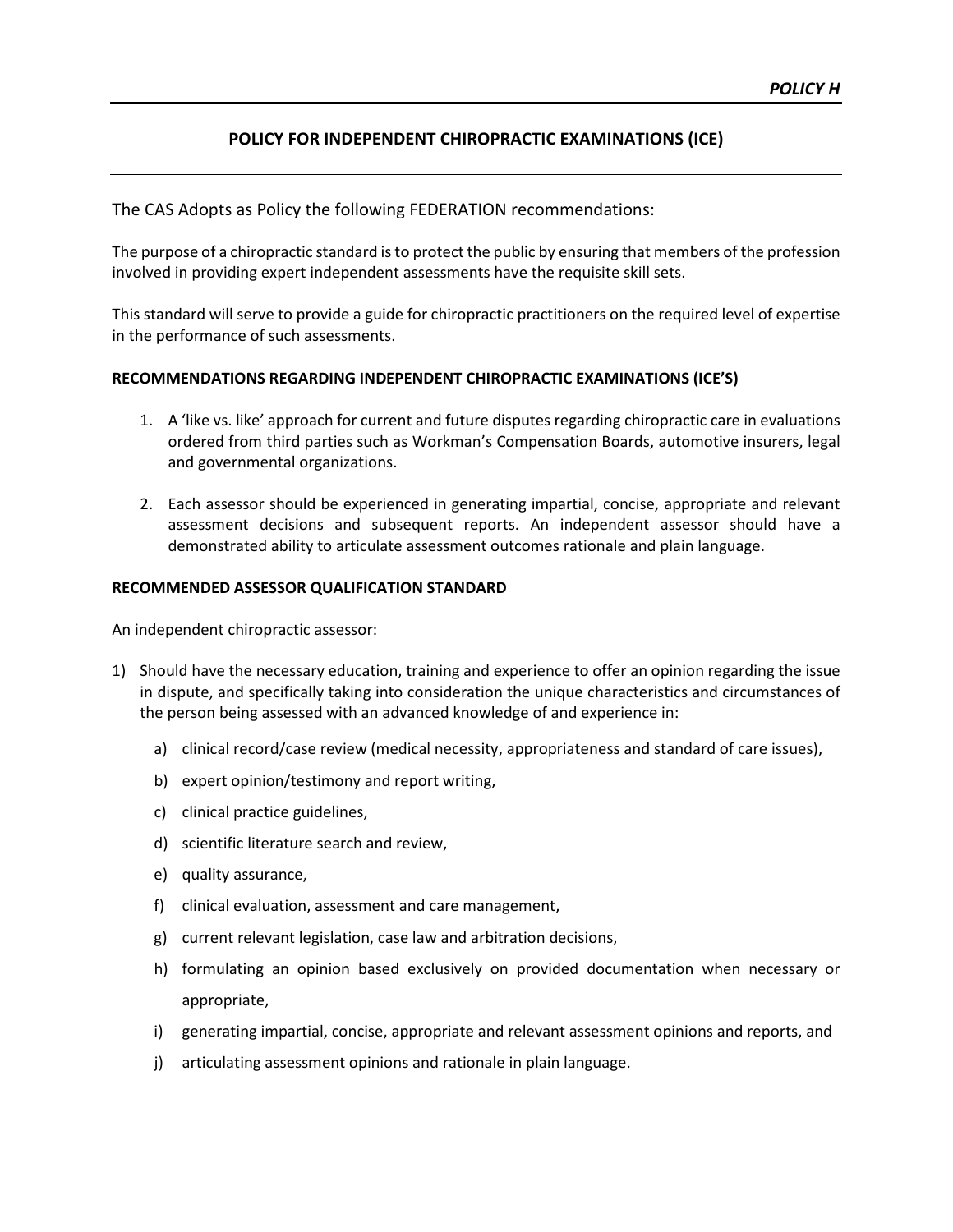#### **POLICY FOR INDEPENDENT CHIROPRACTIC EXAMINATIONS (ICE)**

The CAS Adopts as Policy the following FEDERATION recommendations:

The purpose of a chiropractic standard is to protect the public by ensuring that members of the profession involved in providing expert independent assessments have the requisite skill sets.

This standard will serve to provide a guide for chiropractic practitioners on the required level of expertise in the performance of such assessments.

#### **RECOMMENDATIONS REGARDING INDEPENDENT CHIROPRACTIC EXAMINATIONS (ICE'S)**

- 1. A 'like vs. like' approach for current and future disputes regarding chiropractic care in evaluations ordered from third parties such as Workman's Compensation Boards, automotive insurers, legal and governmental organizations.
- 2. Each assessor should be experienced in generating impartial, concise, appropriate and relevant assessment decisions and subsequent reports. An independent assessor should have a demonstrated ability to articulate assessment outcomes rationale and plain language.

#### **RECOMMENDED ASSESSOR QUALIFICATION STANDARD**

An independent chiropractic assessor:

- 1) Should have the necessary education, training and experience to offer an opinion regarding the issue in dispute, and specifically taking into consideration the unique characteristics and circumstances of the person being assessed with an advanced knowledge of and experience in:
	- a) clinical record/case review (medical necessity, appropriateness and standard of care issues),
	- b) expert opinion/testimony and report writing,
	- c) clinical practice guidelines,
	- d) scientific literature search and review,
	- e) quality assurance,
	- f) clinical evaluation, assessment and care management,
	- g) current relevant legislation, case law and arbitration decisions,
	- h) formulating an opinion based exclusively on provided documentation when necessary or appropriate,
	- i) generating impartial, concise, appropriate and relevant assessment opinions and reports, and
	- j) articulating assessment opinions and rationale in plain language.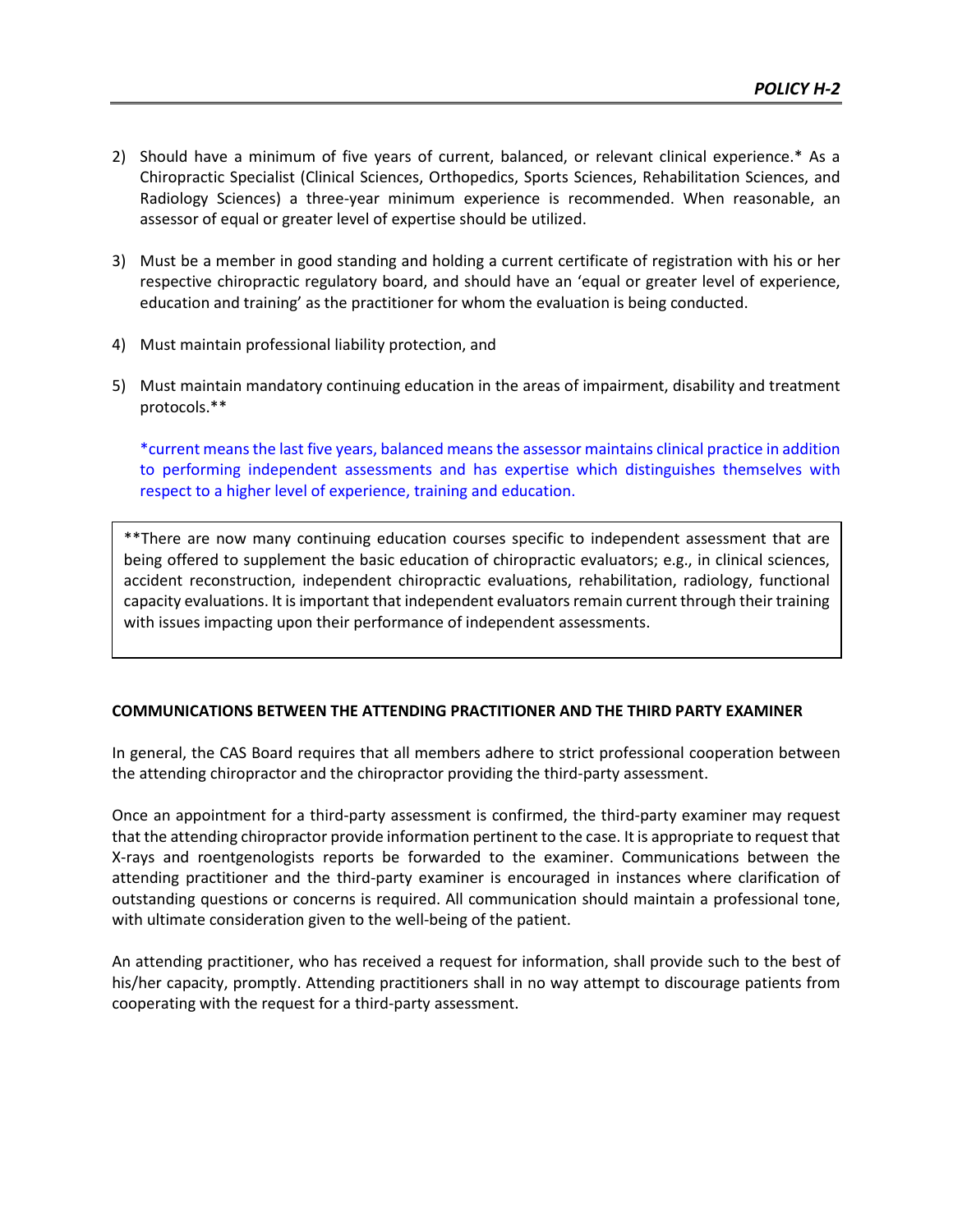- 2) Should have a minimum of five years of current, balanced, or relevant clinical experience.\* As a Chiropractic Specialist (Clinical Sciences, Orthopedics, Sports Sciences, Rehabilitation Sciences, and Radiology Sciences) a three-year minimum experience is recommended. When reasonable, an assessor of equal or greater level of expertise should be utilized.
- 3) Must be a member in good standing and holding a current certificate of registration with his or her respective chiropractic regulatory board, and should have an 'equal or greater level of experience, education and training' as the practitioner for whom the evaluation is being conducted.
- 4) Must maintain professional liability protection, and
- 5) Must maintain mandatory continuing education in the areas of impairment, disability and treatment protocols.\*\*

\*current meansthe last five years, balanced means the assessor maintains clinical practice in addition to performing independent assessments and has expertise which distinguishes themselves with respect to a higher level of experience, training and education.

\*\*There are now many continuing education courses specific to independent assessment that are being offered to supplement the basic education of chiropractic evaluators; e.g., in clinical sciences, accident reconstruction, independent chiropractic evaluations, rehabilitation, radiology, functional capacity evaluations. It is important that independent evaluators remain current through their training with issues impacting upon their performance of independent assessments.

#### **COMMUNICATIONS BETWEEN THE ATTENDING PRACTITIONER AND THE THIRD PARTY EXAMINER**

In general, the CAS Board requires that all members adhere to strict professional cooperation between the attending chiropractor and the chiropractor providing the third-party assessment.

Once an appointment for a third-party assessment is confirmed, the third-party examiner may request that the attending chiropractor provide information pertinent to the case. It is appropriate to request that X-rays and roentgenologists reports be forwarded to the examiner. Communications between the attending practitioner and the third-party examiner is encouraged in instances where clarification of outstanding questions or concerns is required. All communication should maintain a professional tone, with ultimate consideration given to the well-being of the patient.

An attending practitioner, who has received a request for information, shall provide such to the best of his/her capacity, promptly. Attending practitioners shall in no way attempt to discourage patients from cooperating with the request for a third-party assessment.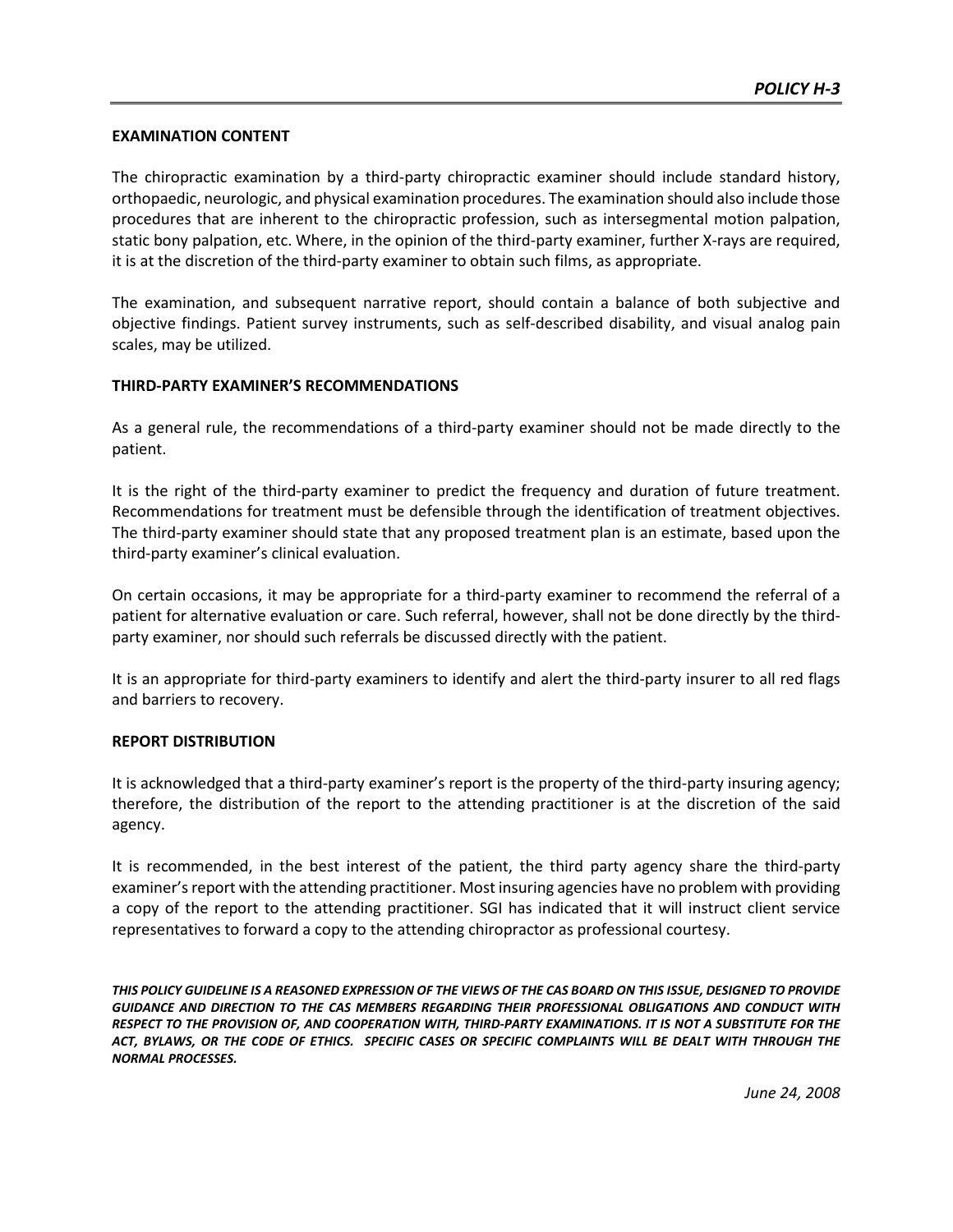#### **EXAMINATION CONTENT**

The chiropractic examination by a third-party chiropractic examiner should include standard history, orthopaedic, neurologic, and physical examination procedures. The examination should also include those procedures that are inherent to the chiropractic profession, such as intersegmental motion palpation, static bony palpation, etc. Where, in the opinion of the third-party examiner, further X-rays are required, it is at the discretion of the third-party examiner to obtain such films, as appropriate.

The examination, and subsequent narrative report, should contain a balance of both subjective and objective findings. Patient survey instruments, such as self-described disability, and visual analog pain scales, may be utilized.

#### **THIRD-PARTY EXAMINER'S RECOMMENDATIONS**

As a general rule, the recommendations of a third-party examiner should not be made directly to the patient.

It is the right of the third-party examiner to predict the frequency and duration of future treatment. Recommendations for treatment must be defensible through the identification of treatment objectives. The third-party examiner should state that any proposed treatment plan is an estimate, based upon the third-party examiner's clinical evaluation.

On certain occasions, it may be appropriate for a third-party examiner to recommend the referral of a patient for alternative evaluation or care. Such referral, however, shall not be done directly by the thirdparty examiner, nor should such referrals be discussed directly with the patient.

It is an appropriate for third-party examiners to identify and alert the third-party insurer to all red flags and barriers to recovery.

#### **REPORT DISTRIBUTION**

It is acknowledged that a third-party examiner's report is the property of the third-party insuring agency; therefore, the distribution of the report to the attending practitioner is at the discretion of the said agency.

It is recommended, in the best interest of the patient, the third party agency share the third-party examiner's report with the attending practitioner. Most insuring agencies have no problem with providing a copy of the report to the attending practitioner. SGI has indicated that it will instruct client service representatives to forward a copy to the attending chiropractor as professional courtesy.

*THIS POLICY GUIDELINE IS A REASONED EXPRESSION OF THE VIEWS OF THE CAS BOARD ON THIS ISSUE, DESIGNED TO PROVIDE GUIDANCE AND DIRECTION TO THE CAS MEMBERS REGARDING THEIR PROFESSIONAL OBLIGATIONS AND CONDUCT WITH RESPECT TO THE PROVISION OF, AND COOPERATION WITH, THIRD-PARTY EXAMINATIONS. IT IS NOT A SUBSTITUTE FOR THE ACT, BYLAWS, OR THE CODE OF ETHICS. SPECIFIC CASES OR SPECIFIC COMPLAINTS WILL BE DEALT WITH THROUGH THE NORMAL PROCESSES.*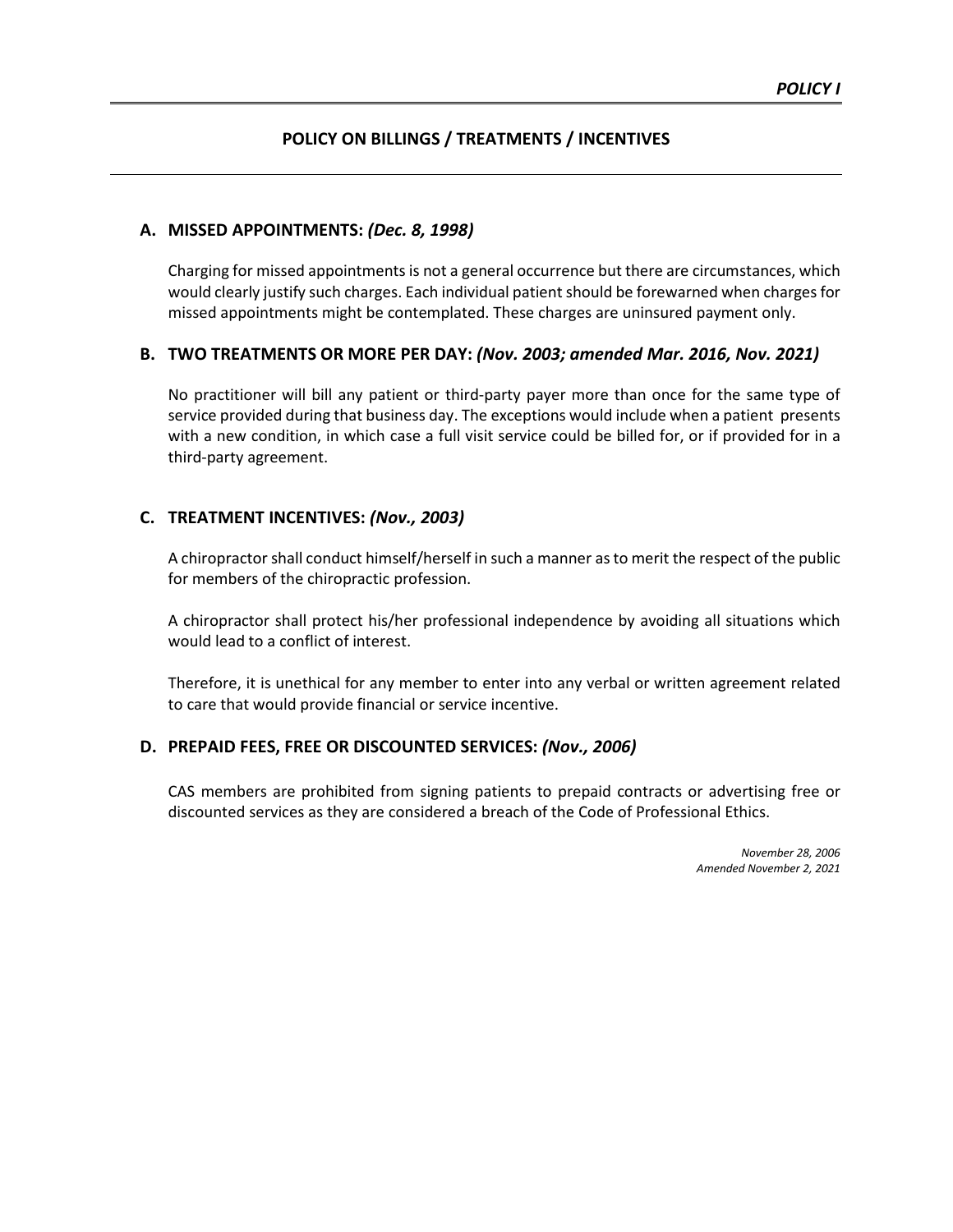#### **POLICY ON BILLINGS / TREATMENTS / INCENTIVES**

#### **A. MISSED APPOINTMENTS:** *(Dec. 8, 1998)*

Charging for missed appointments is not a general occurrence but there are circumstances, which would clearly justify such charges. Each individual patient should be forewarned when charges for missed appointments might be contemplated. These charges are uninsured payment only.

#### **B. TWO TREATMENTS OR MORE PER DAY:** *(Nov. 2003; amended Mar. 2016, Nov. 2021)*

No practitioner will bill any patient or third-party payer more than once for the same type of service provided during that business day. The exceptions would include when a patient presents with a new condition, in which case a full visit service could be billed for, or if provided for in a third-party agreement.

#### **C. TREATMENT INCENTIVES:** *(Nov., 2003)*

A chiropractor shall conduct himself/herself in such a manner as to merit the respect of the public for members of the chiropractic profession.

A chiropractor shall protect his/her professional independence by avoiding all situations which would lead to a conflict of interest.

Therefore, it is unethical for any member to enter into any verbal or written agreement related to care that would provide financial or service incentive.

#### **D. PREPAID FEES, FREE OR DISCOUNTED SERVICES:** *(Nov., 2006)*

CAS members are prohibited from signing patients to prepaid contracts or advertising free or discounted services as they are considered a breach of the Code of Professional Ethics.

> *November 28, 2006 Amended November 2, 2021*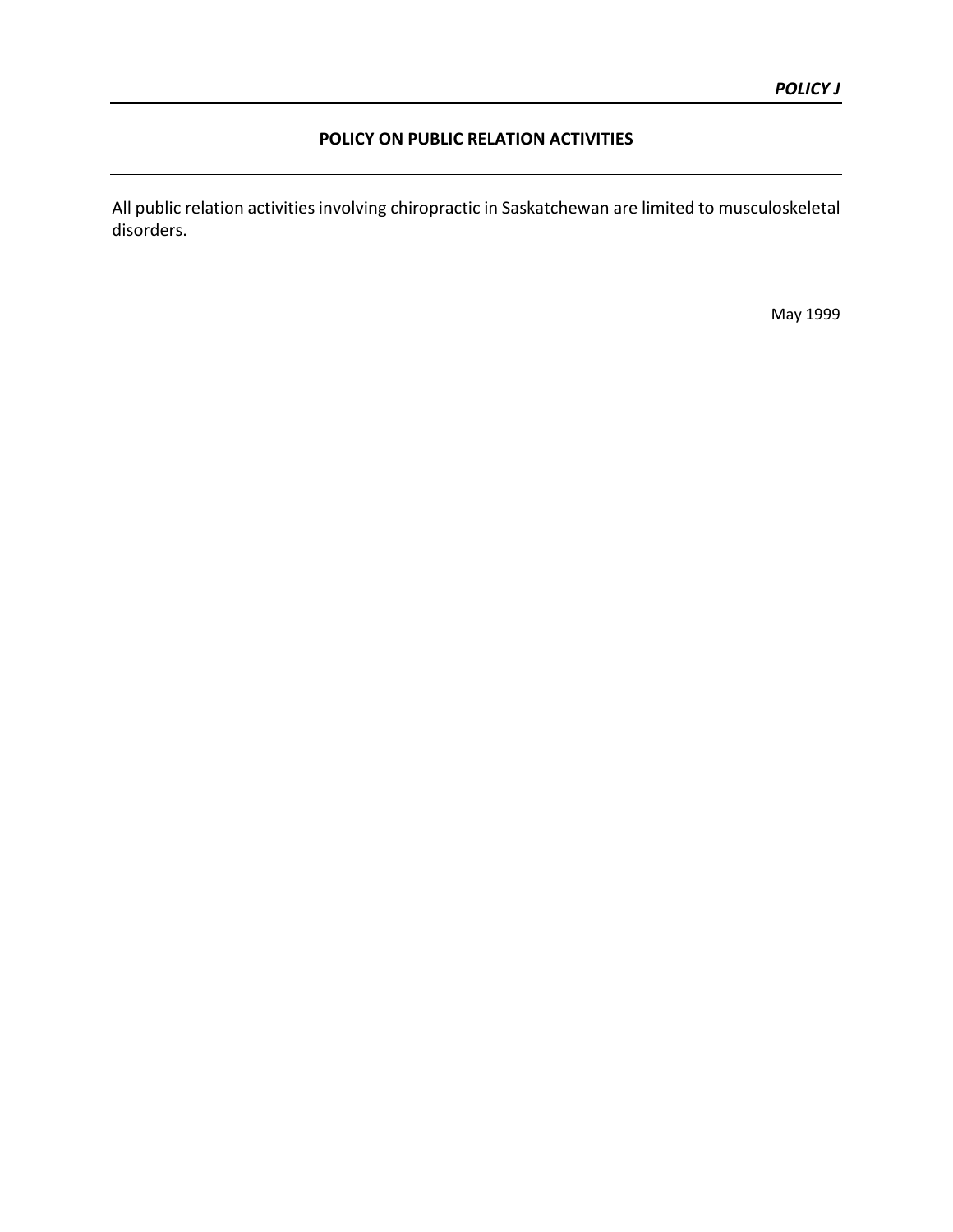#### **POLICY ON PUBLIC RELATION ACTIVITIES**

All public relation activities involving chiropractic in Saskatchewan are limited to musculoskeletal disorders.

May 1999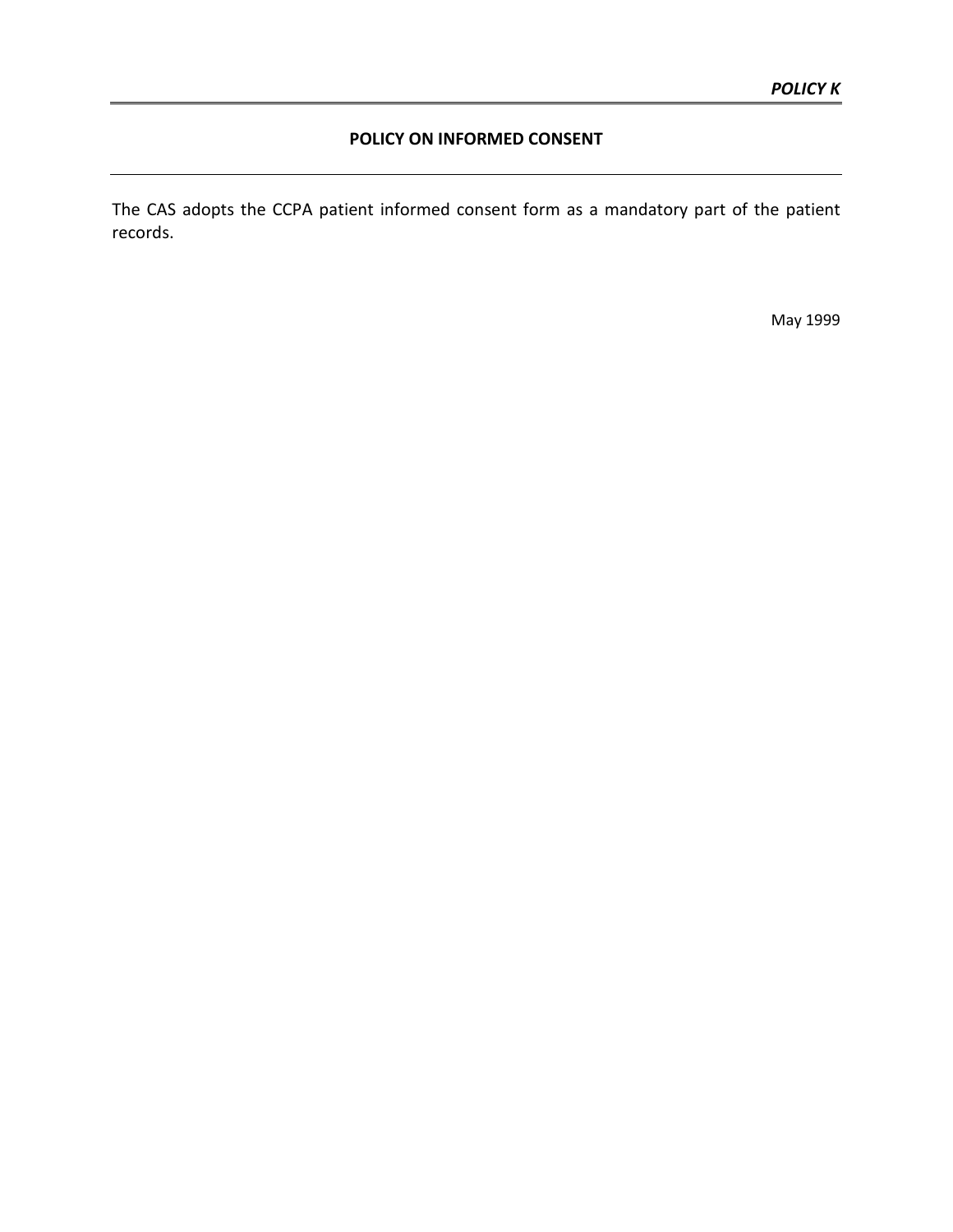#### **POLICY ON INFORMED CONSENT**

The CAS adopts the CCPA patient informed consent form as a mandatory part of the patient records.

May 1999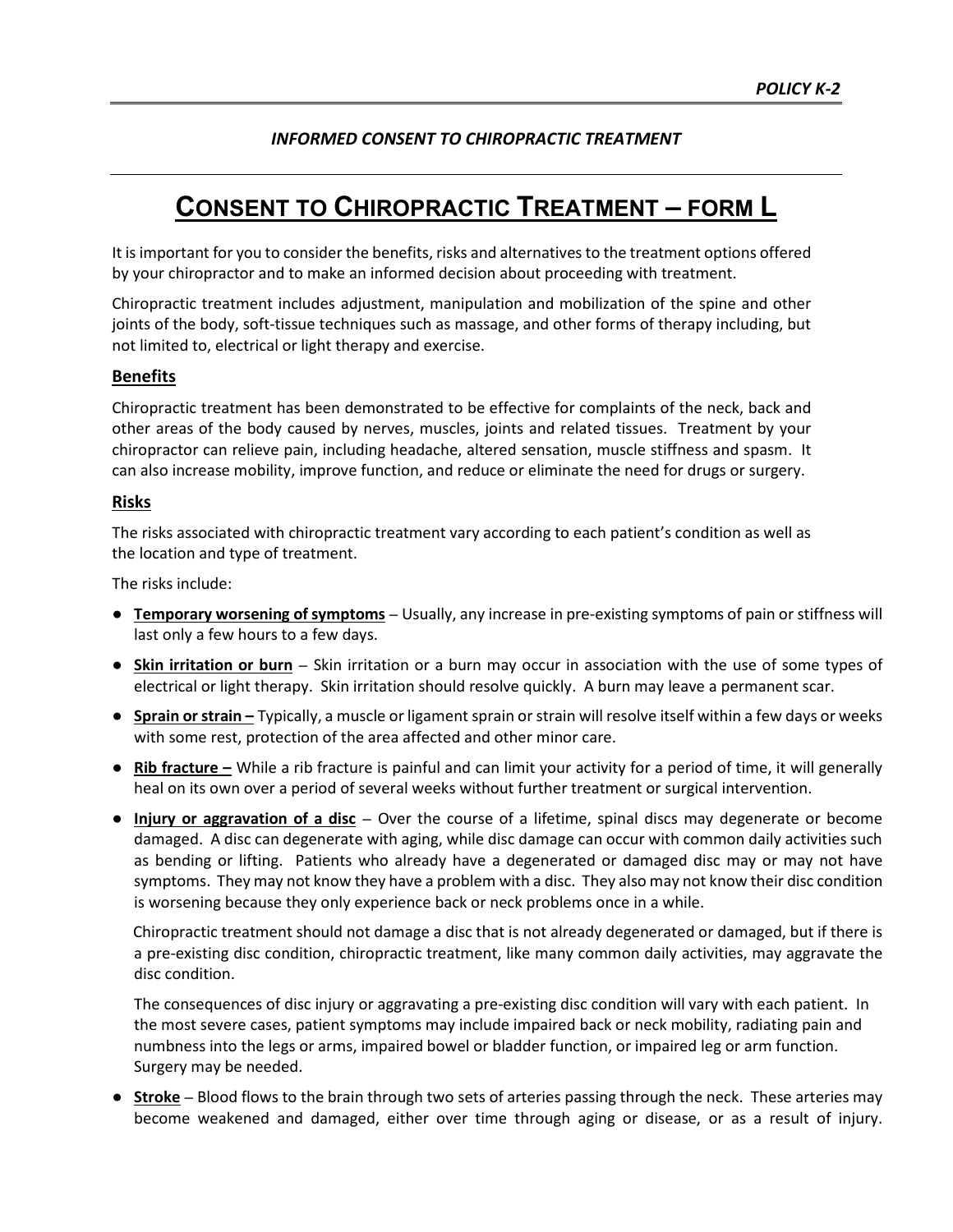#### *INFORMED CONSENT TO CHIROPRACTIC TREATMENT*

## **CONSENT TO CHIROPRACTIC TREATMENT – FORM L**

It is important for you to consider the benefits, risks and alternatives to the treatment options offered by your chiropractor and to make an informed decision about proceeding with treatment.

Chiropractic treatment includes adjustment, manipulation and mobilization of the spine and other joints of the body, soft-tissue techniques such as massage, and other forms of therapy including, but not limited to, electrical or light therapy and exercise.

#### **Benefits**

Chiropractic treatment has been demonstrated to be effective for complaints of the neck, back and other areas of the body caused by nerves, muscles, joints and related tissues. Treatment by your chiropractor can relieve pain, including headache, altered sensation, muscle stiffness and spasm. It can also increase mobility, improve function, and reduce or eliminate the need for drugs or surgery.

#### **Risks**

The risks associated with chiropractic treatment vary according to each patient's condition as well as the location and type of treatment.

The risks include:

- **● Temporary worsening of symptoms** Usually, any increase in pre-existing symptoms of pain or stiffness will last only a few hours to a few days.
- **● Skin irritation or burn** Skin irritation or a burn may occur in association with the use of some types of electrical or light therapy. Skin irritation should resolve quickly. A burn may leave a permanent scar.
- **● Sprain or strain –** Typically, a muscle or ligament sprain or strain will resolve itself within a few days or weeks with some rest, protection of the area affected and other minor care.
- **● Rib fracture –** While a rib fracture is painful and can limit your activity for a period of time, it will generally heal on its own over a period of several weeks without further treatment or surgical intervention.
- **● Injury or aggravation of a disc** Over the course of a lifetime, spinal discs may degenerate or become damaged. A disc can degenerate with aging, while disc damage can occur with common daily activities such as bending or lifting. Patients who already have a degenerated or damaged disc may or may not have symptoms. They may not know they have a problem with a disc. They also may not know their disc condition is worsening because they only experience back or neck problems once in a while.

Chiropractic treatment should not damage a disc that is not already degenerated or damaged, but if there is a pre-existing disc condition, chiropractic treatment, like many common daily activities, may aggravate the disc condition.

The consequences of disc injury or aggravating a pre-existing disc condition will vary with each patient. In the most severe cases, patient symptoms may include impaired back or neck mobility, radiating pain and numbness into the legs or arms, impaired bowel or bladder function, or impaired leg or arm function. Surgery may be needed.

**● Stroke** – Blood flows to the brain through two sets of arteries passing through the neck. These arteries may become weakened and damaged, either over time through aging or disease, or as a result of injury.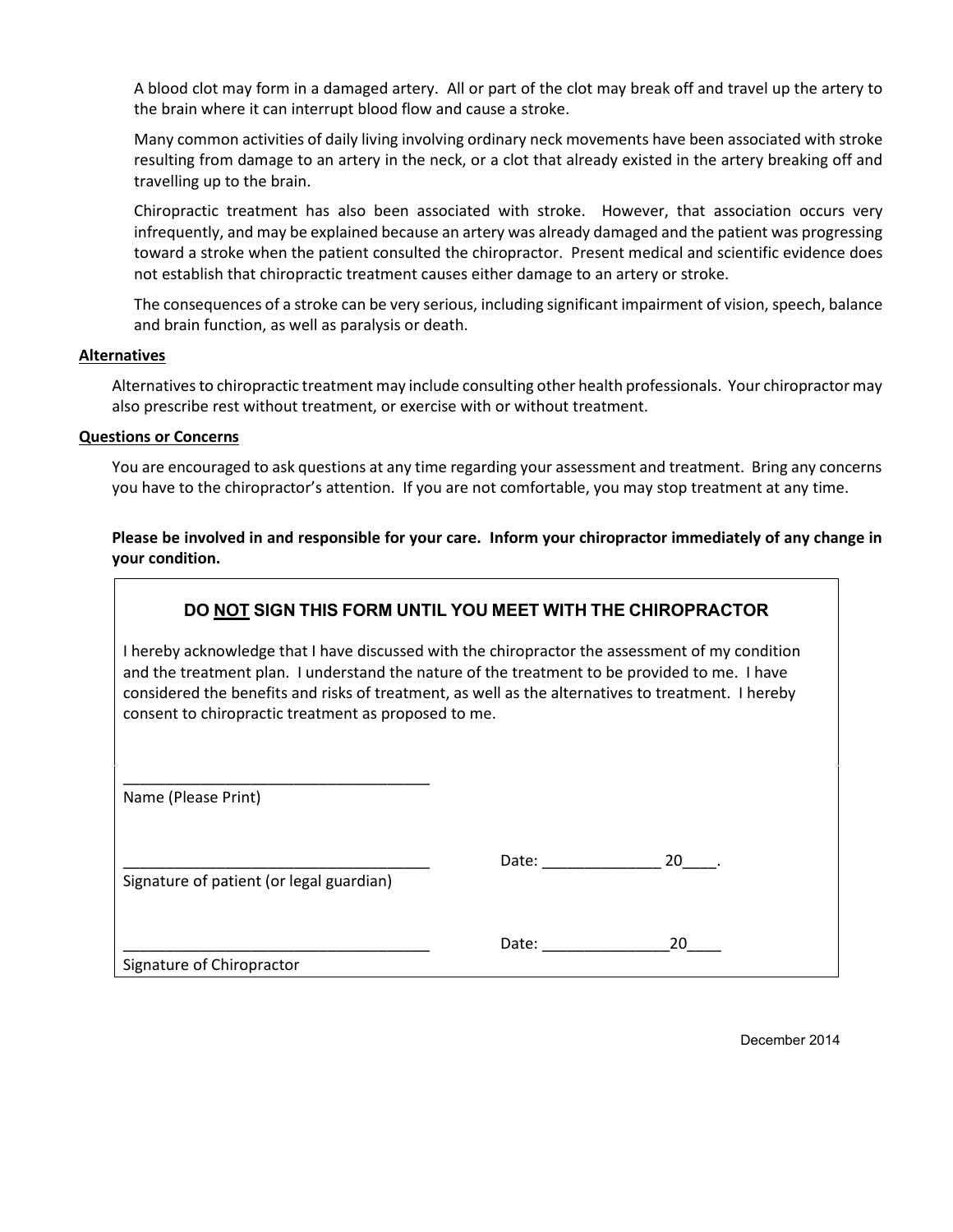A blood clot may form in a damaged artery. All or part of the clot may break off and travel up the artery to the brain where it can interrupt blood flow and cause a stroke.

Many common activities of daily living involving ordinary neck movements have been associated with stroke resulting from damage to an artery in the neck, or a clot that already existed in the artery breaking off and travelling up to the brain.

Chiropractic treatment has also been associated with stroke. However, that association occurs very infrequently, and may be explained because an artery was already damaged and the patient was progressing toward a stroke when the patient consulted the chiropractor. Present medical and scientific evidence does not establish that chiropractic treatment causes either damage to an artery or stroke.

The consequences of a stroke can be very serious, including significant impairment of vision, speech, balance and brain function, as well as paralysis or death.

#### **Alternatives**

Alternatives to chiropractic treatment may include consulting other health professionals. Your chiropractor may also prescribe rest without treatment, or exercise with or without treatment.

#### **Questions or Concerns**

You are encouraged to ask questions at any time regarding your assessment and treatment. Bring any concerns you have to the chiropractor's attention. If you are not comfortable, you may stop treatment at any time.

**Please be involved in and responsible for your care. Inform your chiropractor immediately of any change in your condition.**

#### **DO NOT SIGN THIS FORM UNTIL YOU MEET WITH THE CHIROPRACTOR**

I hereby acknowledge that I have discussed with the chiropractor the assessment of my condition and the treatment plan. I understand the nature of the treatment to be provided to me. I have considered the benefits and risks of treatment, as well as the alternatives to treatment. I hereby consent to chiropractic treatment as proposed to me.

Name (Please Print)

Signature of patient (or legal guardian)

\_\_\_\_\_\_\_\_\_\_\_\_\_\_\_\_\_\_\_\_\_\_\_\_\_\_\_\_\_\_\_\_\_\_\_\_

| . |  |
|---|--|
|   |  |

\_\_\_\_\_\_\_\_\_\_\_\_\_\_\_\_\_\_\_\_\_\_\_\_\_\_\_\_\_\_\_\_\_\_\_\_ Date: \_\_\_\_\_\_\_\_\_\_\_\_\_\_\_20\_\_\_\_

Signature of Chiropractor

December 2014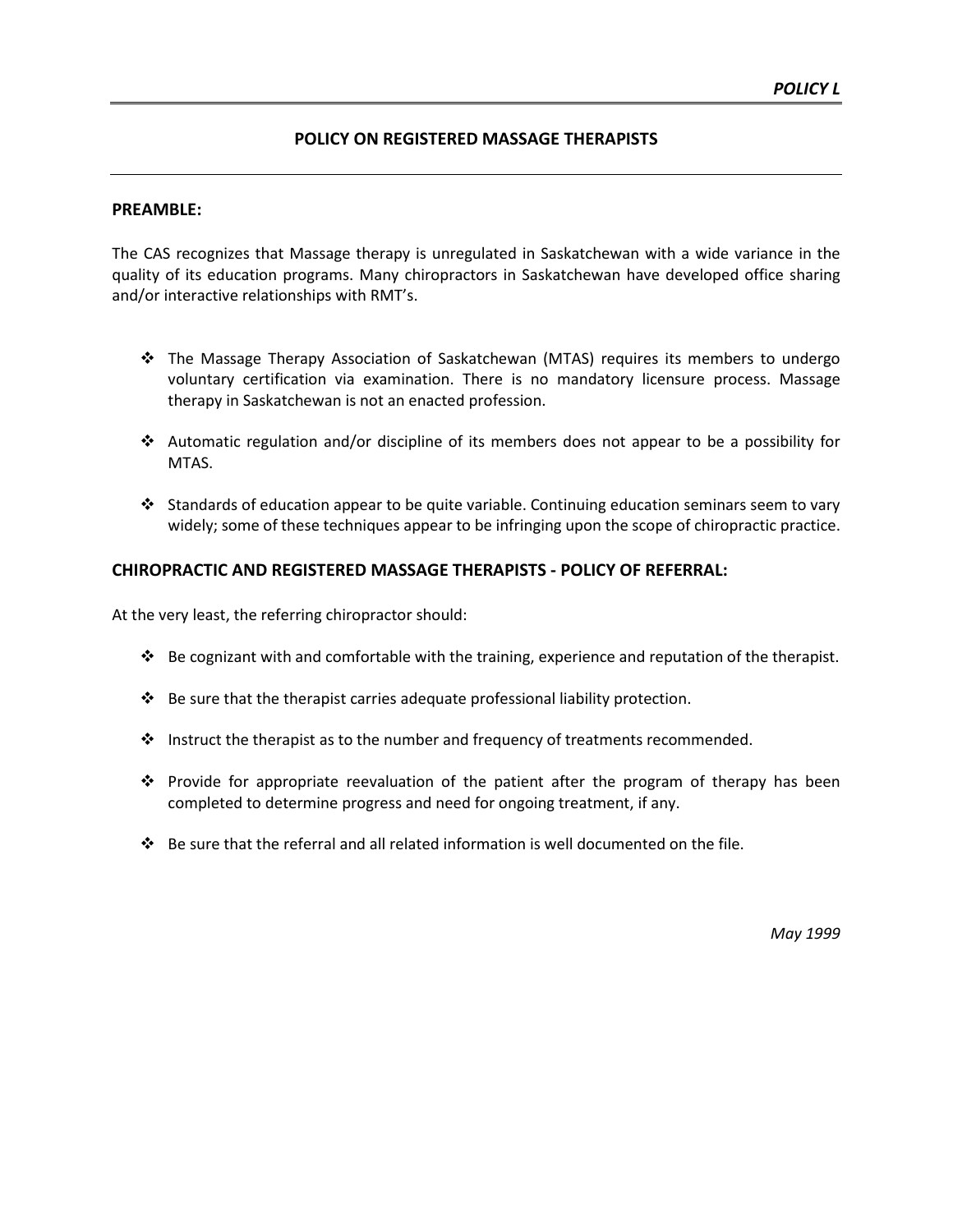#### **POLICY ON REGISTERED MASSAGE THERAPISTS**

#### **PREAMBLE:**

The CAS recognizes that Massage therapy is unregulated in Saskatchewan with a wide variance in the quality of its education programs. Many chiropractors in Saskatchewan have developed office sharing and/or interactive relationships with RMT's.

- The Massage Therapy Association of Saskatchewan (MTAS) requires its members to undergo voluntary certification via examination. There is no mandatory licensure process. Massage therapy in Saskatchewan is not an enacted profession.
- $\cdot$  Automatic regulation and/or discipline of its members does not appear to be a possibility for MTAS.
- Standards of education appear to be quite variable. Continuing education seminars seem to vary widely; some of these techniques appear to be infringing upon the scope of chiropractic practice.

#### **CHIROPRACTIC AND REGISTERED MASSAGE THERAPISTS - POLICY OF REFERRAL:**

At the very least, the referring chiropractor should:

- Be cognizant with and comfortable with the training, experience and reputation of the therapist.
- $\bullet$  Be sure that the therapist carries adequate professional liability protection.
- Instruct the therapist as to the number and frequency of treatments recommended.
- Provide for appropriate reevaluation of the patient after the program of therapy has been completed to determine progress and need for ongoing treatment, if any.
- $\clubsuit$  Be sure that the referral and all related information is well documented on the file.

*May 1999*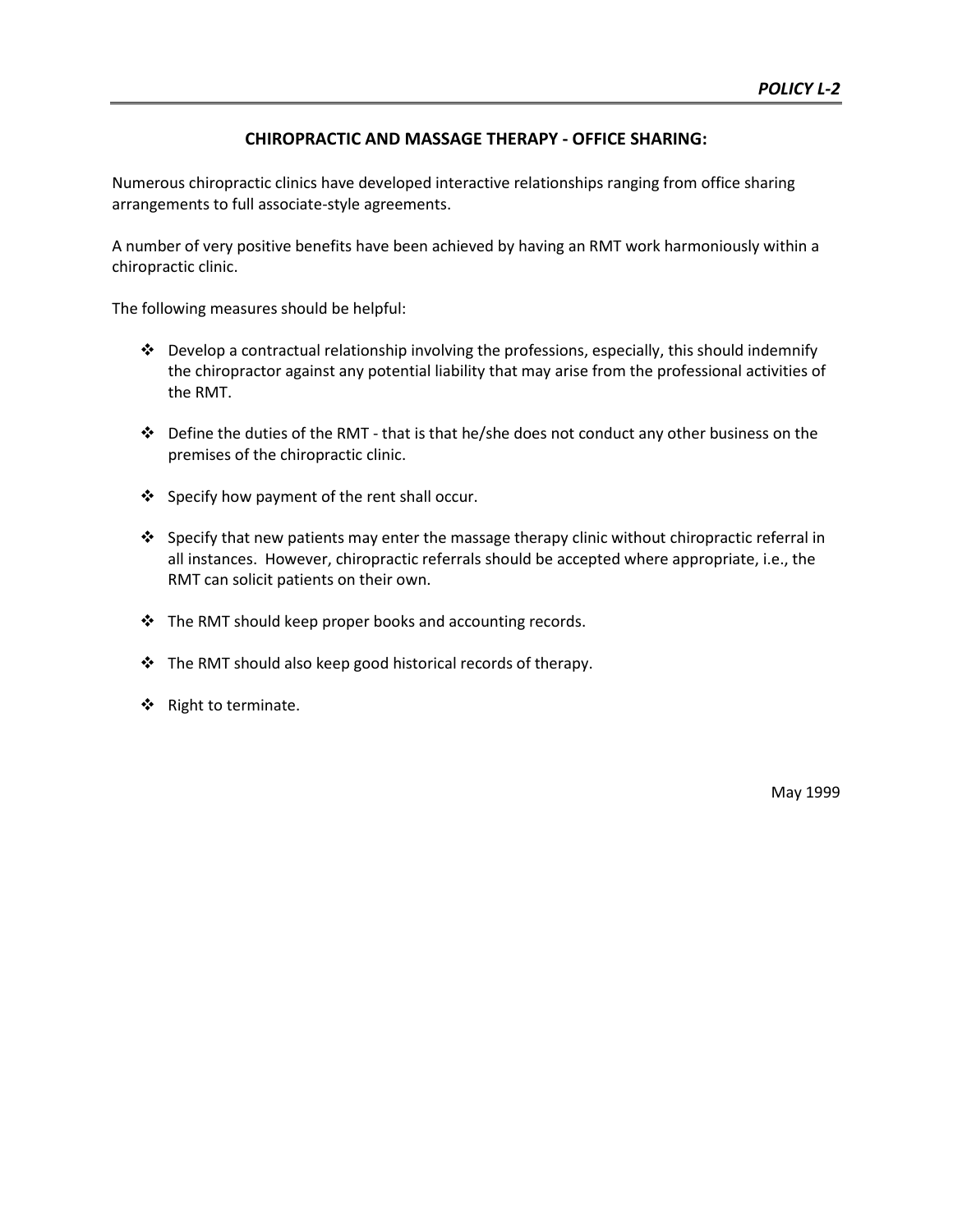#### **CHIROPRACTIC AND MASSAGE THERAPY - OFFICE SHARING:**

Numerous chiropractic clinics have developed interactive relationships ranging from office sharing arrangements to full associate-style agreements.

A number of very positive benefits have been achieved by having an RMT work harmoniously within a chiropractic clinic.

The following measures should be helpful:

- Develop a contractual relationship involving the professions, especially, this should indemnify the chiropractor against any potential liability that may arise from the professional activities of the RMT.
- $\cdot \cdot$  Define the duties of the RMT that is that he/she does not conduct any other business on the premises of the chiropractic clinic.
- ❖ Specify how payment of the rent shall occur.
- Specify that new patients may enter the massage therapy clinic without chiropractic referral in all instances. However, chiropractic referrals should be accepted where appropriate, i.e., the RMT can solicit patients on their own.
- The RMT should keep proper books and accounting records.
- The RMT should also keep good historical records of therapy.
- ❖ Right to terminate.

May 1999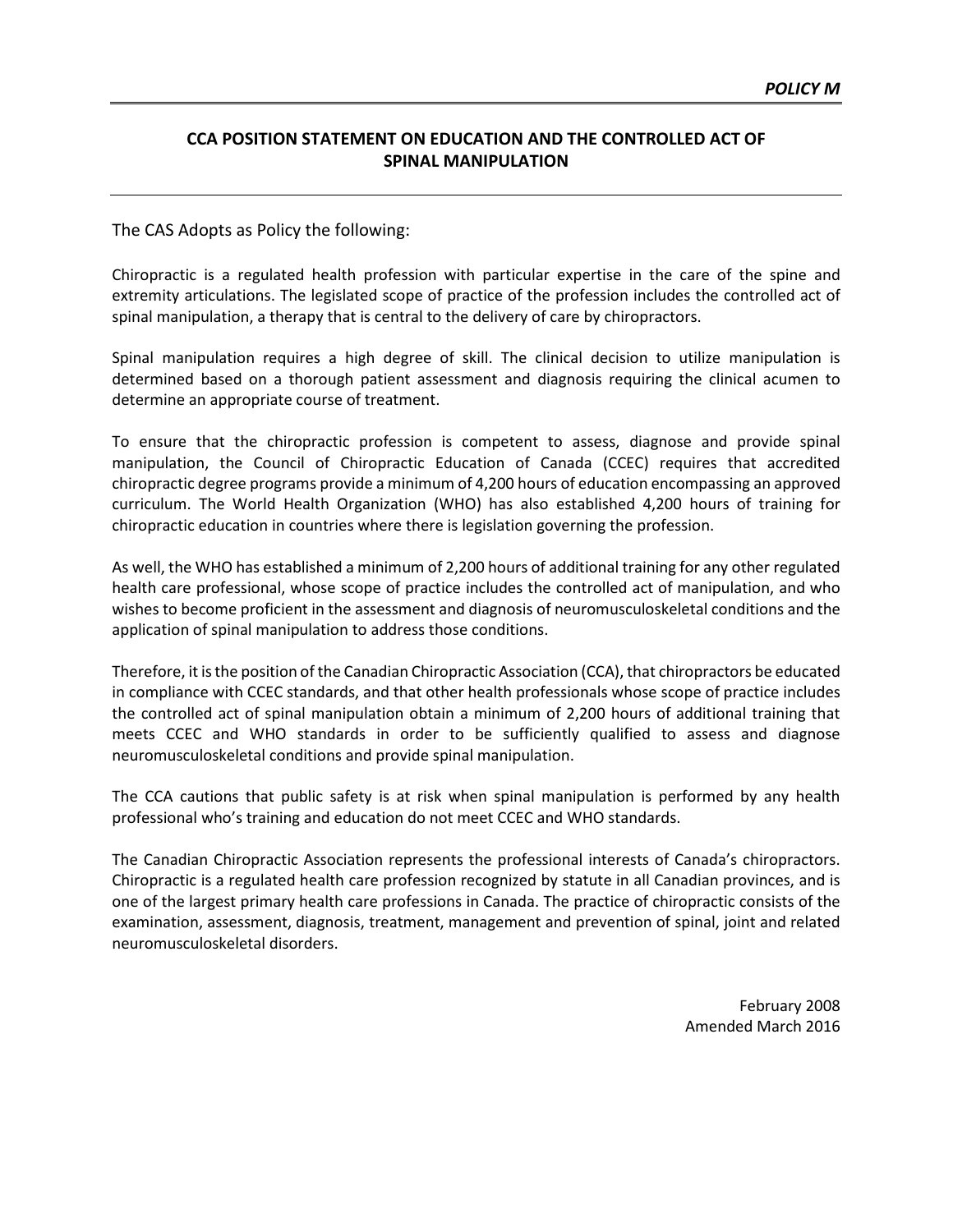#### **CCA POSITION STATEMENT ON EDUCATION AND THE CONTROLLED ACT OF SPINAL MANIPULATION**

The CAS Adopts as Policy the following:

Chiropractic is a regulated health profession with particular expertise in the care of the spine and extremity articulations. The legislated scope of practice of the profession includes the controlled act of spinal manipulation, a therapy that is central to the delivery of care by chiropractors.

Spinal manipulation requires a high degree of skill. The clinical decision to utilize manipulation is determined based on a thorough patient assessment and diagnosis requiring the clinical acumen to determine an appropriate course of treatment.

To ensure that the chiropractic profession is competent to assess, diagnose and provide spinal manipulation, the Council of Chiropractic Education of Canada (CCEC) requires that accredited chiropractic degree programs provide a minimum of 4,200 hours of education encompassing an approved curriculum. The World Health Organization (WHO) has also established 4,200 hours of training for chiropractic education in countries where there is legislation governing the profession.

As well, the WHO has established a minimum of 2,200 hours of additional training for any other regulated health care professional, whose scope of practice includes the controlled act of manipulation, and who wishes to become proficient in the assessment and diagnosis of neuromusculoskeletal conditions and the application of spinal manipulation to address those conditions.

Therefore, it is the position of the Canadian Chiropractic Association (CCA), that chiropractors be educated in compliance with CCEC standards, and that other health professionals whose scope of practice includes the controlled act of spinal manipulation obtain a minimum of 2,200 hours of additional training that meets CCEC and WHO standards in order to be sufficiently qualified to assess and diagnose neuromusculoskeletal conditions and provide spinal manipulation.

The CCA cautions that public safety is at risk when spinal manipulation is performed by any health professional who's training and education do not meet CCEC and WHO standards.

The Canadian Chiropractic Association represents the professional interests of Canada's chiropractors. Chiropractic is a regulated health care profession recognized by statute in all Canadian provinces, and is one of the largest primary health care professions in Canada. The practice of chiropractic consists of the examination, assessment, diagnosis, treatment, management and prevention of spinal, joint and related neuromusculoskeletal disorders.

> February 2008 Amended March 2016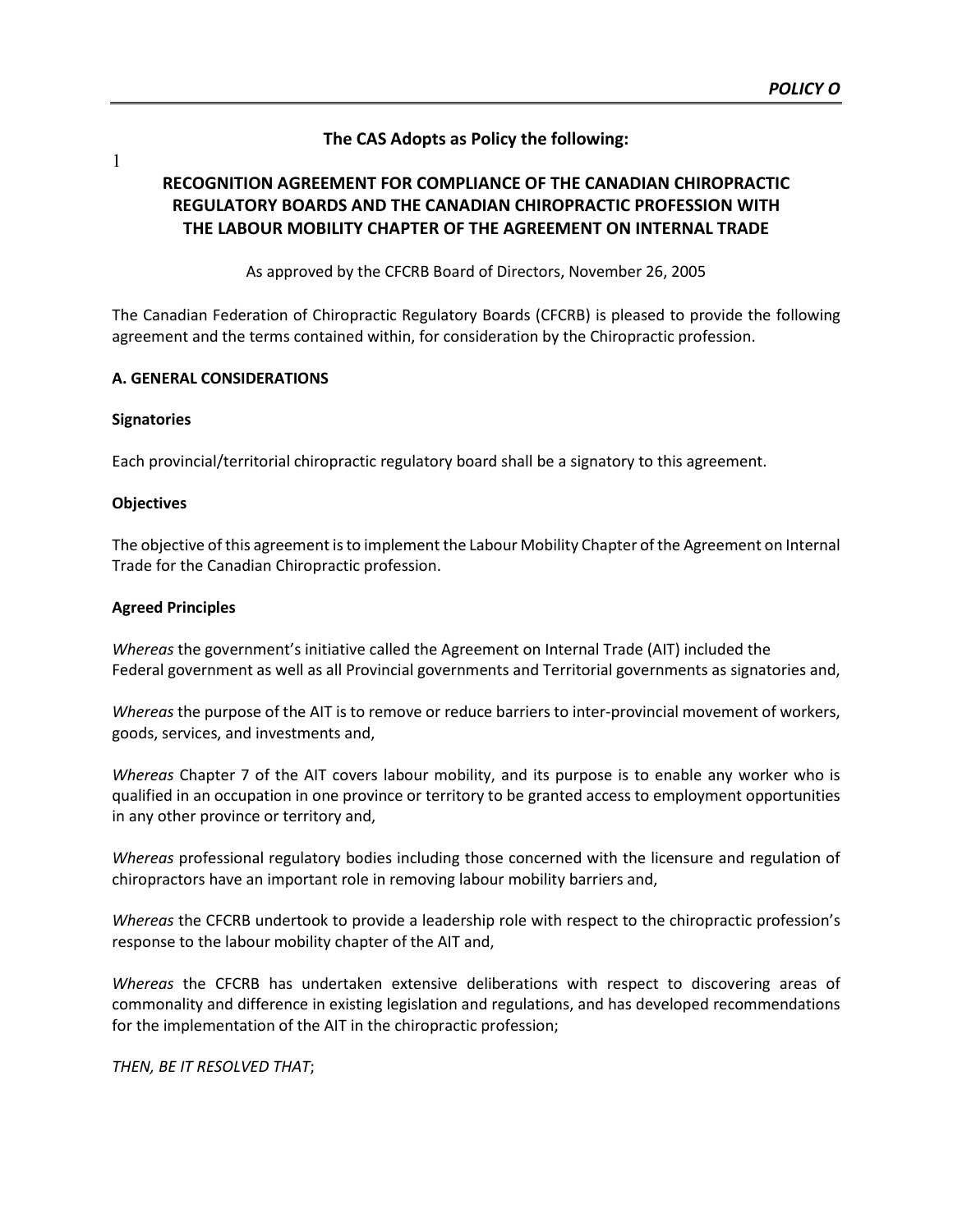#### **The CAS Adopts as Policy the following:**

1

#### **RECOGNITION AGREEMENT FOR COMPLIANCE OF THE CANADIAN CHIROPRACTIC REGULATORY BOARDS AND THE CANADIAN CHIROPRACTIC PROFESSION WITH THE LABOUR MOBILITY CHAPTER OF THE AGREEMENT ON INTERNAL TRADE**

As approved by the CFCRB Board of Directors, November 26, 2005

The Canadian Federation of Chiropractic Regulatory Boards (CFCRB) is pleased to provide the following agreement and the terms contained within, for consideration by the Chiropractic profession.

#### **A. GENERAL CONSIDERATIONS**

#### **Signatories**

Each provincial/territorial chiropractic regulatory board shall be a signatory to this agreement.

#### **Objectives**

The objective of this agreement is to implement the Labour Mobility Chapter of the Agreement on Internal Trade for the Canadian Chiropractic profession.

#### **Agreed Principles**

*Whereas* the government's initiative called the Agreement on Internal Trade (AIT) included the Federal government as well as all Provincial governments and Territorial governments as signatories and,

*Whereas* the purpose of the AIT is to remove or reduce barriers to inter-provincial movement of workers, goods, services, and investments and,

*Whereas* Chapter 7 of the AIT covers labour mobility, and its purpose is to enable any worker who is qualified in an occupation in one province or territory to be granted access to employment opportunities in any other province or territory and,

*Whereas* professional regulatory bodies including those concerned with the licensure and regulation of chiropractors have an important role in removing labour mobility barriers and,

*Whereas* the CFCRB undertook to provide a leadership role with respect to the chiropractic profession's response to the labour mobility chapter of the AIT and,

*Whereas* the CFCRB has undertaken extensive deliberations with respect to discovering areas of commonality and difference in existing legislation and regulations, and has developed recommendations for the implementation of the AIT in the chiropractic profession;

*THEN, BE IT RESOLVED THAT*;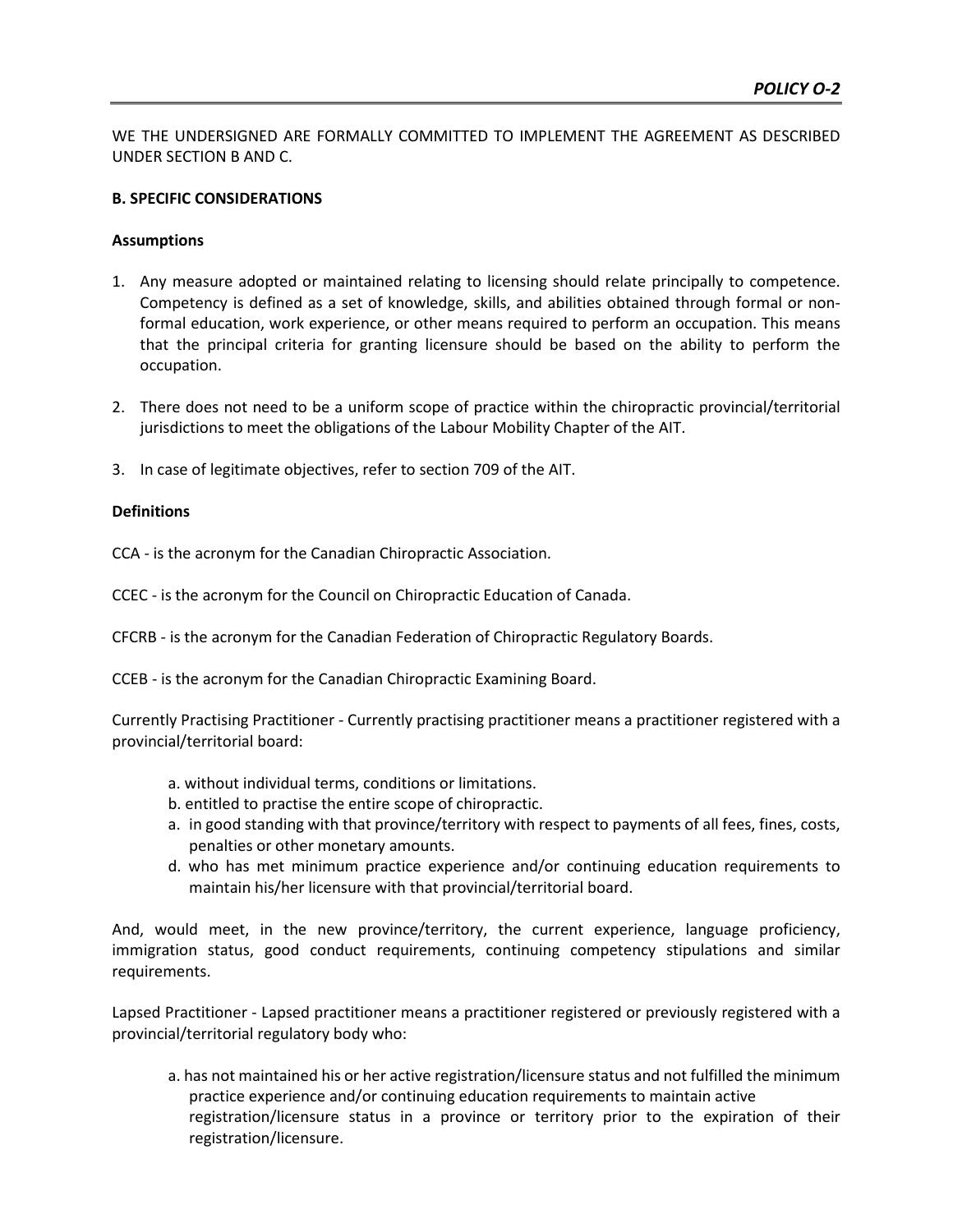WE THE UNDERSIGNED ARE FORMALLY COMMITTED TO IMPLEMENT THE AGREEMENT AS DESCRIBED UNDER SECTION B AND C.

#### **B. SPECIFIC CONSIDERATIONS**

#### **Assumptions**

- 1. Any measure adopted or maintained relating to licensing should relate principally to competence. Competency is defined as a set of knowledge, skills, and abilities obtained through formal or nonformal education, work experience, or other means required to perform an occupation. This means that the principal criteria for granting licensure should be based on the ability to perform the occupation.
- 2. There does not need to be a uniform scope of practice within the chiropractic provincial/territorial jurisdictions to meet the obligations of the Labour Mobility Chapter of the AIT.
- 3. In case of legitimate objectives, refer to section 709 of the AIT.

#### **Definitions**

CCA - is the acronym for the Canadian Chiropractic Association.

CCEC - is the acronym for the Council on Chiropractic Education of Canada.

CFCRB - is the acronym for the Canadian Federation of Chiropractic Regulatory Boards.

CCEB - is the acronym for the Canadian Chiropractic Examining Board.

Currently Practising Practitioner - Currently practising practitioner means a practitioner registered with a provincial/territorial board:

- a. without individual terms, conditions or limitations.
- b. entitled to practise the entire scope of chiropractic.
- a. in good standing with that province/territory with respect to payments of all fees, fines, costs, penalties or other monetary amounts.
- d. who has met minimum practice experience and/or continuing education requirements to maintain his/her licensure with that provincial/territorial board.

And, would meet, in the new province/territory, the current experience, language proficiency, immigration status, good conduct requirements, continuing competency stipulations and similar requirements.

Lapsed Practitioner - Lapsed practitioner means a practitioner registered or previously registered with a provincial/territorial regulatory body who:

a. has not maintained his or her active registration/licensure status and not fulfilled the minimum practice experience and/or continuing education requirements to maintain active registration/licensure status in a province or territory prior to the expiration of their registration/licensure.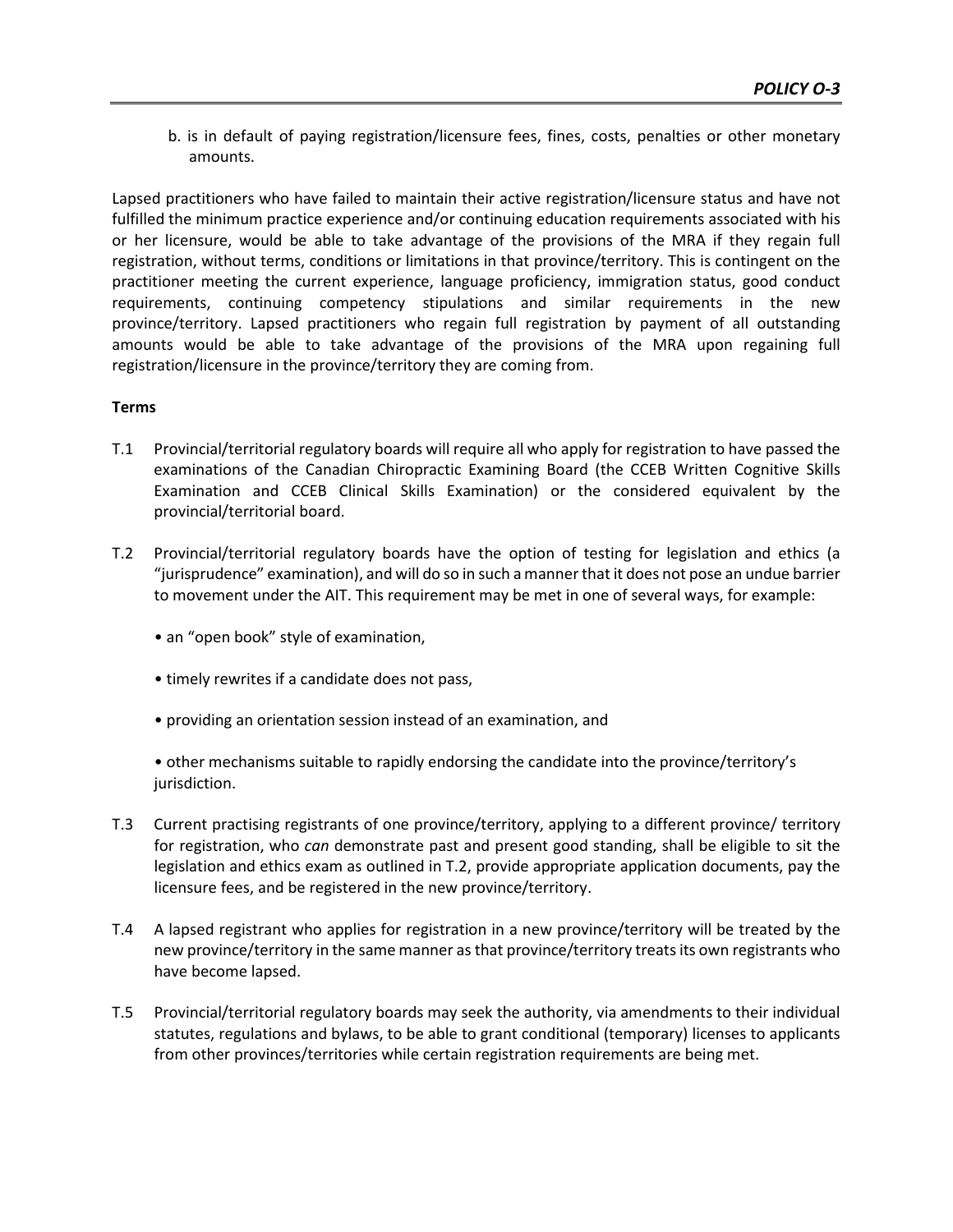b. is in default of paying registration/licensure fees, fines, costs, penalties or other monetary amounts.

Lapsed practitioners who have failed to maintain their active registration/licensure status and have not fulfilled the minimum practice experience and/or continuing education requirements associated with his or her licensure, would be able to take advantage of the provisions of the MRA if they regain full registration, without terms, conditions or limitations in that province/territory. This is contingent on the practitioner meeting the current experience, language proficiency, immigration status, good conduct requirements, continuing competency stipulations and similar requirements in the new province/territory. Lapsed practitioners who regain full registration by payment of all outstanding amounts would be able to take advantage of the provisions of the MRA upon regaining full registration/licensure in the province/territory they are coming from.

#### **Terms**

- T.1 Provincial/territorial regulatory boards will require all who apply for registration to have passed the examinations of the Canadian Chiropractic Examining Board (the CCEB Written Cognitive Skills Examination and CCEB Clinical Skills Examination) or the considered equivalent by the provincial/territorial board.
- T.2 Provincial/territorial regulatory boards have the option of testing for legislation and ethics (a "jurisprudence" examination), and will do so in such a manner that it does not pose an undue barrier to movement under the AIT. This requirement may be met in one of several ways, for example:
	- an "open book" style of examination,
	- timely rewrites if a candidate does not pass,
	- providing an orientation session instead of an examination, and

• other mechanisms suitable to rapidly endorsing the candidate into the province/territory's jurisdiction.

- T.3 Current practising registrants of one province/territory, applying to a different province/ territory for registration, who *can* demonstrate past and present good standing, shall be eligible to sit the legislation and ethics exam as outlined in T.2, provide appropriate application documents, pay the licensure fees, and be registered in the new province/territory.
- T.4 A lapsed registrant who applies for registration in a new province/territory will be treated by the new province/territory in the same manner as that province/territory treats its own registrants who have become lapsed.
- T.5 Provincial/territorial regulatory boards may seek the authority, via amendments to their individual statutes, regulations and bylaws, to be able to grant conditional (temporary) licenses to applicants from other provinces/territories while certain registration requirements are being met.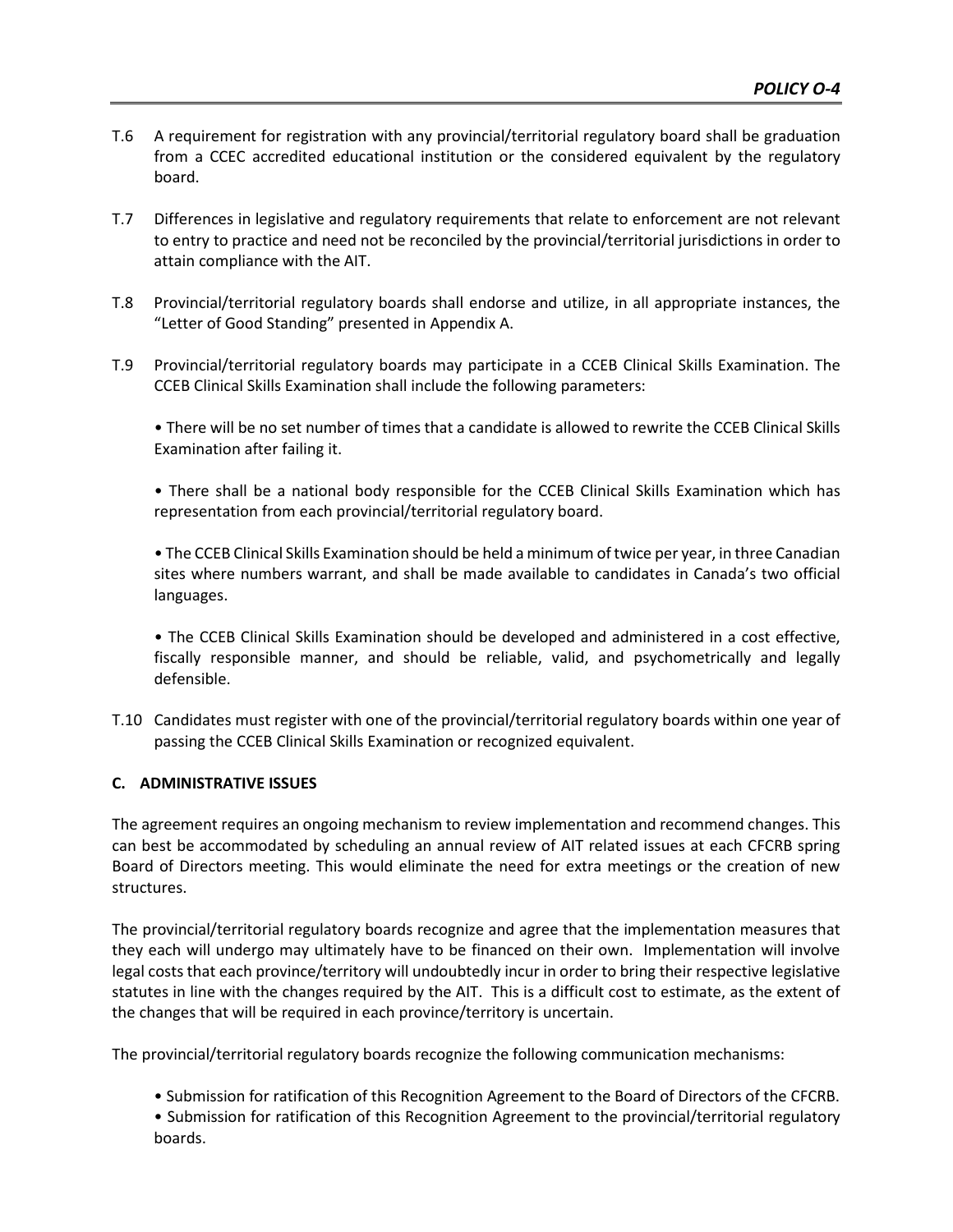- T.6 A requirement for registration with any provincial/territorial regulatory board shall be graduation from a CCEC accredited educational institution or the considered equivalent by the regulatory board.
- T.7 Differences in legislative and regulatory requirements that relate to enforcement are not relevant to entry to practice and need not be reconciled by the provincial/territorial jurisdictions in order to attain compliance with the AIT.
- T.8 Provincial/territorial regulatory boards shall endorse and utilize, in all appropriate instances, the "Letter of Good Standing" presented in Appendix A.
- T.9 Provincial/territorial regulatory boards may participate in a CCEB Clinical Skills Examination. The CCEB Clinical Skills Examination shall include the following parameters:

• There will be no set number of times that a candidate is allowed to rewrite the CCEB Clinical Skills Examination after failing it.

• There shall be a national body responsible for the CCEB Clinical Skills Examination which has representation from each provincial/territorial regulatory board.

• The CCEB Clinical Skills Examination should be held a minimum of twice per year, in three Canadian sites where numbers warrant, and shall be made available to candidates in Canada's two official languages.

• The CCEB Clinical Skills Examination should be developed and administered in a cost effective, fiscally responsible manner, and should be reliable, valid, and psychometrically and legally defensible.

T.10 Candidates must register with one of the provincial/territorial regulatory boards within one year of passing the CCEB Clinical Skills Examination or recognized equivalent.

#### **C. ADMINISTRATIVE ISSUES**

The agreement requires an ongoing mechanism to review implementation and recommend changes. This can best be accommodated by scheduling an annual review of AIT related issues at each CFCRB spring Board of Directors meeting. This would eliminate the need for extra meetings or the creation of new structures.

The provincial/territorial regulatory boards recognize and agree that the implementation measures that they each will undergo may ultimately have to be financed on their own. Implementation will involve legal costs that each province/territory will undoubtedly incur in order to bring their respective legislative statutes in line with the changes required by the AIT. This is a difficult cost to estimate, as the extent of the changes that will be required in each province/territory is uncertain.

The provincial/territorial regulatory boards recognize the following communication mechanisms:

- Submission for ratification of this Recognition Agreement to the Board of Directors of the CFCRB.
- Submission for ratification of this Recognition Agreement to the provincial/territorial regulatory boards.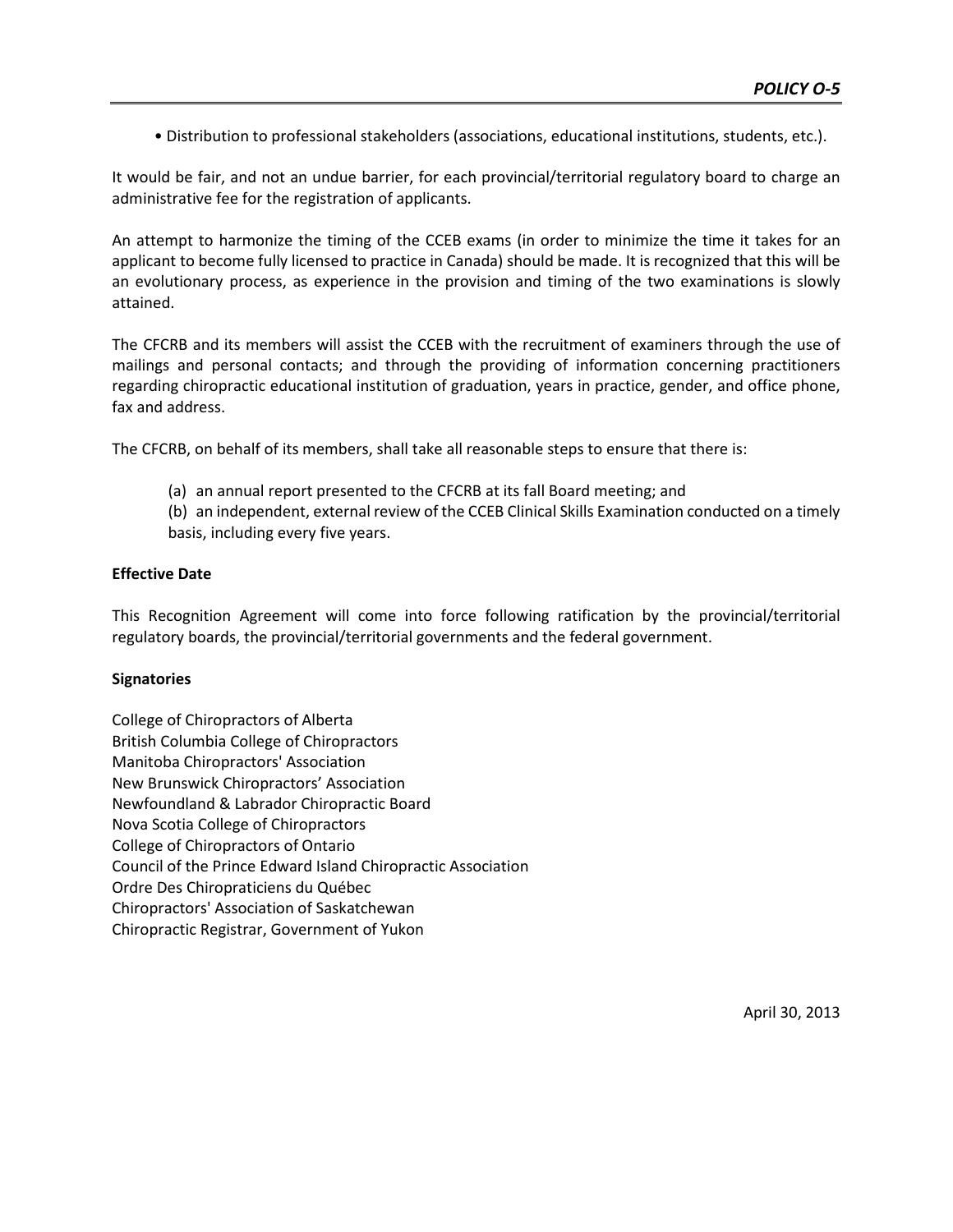• Distribution to professional stakeholders (associations, educational institutions, students, etc.).

It would be fair, and not an undue barrier, for each provincial/territorial regulatory board to charge an administrative fee for the registration of applicants.

An attempt to harmonize the timing of the CCEB exams (in order to minimize the time it takes for an applicant to become fully licensed to practice in Canada) should be made. It is recognized that this will be an evolutionary process, as experience in the provision and timing of the two examinations is slowly attained.

The CFCRB and its members will assist the CCEB with the recruitment of examiners through the use of mailings and personal contacts; and through the providing of information concerning practitioners regarding chiropractic educational institution of graduation, years in practice, gender, and office phone, fax and address.

The CFCRB, on behalf of its members, shall take all reasonable steps to ensure that there is:

(a) an annual report presented to the CFCRB at its fall Board meeting; and

(b) an independent, external review of the CCEB Clinical Skills Examination conducted on a timely basis, including every five years.

#### **Effective Date**

This Recognition Agreement will come into force following ratification by the provincial/territorial regulatory boards, the provincial/territorial governments and the federal government.

#### **Signatories**

College of Chiropractors of Alberta British Columbia College of Chiropractors Manitoba Chiropractors' Association New Brunswick Chiropractors' Association Newfoundland & Labrador Chiropractic Board Nova Scotia College of Chiropractors College of Chiropractors of Ontario Council of the Prince Edward Island Chiropractic Association Ordre Des Chiropraticiens du Québec Chiropractors' Association of Saskatchewan Chiropractic Registrar, Government of Yukon

April 30, 2013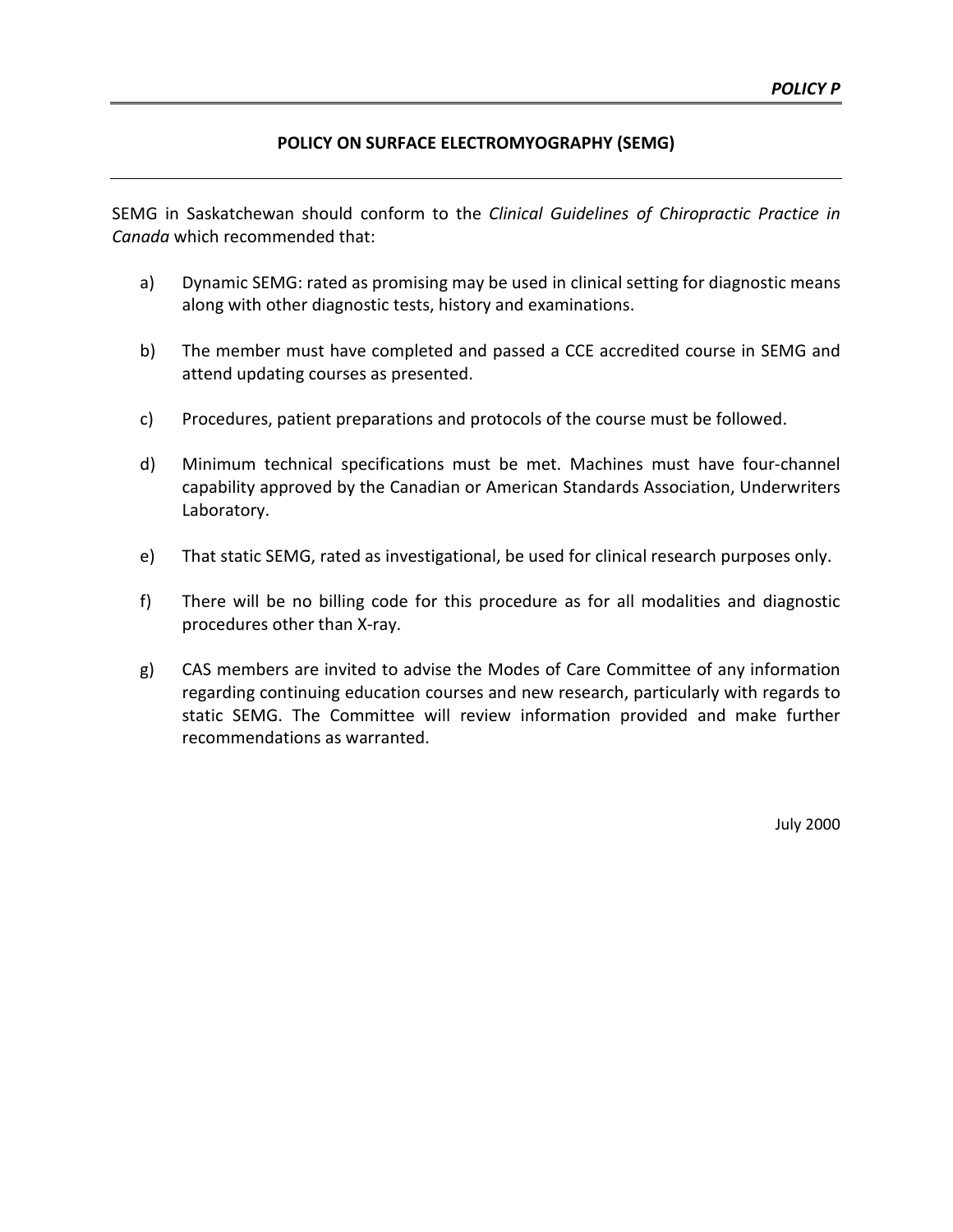#### **POLICY ON SURFACE ELECTROMYOGRAPHY (SEMG)**

SEMG in Saskatchewan should conform to the *Clinical Guidelines of Chiropractic Practice in Canada* which recommended that:

- a) Dynamic SEMG: rated as promising may be used in clinical setting for diagnostic means along with other diagnostic tests, history and examinations.
- b) The member must have completed and passed a CCE accredited course in SEMG and attend updating courses as presented.
- c) Procedures, patient preparations and protocols of the course must be followed.
- d) Minimum technical specifications must be met. Machines must have four-channel capability approved by the Canadian or American Standards Association, Underwriters Laboratory.
- e) That static SEMG, rated as investigational, be used for clinical research purposes only.
- f) There will be no billing code for this procedure as for all modalities and diagnostic procedures other than X-ray.
- g) CAS members are invited to advise the Modes of Care Committee of any information regarding continuing education courses and new research, particularly with regards to static SEMG. The Committee will review information provided and make further recommendations as warranted.

July 2000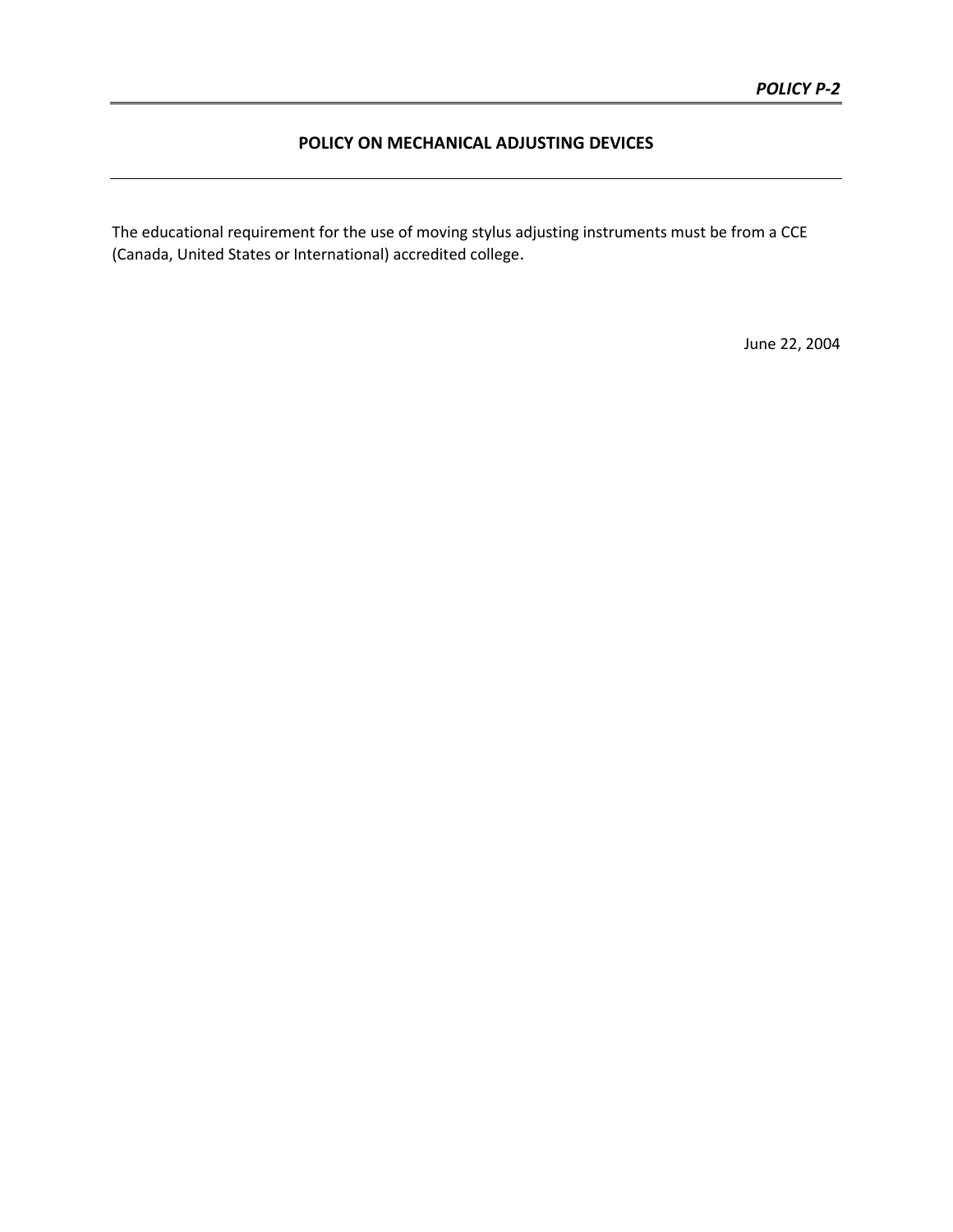### **POLICY ON MECHANICAL ADJUSTING DEVICES**

The educational requirement for the use of moving stylus adjusting instruments must be from a CCE (Canada, United States or International) accredited college.

June 22, 2004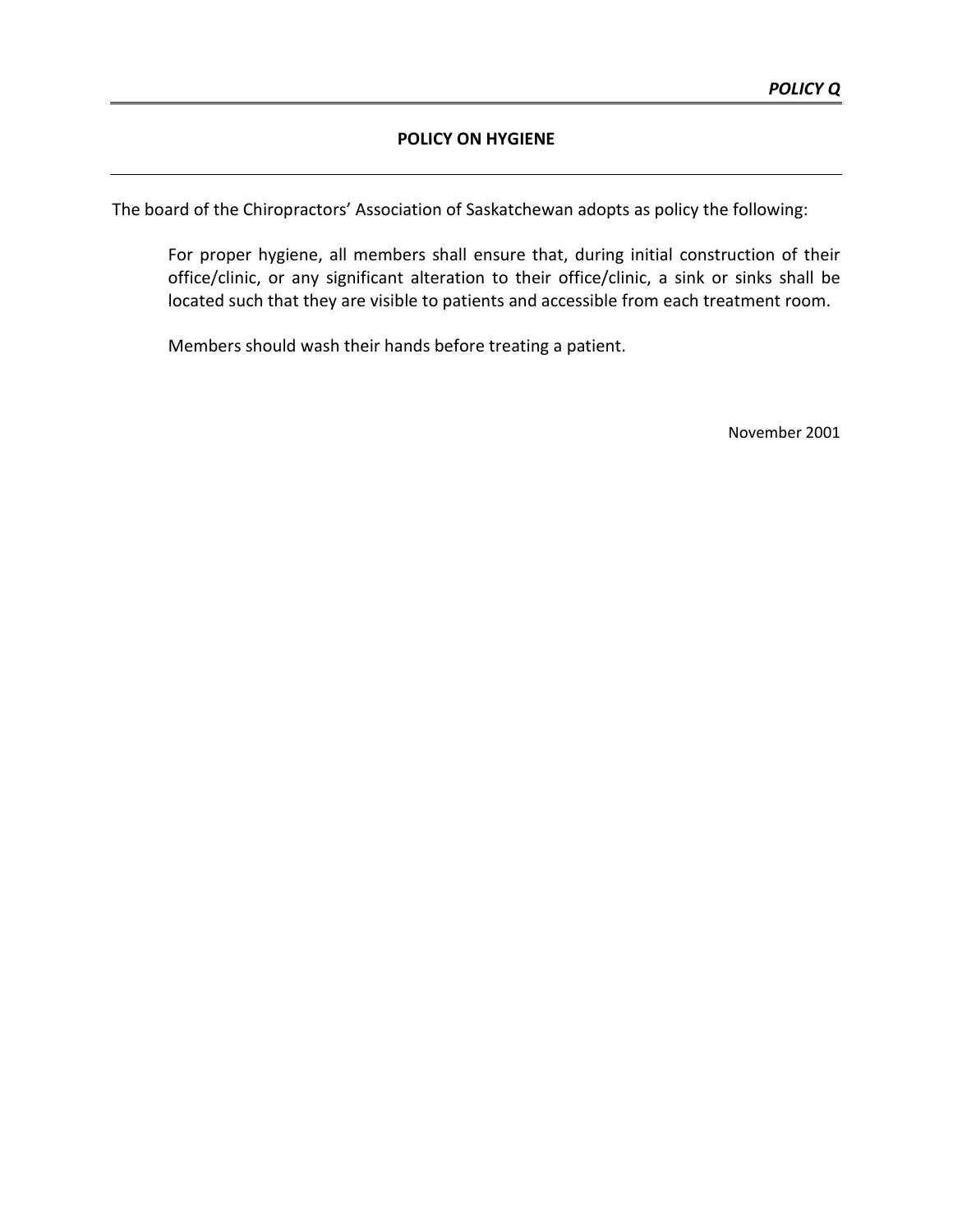# **POLICY ON HYGIENE**

The board of the Chiropractors' Association of Saskatchewan adopts as policy the following:

For proper hygiene, all members shall ensure that, during initial construction of their office/clinic, or any significant alteration to their office/clinic, a sink or sinks shall be located such that they are visible to patients and accessible from each treatment room.

Members should wash their hands before treating a patient.

November 2001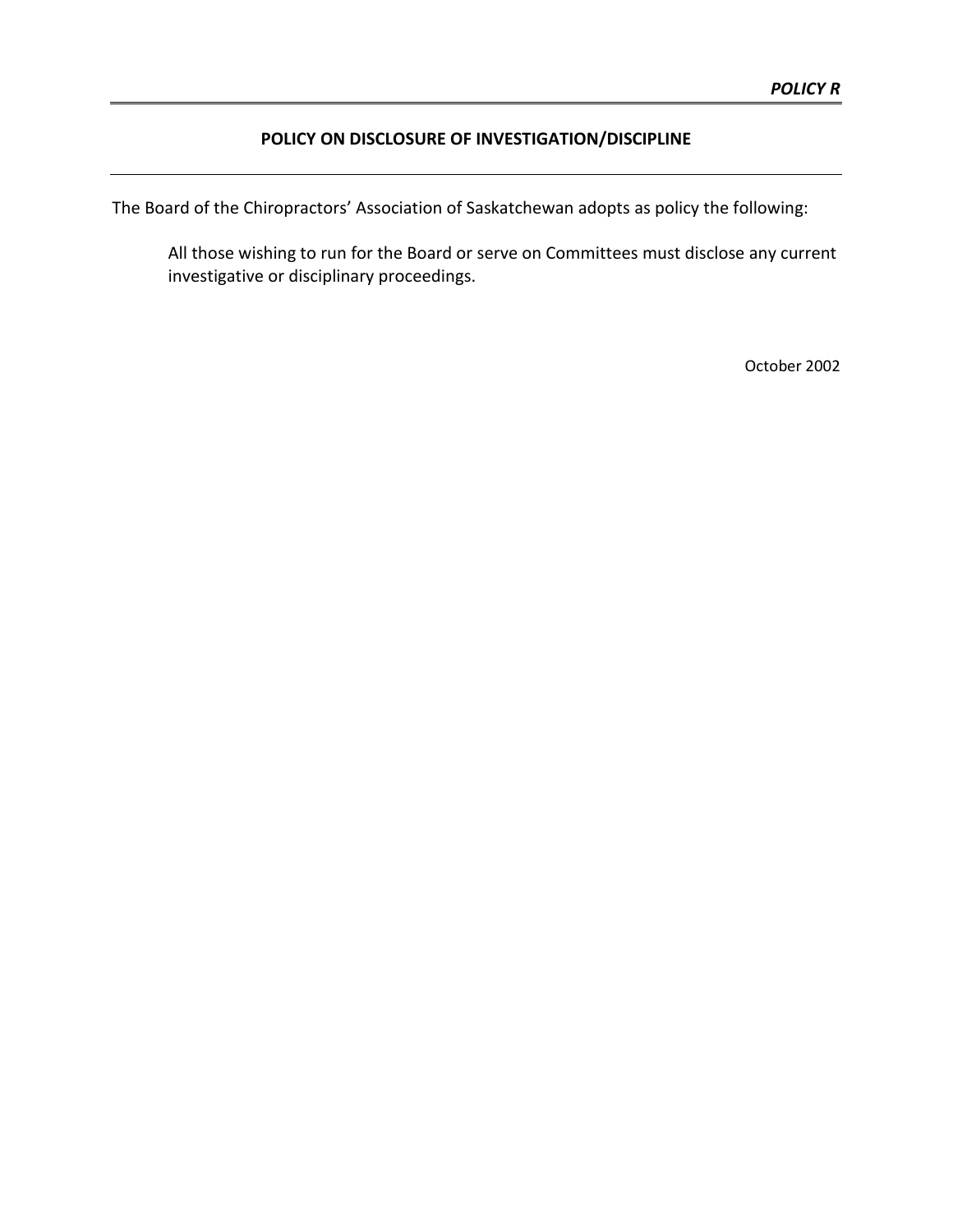# **POLICY ON DISCLOSURE OF INVESTIGATION/DISCIPLINE**

The Board of the Chiropractors' Association of Saskatchewan adopts as policy the following:

All those wishing to run for the Board or serve on Committees must disclose any current investigative or disciplinary proceedings.

October 2002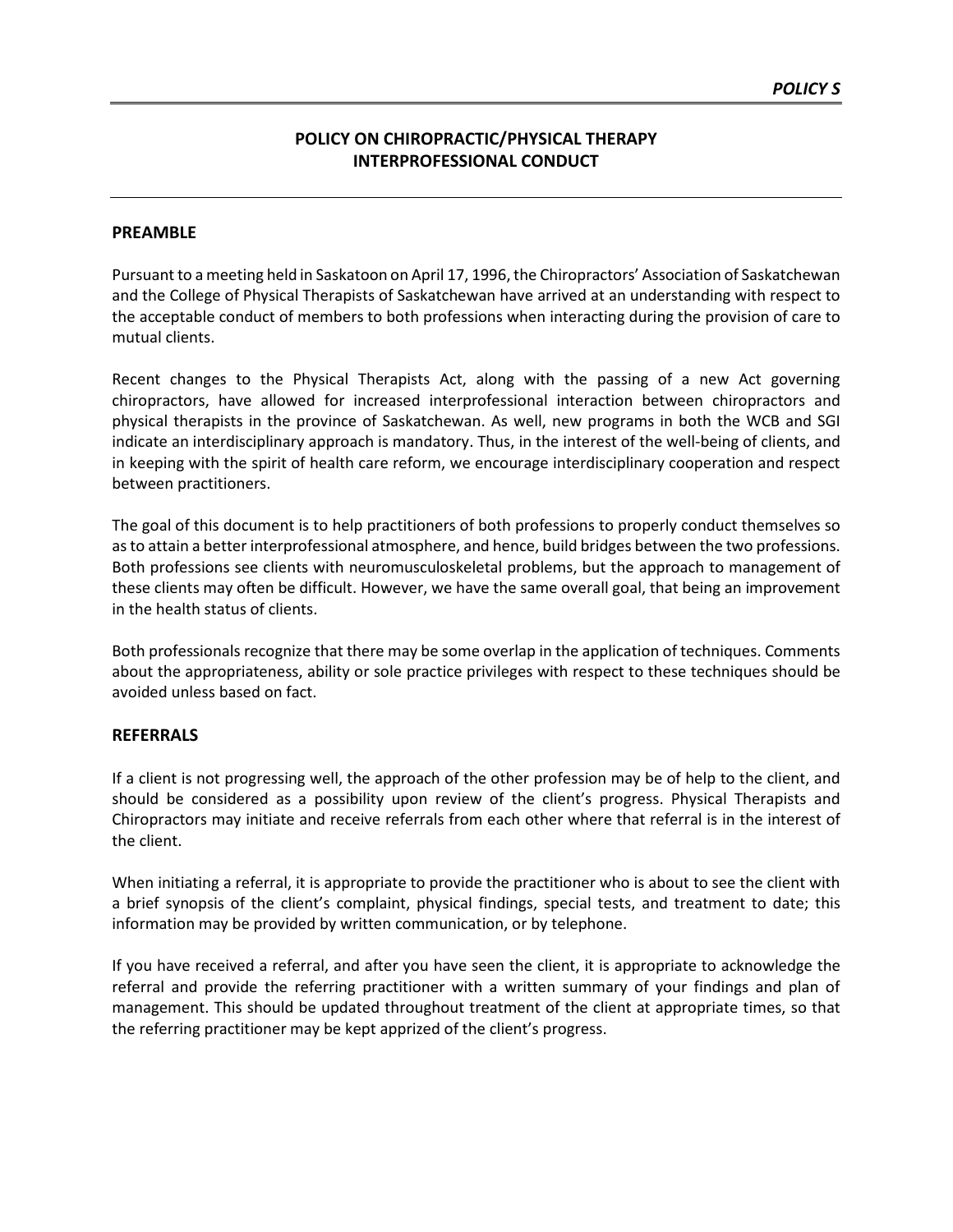# **POLICY ON CHIROPRACTIC/PHYSICAL THERAPY INTERPROFESSIONAL CONDUCT**

#### **PREAMBLE**

Pursuant to a meeting held in Saskatoon on April 17, 1996, the Chiropractors' Association of Saskatchewan and the College of Physical Therapists of Saskatchewan have arrived at an understanding with respect to the acceptable conduct of members to both professions when interacting during the provision of care to mutual clients.

Recent changes to the Physical Therapists Act, along with the passing of a new Act governing chiropractors, have allowed for increased interprofessional interaction between chiropractors and physical therapists in the province of Saskatchewan. As well, new programs in both the WCB and SGI indicate an interdisciplinary approach is mandatory. Thus, in the interest of the well-being of clients, and in keeping with the spirit of health care reform, we encourage interdisciplinary cooperation and respect between practitioners.

The goal of this document is to help practitioners of both professions to properly conduct themselves so as to attain a better interprofessional atmosphere, and hence, build bridges between the two professions. Both professions see clients with neuromusculoskeletal problems, but the approach to management of these clients may often be difficult. However, we have the same overall goal, that being an improvement in the health status of clients.

Both professionals recognize that there may be some overlap in the application of techniques. Comments about the appropriateness, ability or sole practice privileges with respect to these techniques should be avoided unless based on fact.

### **REFERRALS**

If a client is not progressing well, the approach of the other profession may be of help to the client, and should be considered as a possibility upon review of the client's progress. Physical Therapists and Chiropractors may initiate and receive referrals from each other where that referral is in the interest of the client.

When initiating a referral, it is appropriate to provide the practitioner who is about to see the client with a brief synopsis of the client's complaint, physical findings, special tests, and treatment to date; this information may be provided by written communication, or by telephone.

If you have received a referral, and after you have seen the client, it is appropriate to acknowledge the referral and provide the referring practitioner with a written summary of your findings and plan of management. This should be updated throughout treatment of the client at appropriate times, so that the referring practitioner may be kept apprized of the client's progress.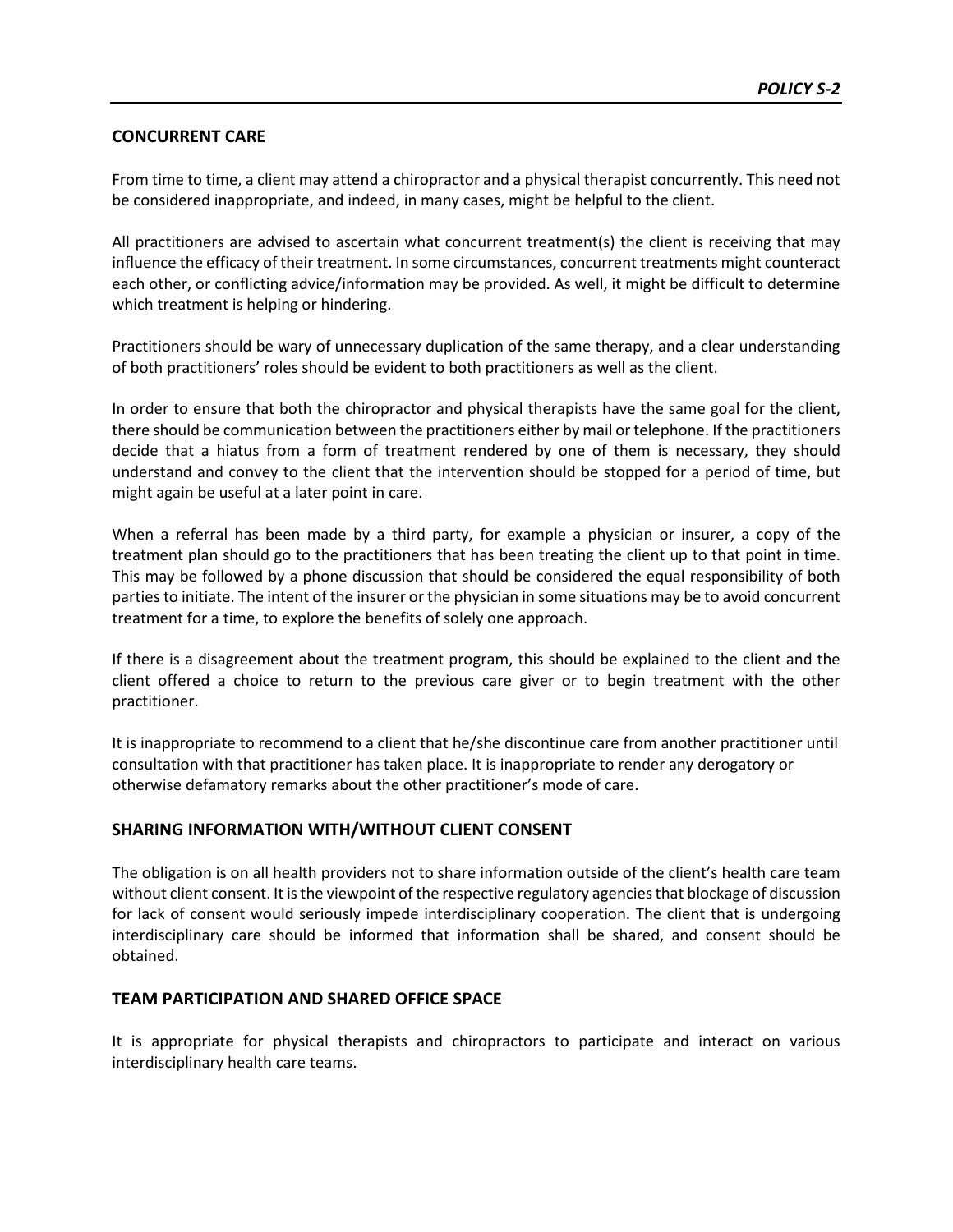## **CONCURRENT CARE**

From time to time, a client may attend a chiropractor and a physical therapist concurrently. This need not be considered inappropriate, and indeed, in many cases, might be helpful to the client.

All practitioners are advised to ascertain what concurrent treatment(s) the client is receiving that may influence the efficacy of their treatment. In some circumstances, concurrent treatments might counteract each other, or conflicting advice/information may be provided. As well, it might be difficult to determine which treatment is helping or hindering.

Practitioners should be wary of unnecessary duplication of the same therapy, and a clear understanding of both practitioners' roles should be evident to both practitioners as well as the client.

In order to ensure that both the chiropractor and physical therapists have the same goal for the client, there should be communication between the practitioners either by mail or telephone. If the practitioners decide that a hiatus from a form of treatment rendered by one of them is necessary, they should understand and convey to the client that the intervention should be stopped for a period of time, but might again be useful at a later point in care.

When a referral has been made by a third party, for example a physician or insurer, a copy of the treatment plan should go to the practitioners that has been treating the client up to that point in time. This may be followed by a phone discussion that should be considered the equal responsibility of both parties to initiate. The intent of the insurer or the physician in some situations may be to avoid concurrent treatment for a time, to explore the benefits of solely one approach.

If there is a disagreement about the treatment program, this should be explained to the client and the client offered a choice to return to the previous care giver or to begin treatment with the other practitioner.

It is inappropriate to recommend to a client that he/she discontinue care from another practitioner until consultation with that practitioner has taken place. It is inappropriate to render any derogatory or otherwise defamatory remarks about the other practitioner's mode of care.

### **SHARING INFORMATION WITH/WITHOUT CLIENT CONSENT**

The obligation is on all health providers not to share information outside of the client's health care team without client consent. It is the viewpoint of the respective regulatory agencies that blockage of discussion for lack of consent would seriously impede interdisciplinary cooperation. The client that is undergoing interdisciplinary care should be informed that information shall be shared, and consent should be obtained.

### **TEAM PARTICIPATION AND SHARED OFFICE SPACE**

It is appropriate for physical therapists and chiropractors to participate and interact on various interdisciplinary health care teams.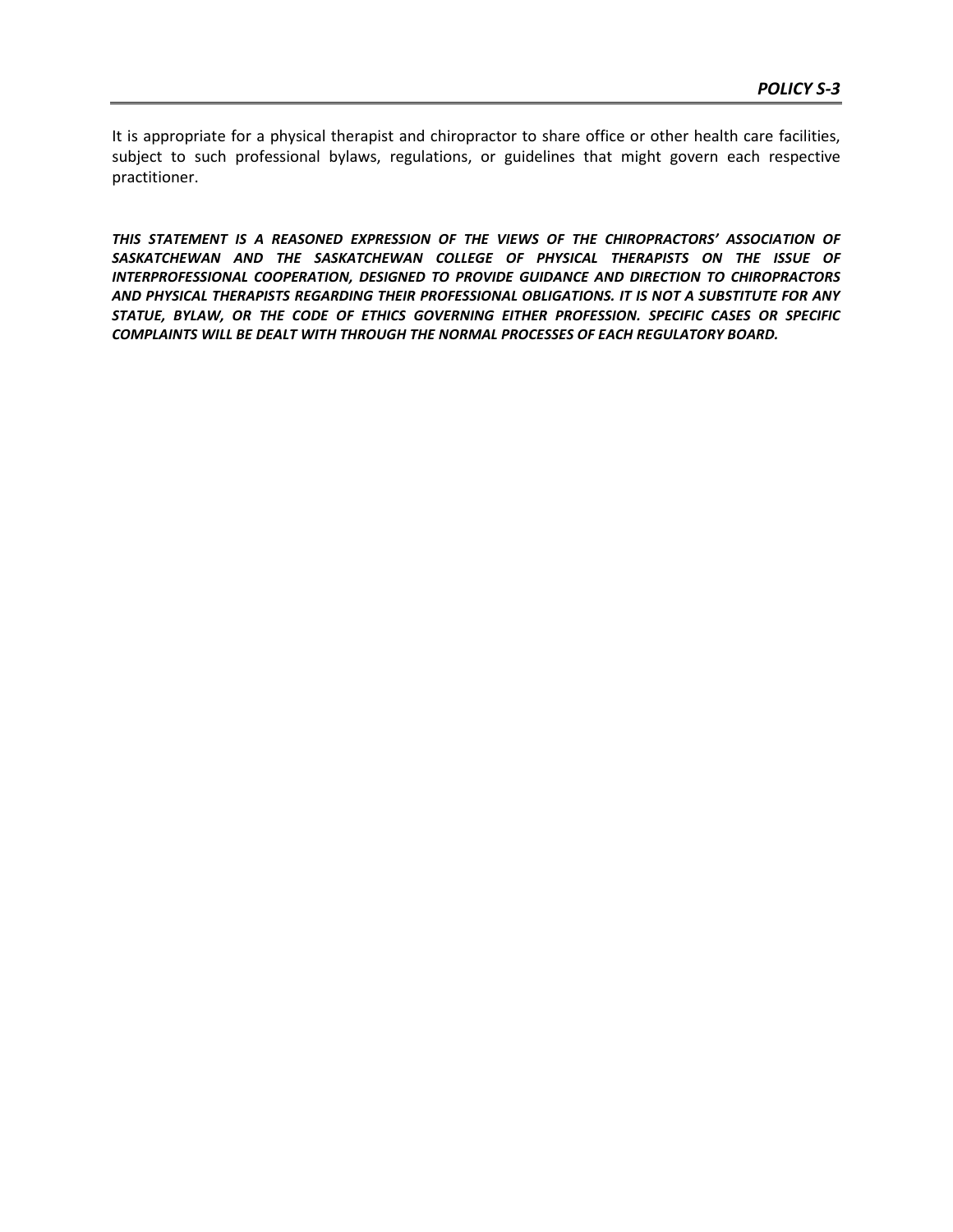It is appropriate for a physical therapist and chiropractor to share office or other health care facilities, subject to such professional bylaws, regulations, or guidelines that might govern each respective practitioner.

*THIS STATEMENT IS A REASONED EXPRESSION OF THE VIEWS OF THE CHIROPRACTORS' ASSOCIATION OF*  SASKATCHEWAN AND THE SASKATCHEWAN COLLEGE OF PHYSICAL THERAPISTS ON THE ISSUE OF *INTERPROFESSIONAL COOPERATION, DESIGNED TO PROVIDE GUIDANCE AND DIRECTION TO CHIROPRACTORS AND PHYSICAL THERAPISTS REGARDING THEIR PROFESSIONAL OBLIGATIONS. IT IS NOT A SUBSTITUTE FOR ANY STATUE, BYLAW, OR THE CODE OF ETHICS GOVERNING EITHER PROFESSION. SPECIFIC CASES OR SPECIFIC COMPLAINTS WILL BE DEALT WITH THROUGH THE NORMAL PROCESSES OF EACH REGULATORY BOARD.*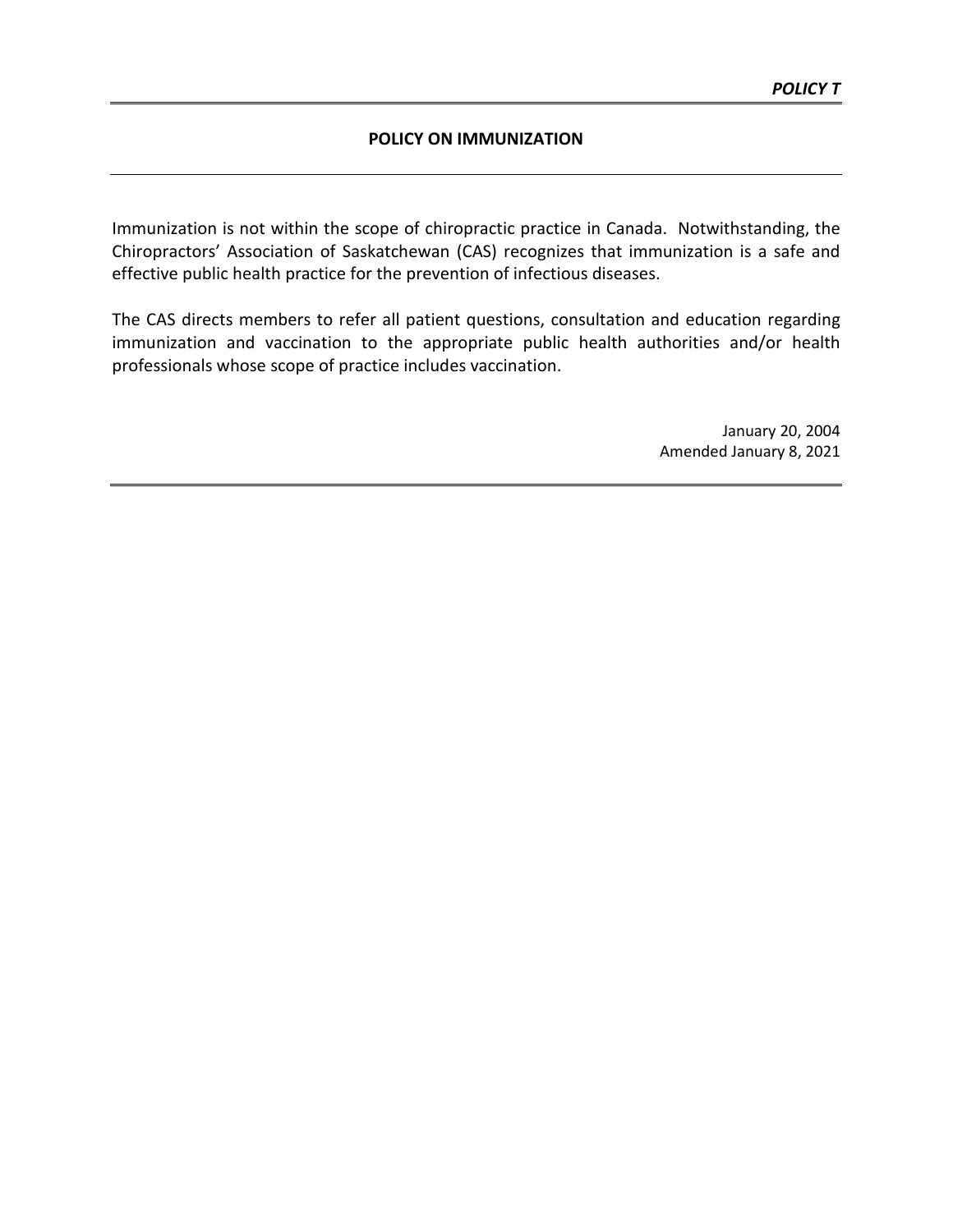#### **POLICY ON IMMUNIZATION**

Immunization is not within the scope of chiropractic practice in Canada. Notwithstanding, the Chiropractors' Association of Saskatchewan (CAS) recognizes that immunization is a safe and effective public health practice for the prevention of infectious diseases.

The CAS directs members to refer all patient questions, consultation and education regarding immunization and vaccination to the appropriate public health authorities and/or health professionals whose scope of practice includes vaccination.

> January 20, 2004 Amended January 8, 2021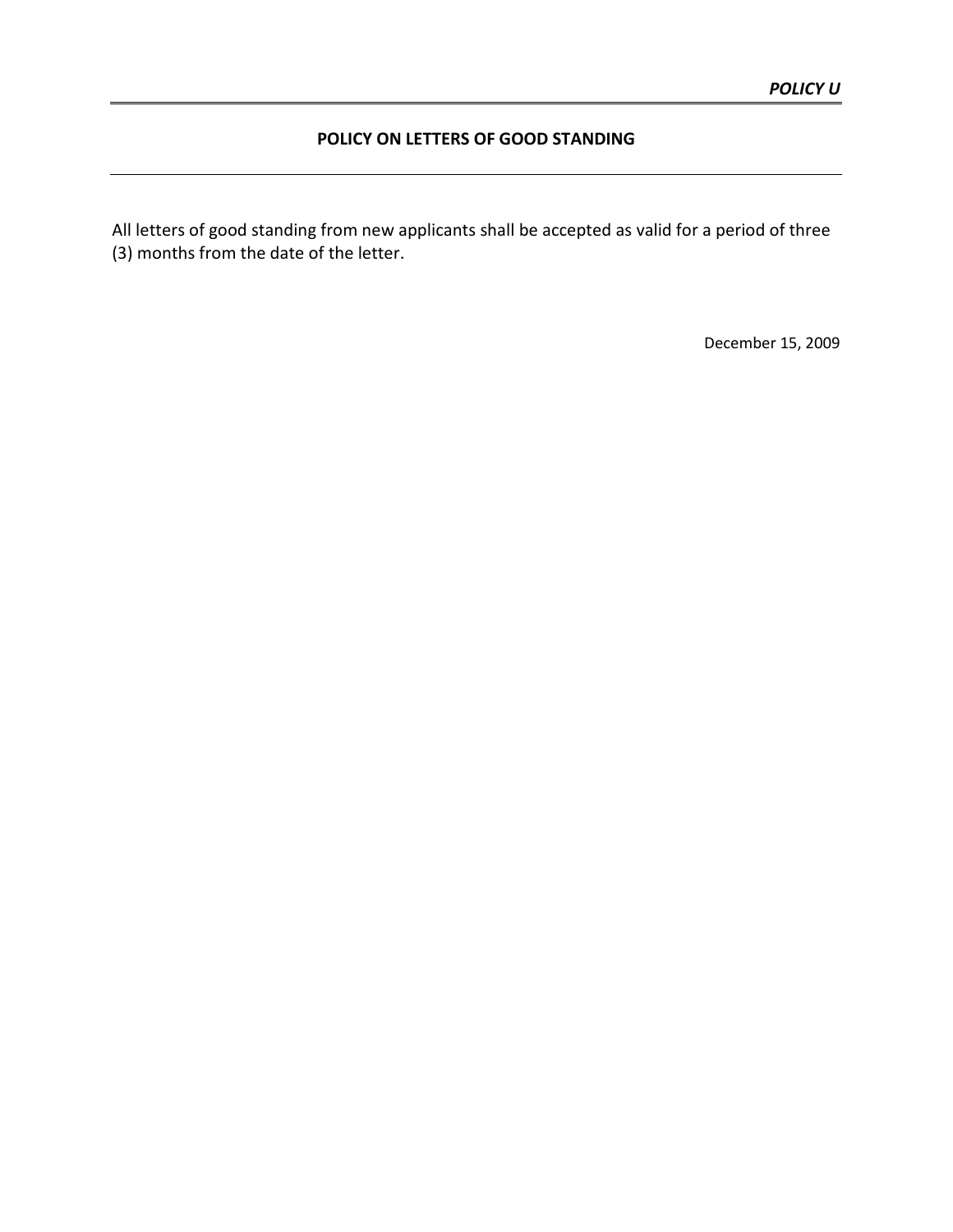# **POLICY ON LETTERS OF GOOD STANDING**

All letters of good standing from new applicants shall be accepted as valid for a period of three (3) months from the date of the letter.

December 15, 2009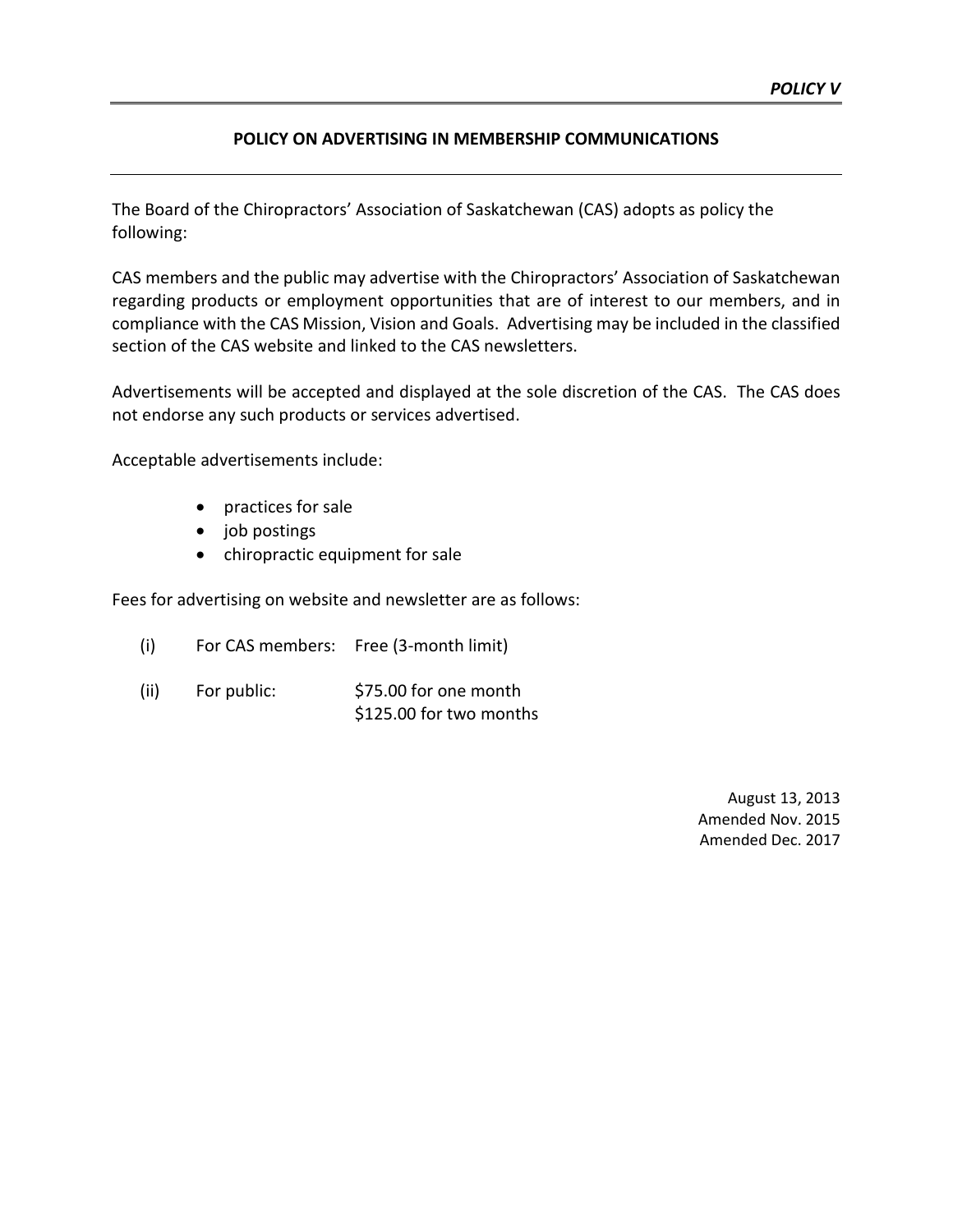## **POLICY ON ADVERTISING IN MEMBERSHIP COMMUNICATIONS**

The Board of the Chiropractors' Association of Saskatchewan (CAS) adopts as policy the following:

CAS members and the public may advertise with the Chiropractors' Association of Saskatchewan regarding products or employment opportunities that are of interest to our members, and in compliance with the CAS Mission, Vision and Goals. Advertising may be included in the classified section of the CAS website and linked to the CAS newsletters.

Advertisements will be accepted and displayed at the sole discretion of the CAS. The CAS does not endorse any such products or services advertised.

Acceptable advertisements include:

- practices for sale
- job postings
- chiropractic equipment for sale

Fees for advertising on website and newsletter are as follows:

- (i) For CAS members: Free (3-month limit)
- (ii) For public:  $$75.00$  for one month \$125.00 for two months

August 13, 2013 Amended Nov. 2015 Amended Dec. 2017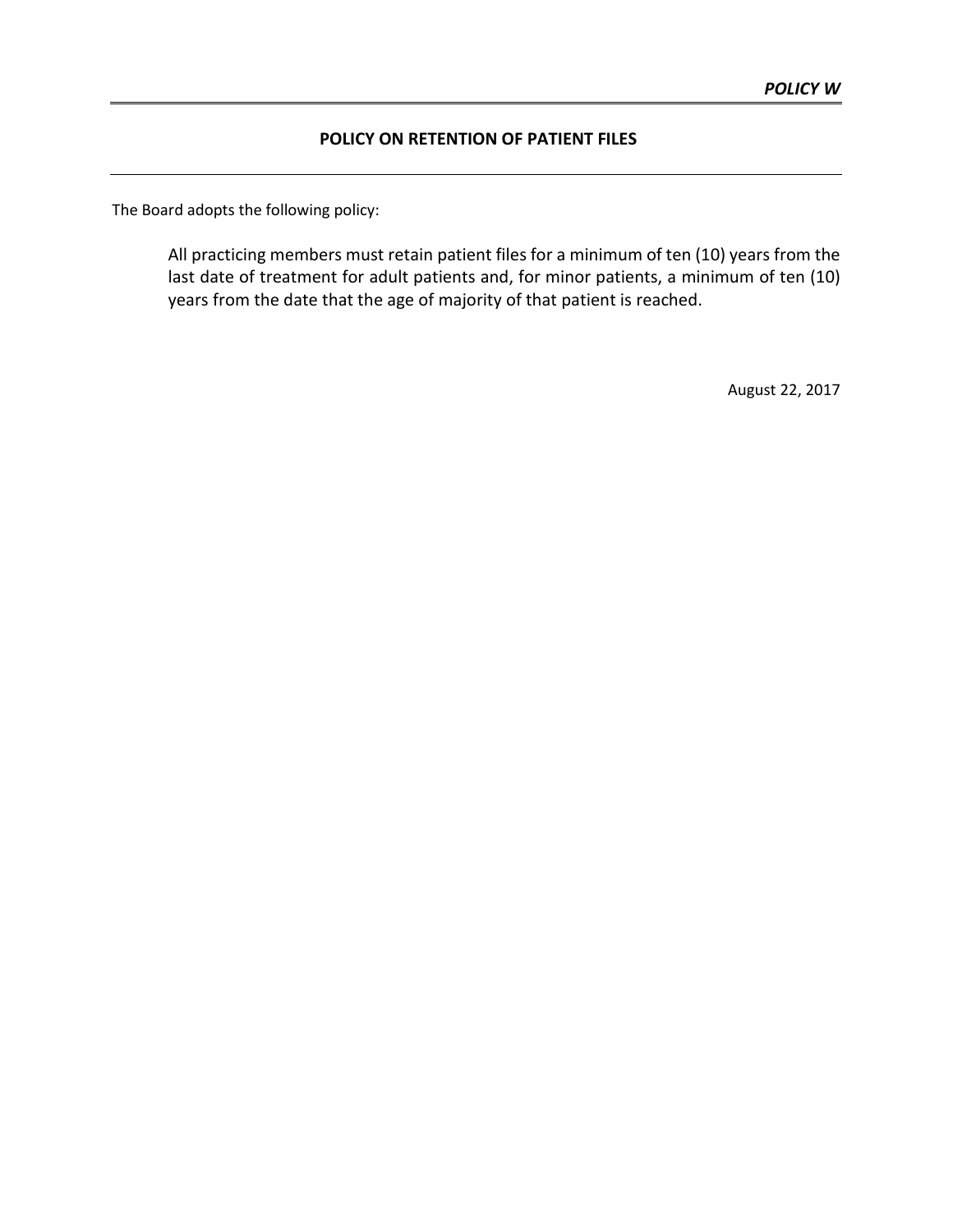# **POLICY ON RETENTION OF PATIENT FILES**

The Board adopts the following policy:

All practicing members must retain patient files for a minimum of ten (10) years from the last date of treatment for adult patients and, for minor patients, a minimum of ten (10) years from the date that the age of majority of that patient is reached.

August 22, 2017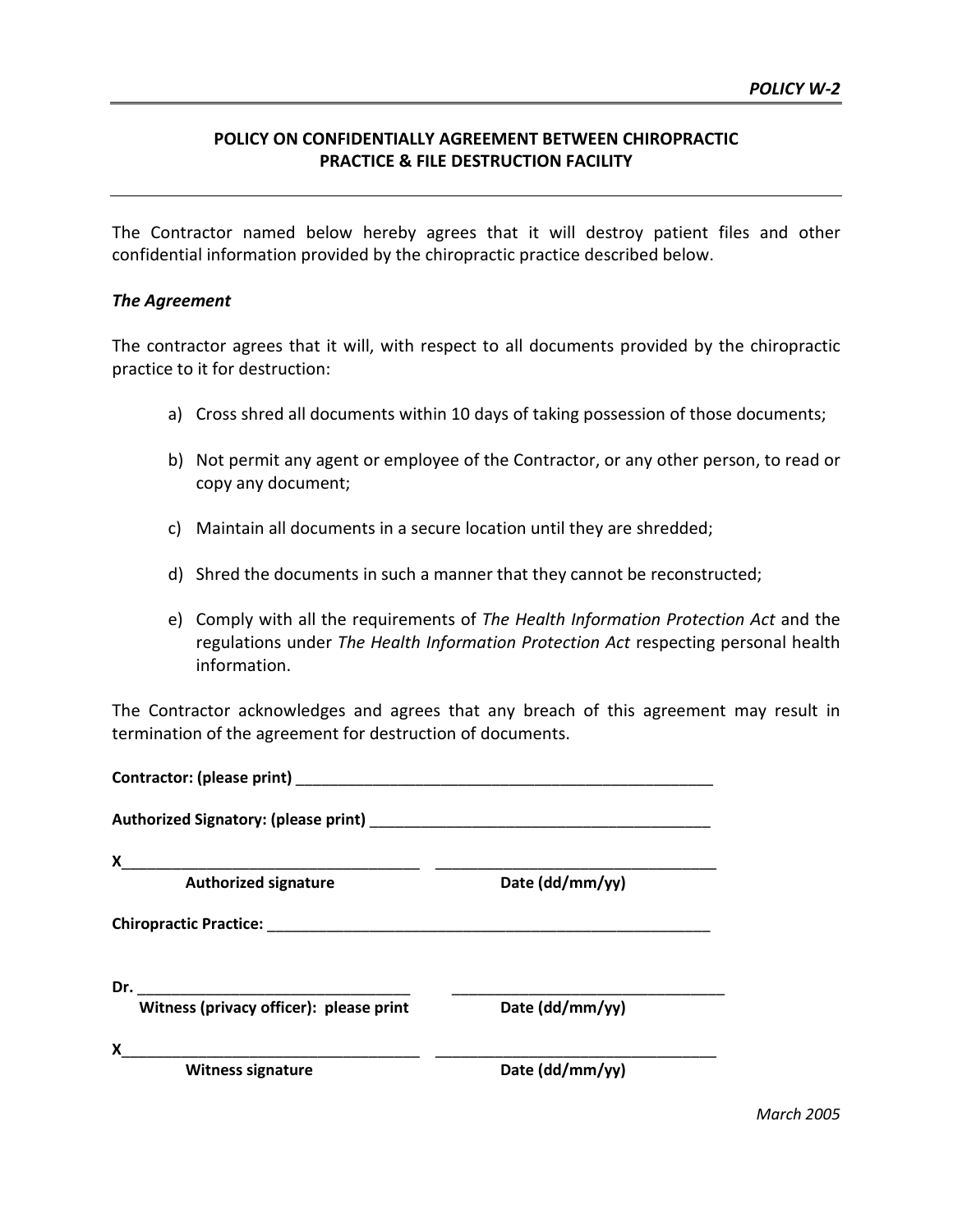# **POLICY ON CONFIDENTIALLY AGREEMENT BETWEEN CHIROPRACTIC PRACTICE & FILE DESTRUCTION FACILITY**

The Contractor named below hereby agrees that it will destroy patient files and other confidential information provided by the chiropractic practice described below.

#### *The Agreement*

The contractor agrees that it will, with respect to all documents provided by the chiropractic practice to it for destruction:

- a) Cross shred all documents within 10 days of taking possession of those documents;
- b) Not permit any agent or employee of the Contractor, or any other person, to read or copy any document;
- c) Maintain all documents in a secure location until they are shredded;
- d) Shred the documents in such a manner that they cannot be reconstructed;
- e) Comply with all the requirements of *The Health Information Protection Act* and the regulations under *The Health Information Protection Act* respecting personal health information.

The Contractor acknowledges and agrees that any breach of this agreement may result in termination of the agreement for destruction of documents.

| Contractor: (please print)                               |                 |  |  |
|----------------------------------------------------------|-----------------|--|--|
|                                                          |                 |  |  |
| X                                                        |                 |  |  |
| <b>Authorized signature</b>                              | Date (dd/mm/yy) |  |  |
| <b>Chiropractic Practice:</b> The Chiropractic Practice: |                 |  |  |
|                                                          |                 |  |  |
| Witness (privacy officer): please print                  | Date (dd/mm/yy) |  |  |
| X                                                        |                 |  |  |
| <b>Witness signature</b>                                 | Date (dd/mm/yy) |  |  |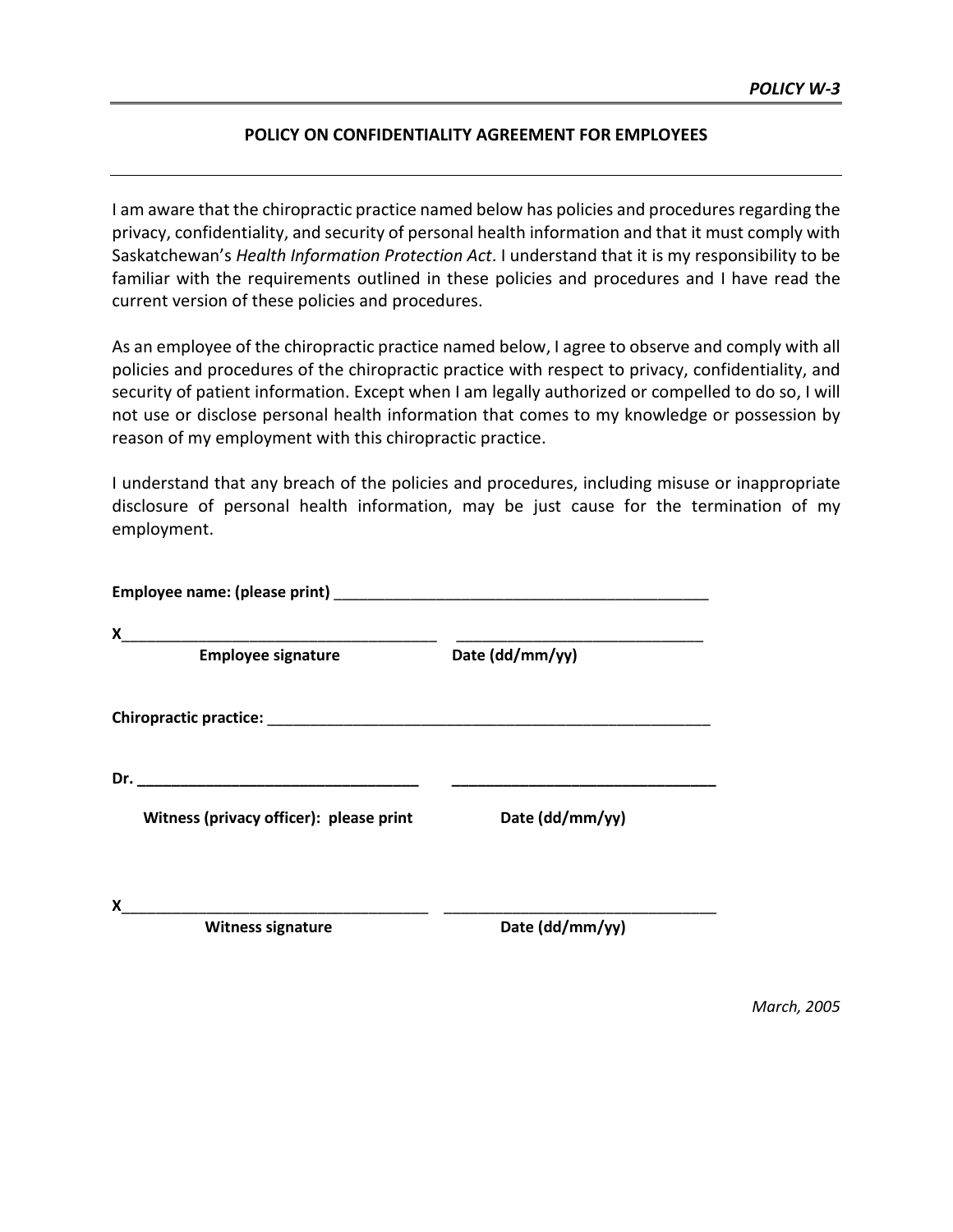## **POLICY ON CONFIDENTIALITY AGREEMENT FOR EMPLOYEES**

I am aware that the chiropractic practice named below has policies and procedures regarding the privacy, confidentiality, and security of personal health information and that it must comply with Saskatchewan's *Health Information Protection Act*. I understand that it is my responsibility to be familiar with the requirements outlined in these policies and procedures and I have read the current version of these policies and procedures.

As an employee of the chiropractic practice named below, I agree to observe and comply with all policies and procedures of the chiropractic practice with respect to privacy, confidentiality, and security of patient information. Except when I am legally authorized or compelled to do so, I will not use or disclose personal health information that comes to my knowledge or possession by reason of my employment with this chiropractic practice.

I understand that any breach of the policies and procedures, including misuse or inappropriate disclosure of personal health information, may be just cause for the termination of my employment.

| Date (dd/mm/yy) |
|-----------------|
|                 |
| Date (dd/mm/yy) |
|                 |

*March, 2005*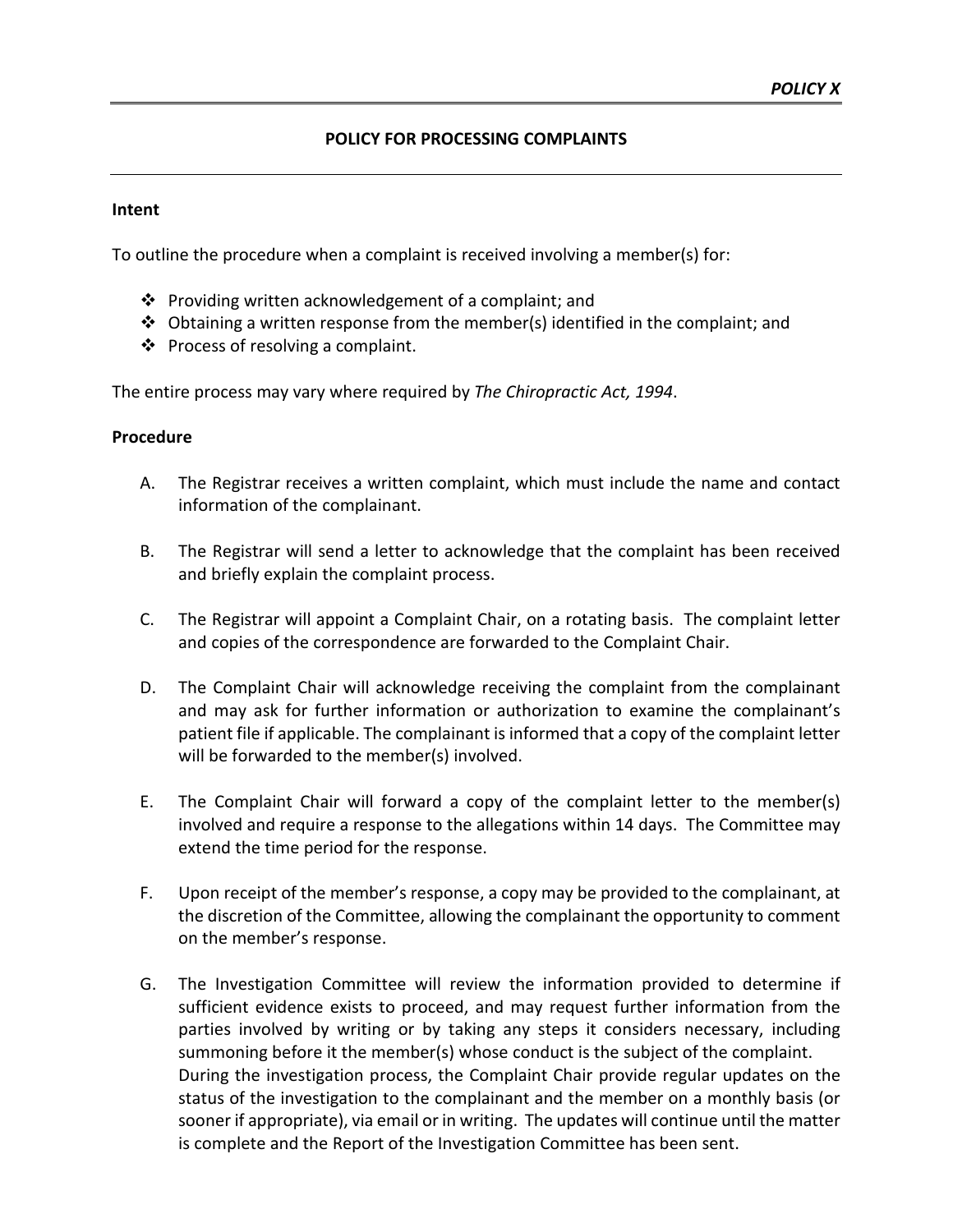# **POLICY FOR PROCESSING COMPLAINTS**

### **Intent**

To outline the procedure when a complaint is received involving a member(s) for:

- $\cdot \cdot$  Providing written acknowledgement of a complaint; and
- $\clubsuit$  Obtaining a written response from the member(s) identified in the complaint; and
- $\triangleleft$  Process of resolving a complaint.

The entire process may vary where required by *The Chiropractic Act, 1994*.

### **Procedure**

- A. The Registrar receives a written complaint, which must include the name and contact information of the complainant.
- B. The Registrar will send a letter to acknowledge that the complaint has been received and briefly explain the complaint process.
- C. The Registrar will appoint a Complaint Chair, on a rotating basis. The complaint letter and copies of the correspondence are forwarded to the Complaint Chair.
- D. The Complaint Chair will acknowledge receiving the complaint from the complainant and may ask for further information or authorization to examine the complainant's patient file if applicable. The complainant is informed that a copy of the complaint letter will be forwarded to the member(s) involved.
- E. The Complaint Chair will forward a copy of the complaint letter to the member(s) involved and require a response to the allegations within 14 days. The Committee may extend the time period for the response.
- F. Upon receipt of the member's response, a copy may be provided to the complainant, at the discretion of the Committee, allowing the complainant the opportunity to comment on the member's response.
- G. The Investigation Committee will review the information provided to determine if sufficient evidence exists to proceed, and may request further information from the parties involved by writing or by taking any steps it considers necessary, including summoning before it the member(s) whose conduct is the subject of the complaint. During the investigation process, the Complaint Chair provide regular updates on the status of the investigation to the complainant and the member on a monthly basis (or sooner if appropriate), via email or in writing. The updates will continue until the matter is complete and the Report of the Investigation Committee has been sent.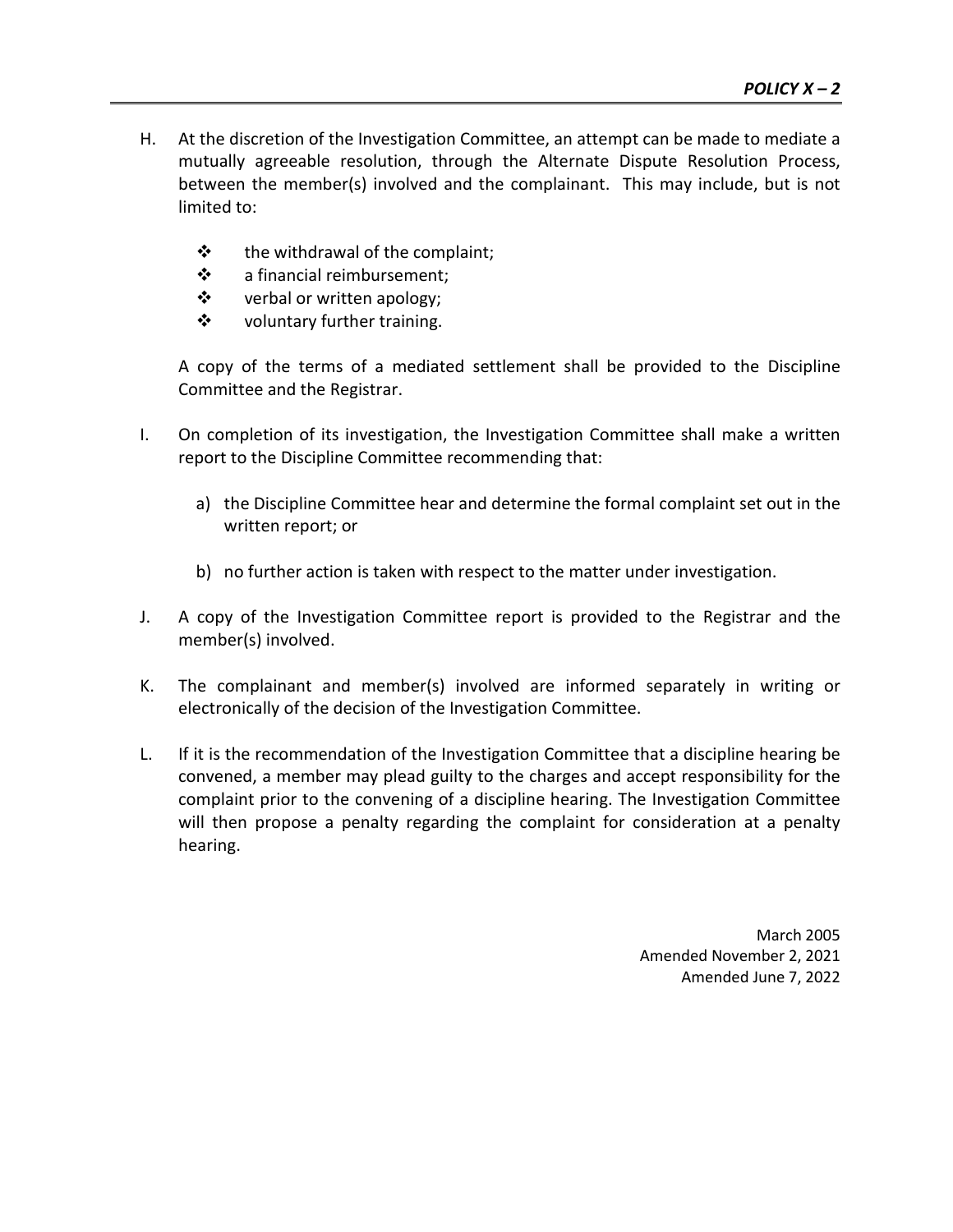- H. At the discretion of the Investigation Committee, an attempt can be made to mediate a mutually agreeable resolution, through the Alternate Dispute Resolution Process, between the member(s) involved and the complainant. This may include, but is not limited to:
	- $\mathbf{\hat{P}}$  the withdrawal of the complaint;
	- a financial reimbursement;
	- ❖ verbal or written apology;
	- ❖ voluntary further training.

A copy of the terms of a mediated settlement shall be provided to the Discipline Committee and the Registrar.

- I. On completion of its investigation, the Investigation Committee shall make a written report to the Discipline Committee recommending that:
	- a) the Discipline Committee hear and determine the formal complaint set out in the written report; or
	- b) no further action is taken with respect to the matter under investigation.
- J. A copy of the Investigation Committee report is provided to the Registrar and the member(s) involved.
- K. The complainant and member(s) involved are informed separately in writing or electronically of the decision of the Investigation Committee.
- L. If it is the recommendation of the Investigation Committee that a discipline hearing be convened, a member may plead guilty to the charges and accept responsibility for the complaint prior to the convening of a discipline hearing. The Investigation Committee will then propose a penalty regarding the complaint for consideration at a penalty hearing.

March 2005 Amended November 2, 2021 Amended June 7, 2022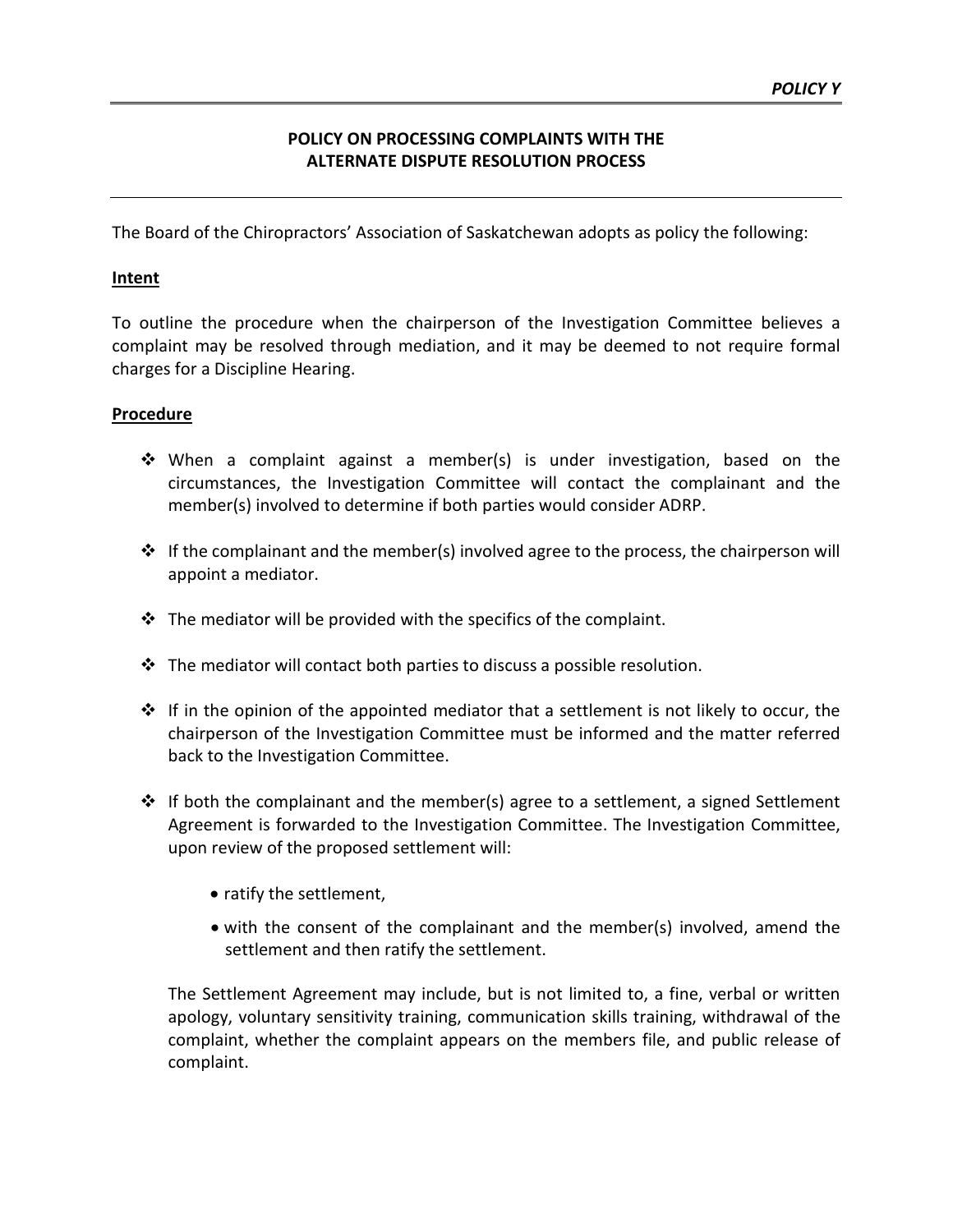# **POLICY ON PROCESSING COMPLAINTS WITH THE ALTERNATE DISPUTE RESOLUTION PROCESS**

The Board of the Chiropractors' Association of Saskatchewan adopts as policy the following:

## **Intent**

To outline the procedure when the chairperson of the Investigation Committee believes a complaint may be resolved through mediation, and it may be deemed to not require formal charges for a Discipline Hearing.

### **Procedure**

- When a complaint against a member(s) is under investigation, based on the circumstances, the Investigation Committee will contact the complainant and the member(s) involved to determine if both parties would consider ADRP.
- $\cdot \cdot$  If the complainant and the member(s) involved agree to the process, the chairperson will appoint a mediator.
- $\cdot$  The mediator will be provided with the specifics of the complaint.
- $\cdot \cdot$  The mediator will contact both parties to discuss a possible resolution.
- $\cdot \cdot$  If in the opinion of the appointed mediator that a settlement is not likely to occur, the chairperson of the Investigation Committee must be informed and the matter referred back to the Investigation Committee.
- $\div$  If both the complainant and the member(s) agree to a settlement, a signed Settlement Agreement is forwarded to the Investigation Committee. The Investigation Committee, upon review of the proposed settlement will:
	- ratify the settlement,
	- with the consent of the complainant and the member(s) involved, amend the settlement and then ratify the settlement.

The Settlement Agreement may include, but is not limited to, a fine, verbal or written apology, voluntary sensitivity training, communication skills training, withdrawal of the complaint, whether the complaint appears on the members file, and public release of complaint.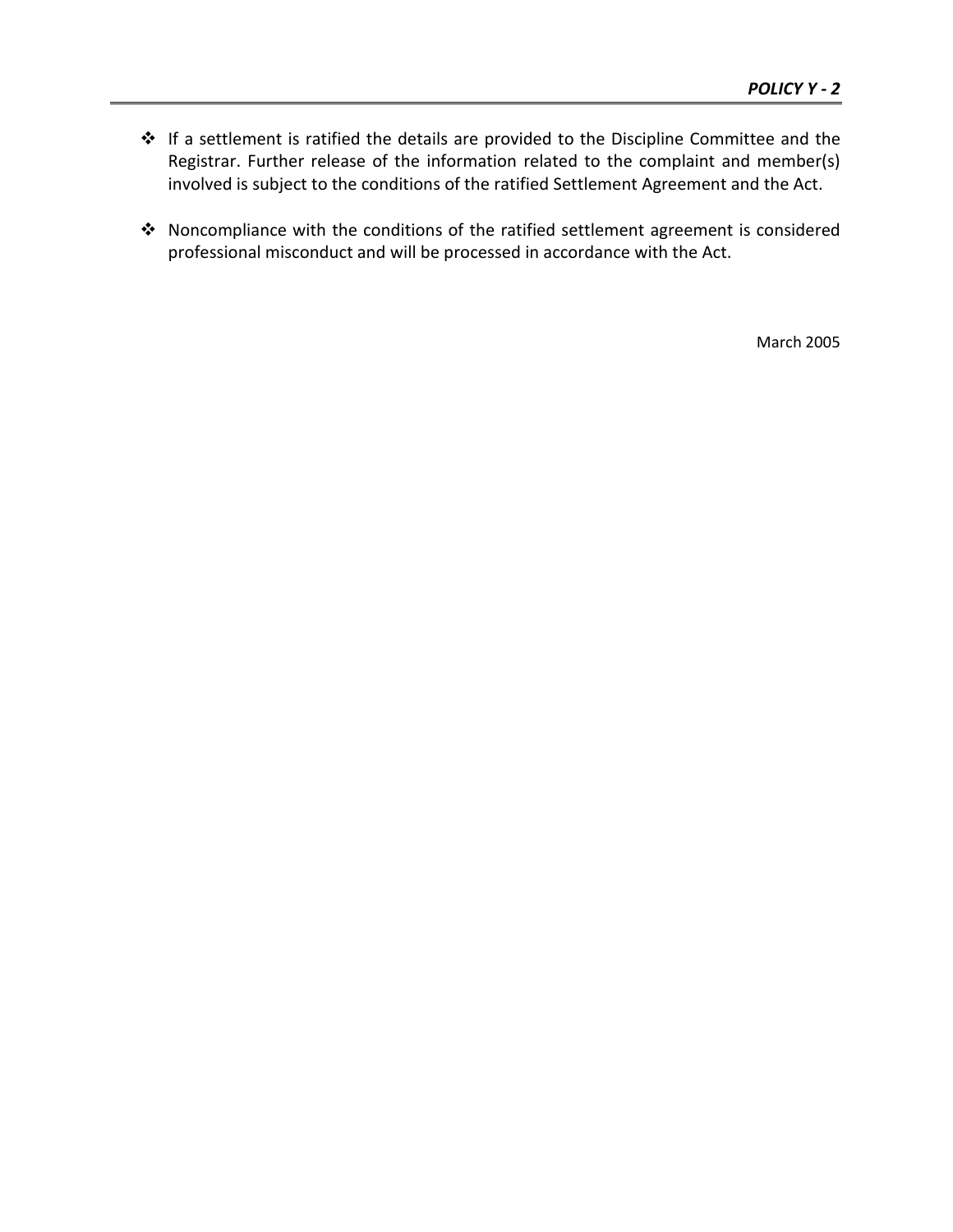- \* If a settlement is ratified the details are provided to the Discipline Committee and the Registrar. Further release of the information related to the complaint and member(s) involved is subject to the conditions of the ratified Settlement Agreement and the Act.
- Noncompliance with the conditions of the ratified settlement agreement is considered professional misconduct and will be processed in accordance with the Act.

March 2005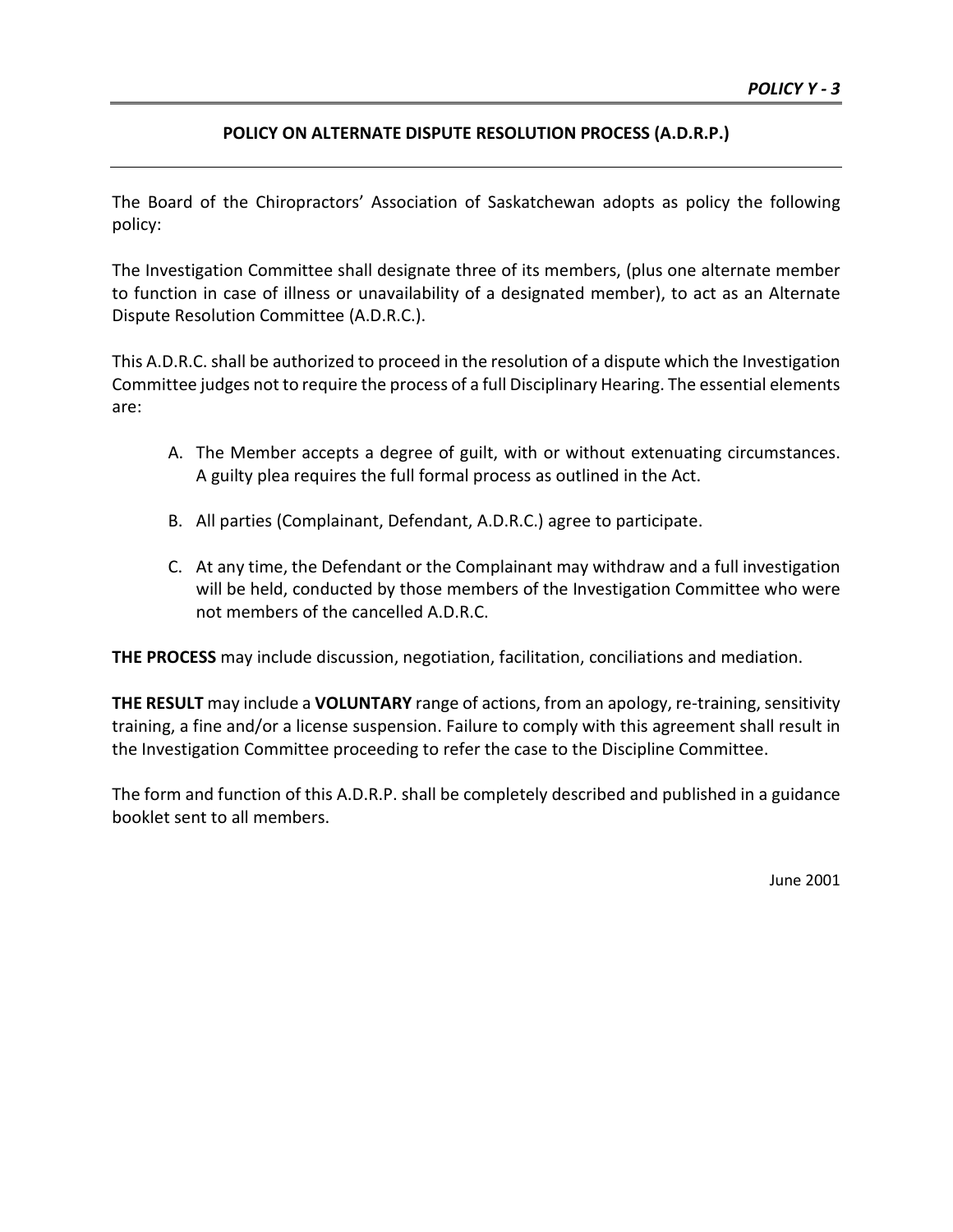# **POLICY ON ALTERNATE DISPUTE RESOLUTION PROCESS (A.D.R.P.)**

The Board of the Chiropractors' Association of Saskatchewan adopts as policy the following policy:

The Investigation Committee shall designate three of its members, (plus one alternate member to function in case of illness or unavailability of a designated member), to act as an Alternate Dispute Resolution Committee (A.D.R.C.).

This A.D.R.C. shall be authorized to proceed in the resolution of a dispute which the Investigation Committee judges not to require the process of a full Disciplinary Hearing. The essential elements are:

- A. The Member accepts a degree of guilt, with or without extenuating circumstances. A guilty plea requires the full formal process as outlined in the Act.
- B. All parties (Complainant, Defendant, A.D.R.C.) agree to participate.
- C. At any time, the Defendant or the Complainant may withdraw and a full investigation will be held, conducted by those members of the Investigation Committee who were not members of the cancelled A.D.R.C.

**THE PROCESS** may include discussion, negotiation, facilitation, conciliations and mediation.

**THE RESULT** may include a **VOLUNTARY** range of actions, from an apology, re-training, sensitivity training, a fine and/or a license suspension. Failure to comply with this agreement shall result in the Investigation Committee proceeding to refer the case to the Discipline Committee.

The form and function of this A.D.R.P. shall be completely described and published in a guidance booklet sent to all members.

June 2001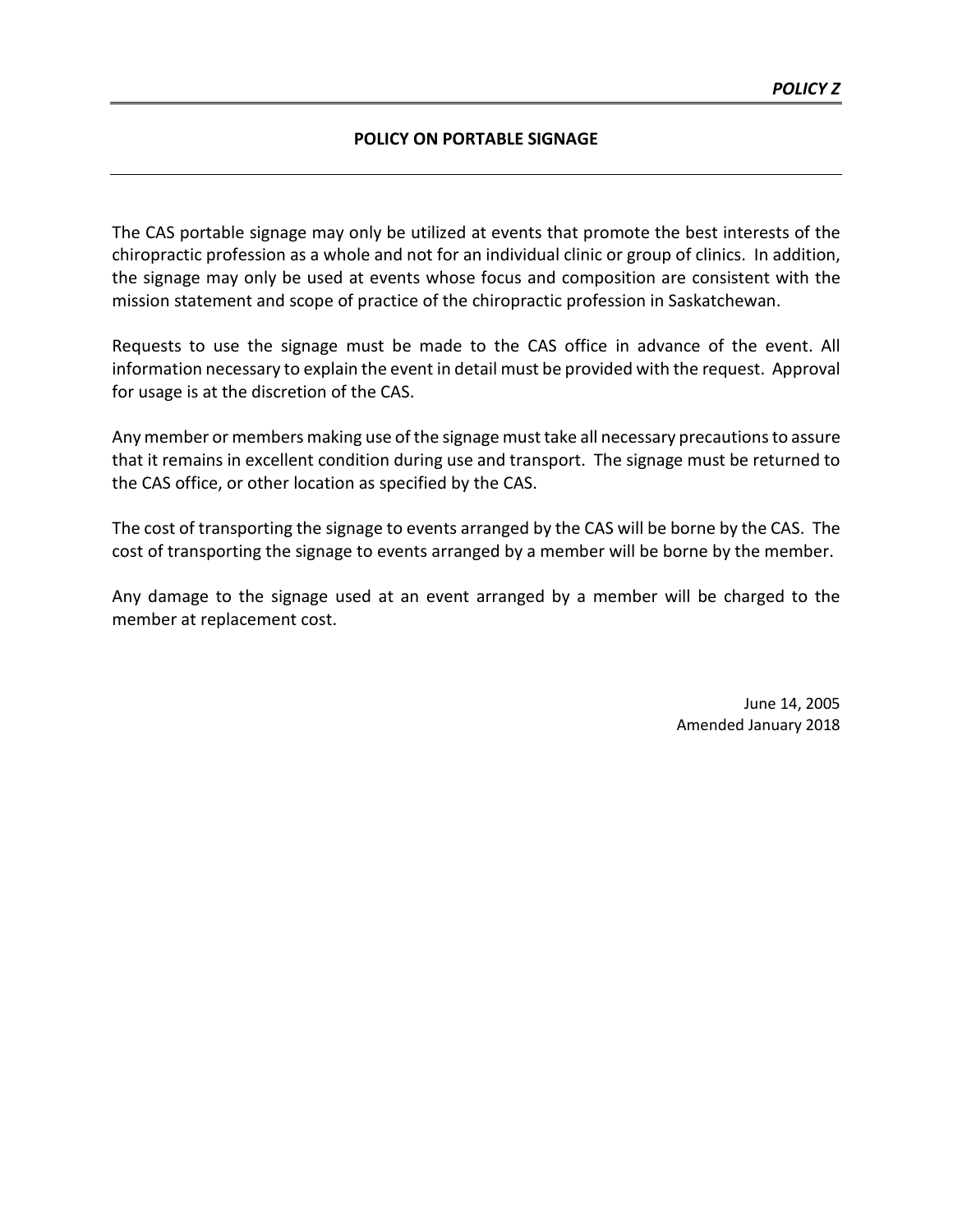#### **POLICY ON PORTABLE SIGNAGE**

The CAS portable signage may only be utilized at events that promote the best interests of the chiropractic profession as a whole and not for an individual clinic or group of clinics. In addition, the signage may only be used at events whose focus and composition are consistent with the mission statement and scope of practice of the chiropractic profession in Saskatchewan.

Requests to use the signage must be made to the CAS office in advance of the event. All information necessary to explain the event in detail must be provided with the request. Approval for usage is at the discretion of the CAS.

Any member or members making use of the signage must take all necessary precautions to assure that it remains in excellent condition during use and transport. The signage must be returned to the CAS office, or other location as specified by the CAS.

The cost of transporting the signage to events arranged by the CAS will be borne by the CAS. The cost of transporting the signage to events arranged by a member will be borne by the member.

Any damage to the signage used at an event arranged by a member will be charged to the member at replacement cost.

> June 14, 2005 Amended January 2018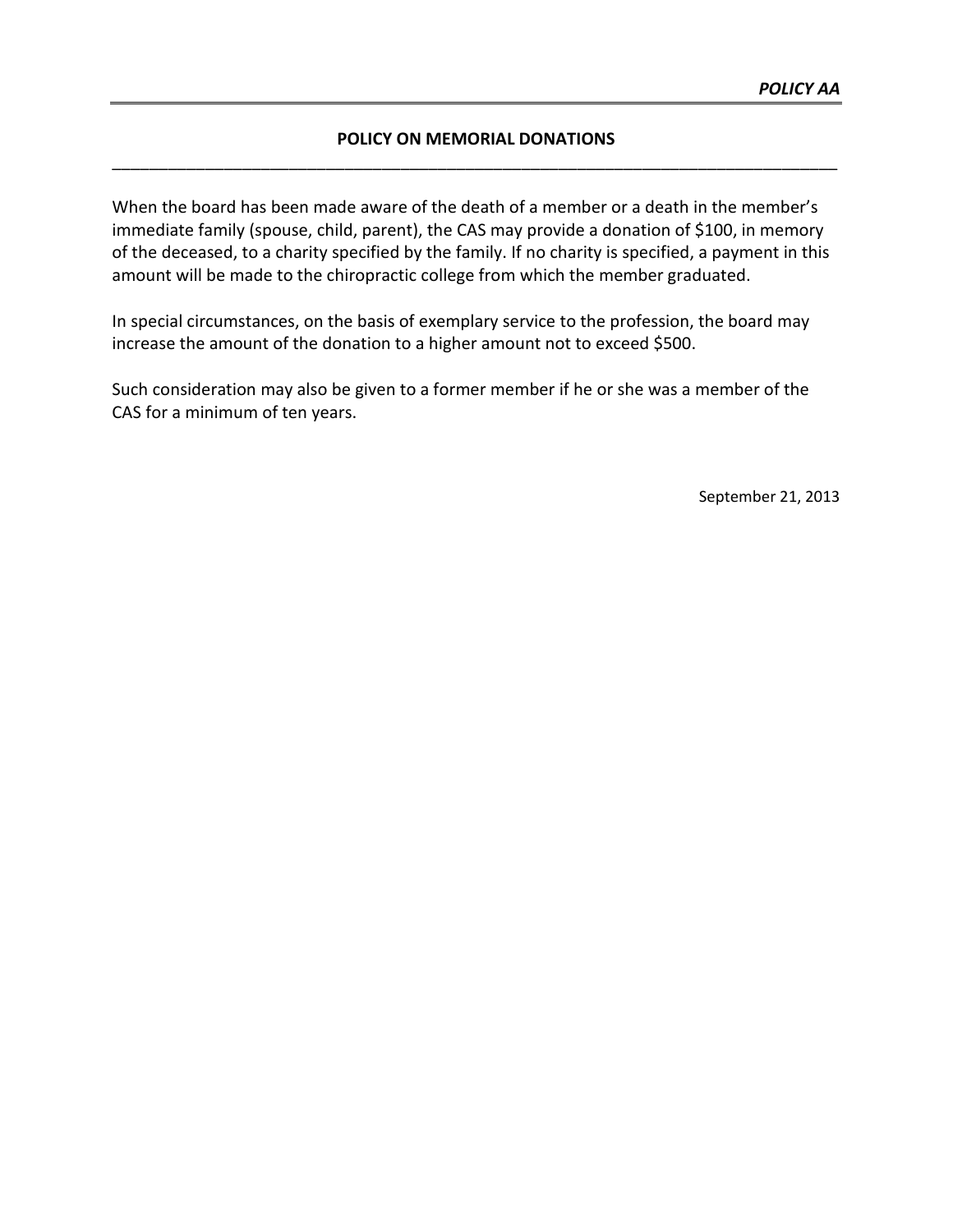# **POLICY ON MEMORIAL DONATIONS** \_\_\_\_\_\_\_\_\_\_\_\_\_\_\_\_\_\_\_\_\_\_\_\_\_\_\_\_\_\_\_\_\_\_\_\_\_\_\_\_\_\_\_\_\_\_\_\_\_\_\_\_\_\_\_\_\_\_\_\_\_\_\_\_\_\_\_\_\_\_\_\_\_\_\_\_\_\_

When the board has been made aware of the death of a member or a death in the member's immediate family (spouse, child, parent), the CAS may provide a donation of \$100, in memory of the deceased, to a charity specified by the family. If no charity is specified, a payment in this amount will be made to the chiropractic college from which the member graduated.

In special circumstances, on the basis of exemplary service to the profession, the board may increase the amount of the donation to a higher amount not to exceed \$500.

Such consideration may also be given to a former member if he or she was a member of the CAS for a minimum of ten years.

September 21, 2013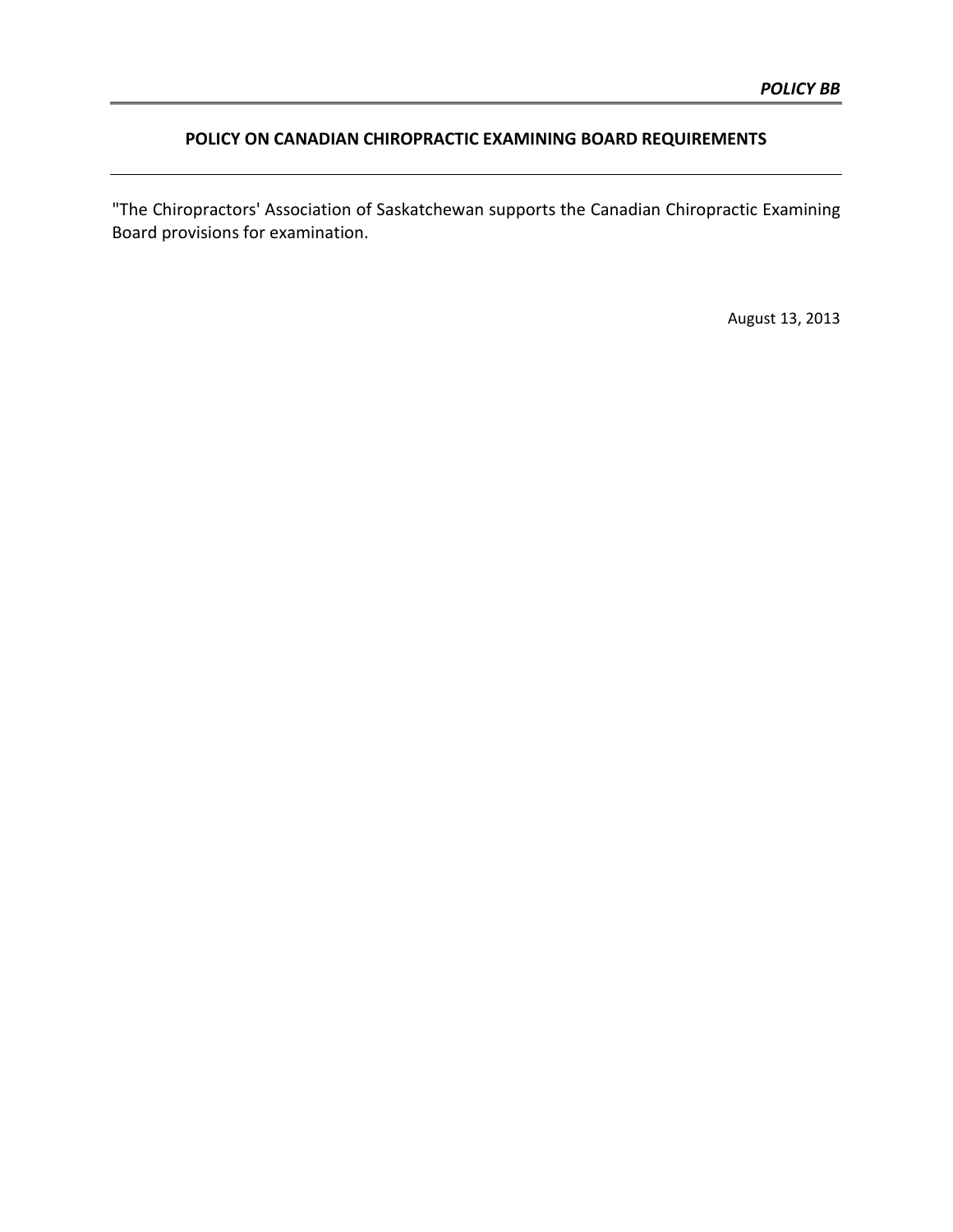# **POLICY ON CANADIAN CHIROPRACTIC EXAMINING BOARD REQUIREMENTS**

"The Chiropractors' Association of Saskatchewan supports the Canadian Chiropractic Examining Board provisions for examination.

August 13, 2013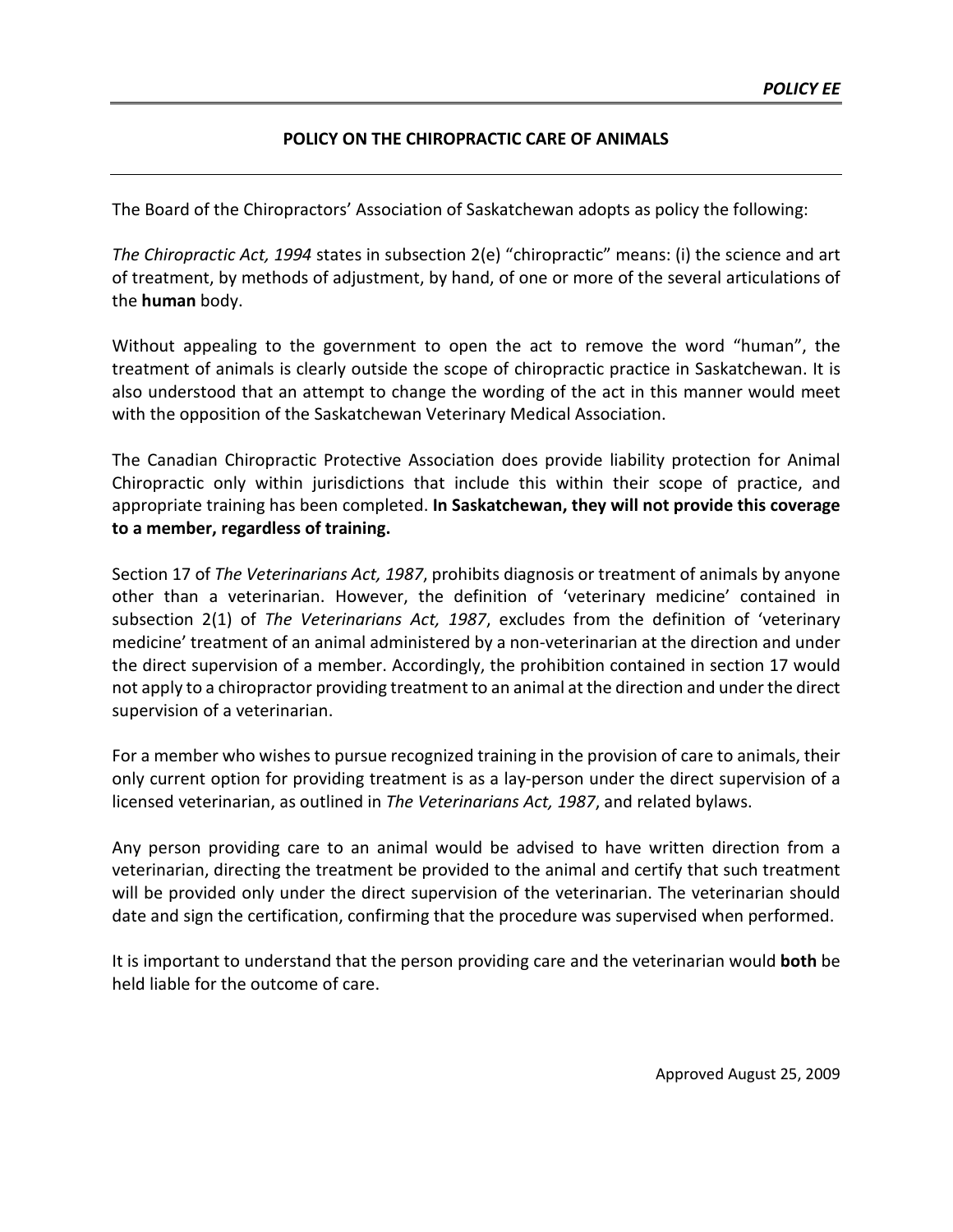## **POLICY ON THE CHIROPRACTIC CARE OF ANIMALS**

The Board of the Chiropractors' Association of Saskatchewan adopts as policy the following:

*The Chiropractic Act, 1994* states in subsection 2(e) "chiropractic" means: (i) the science and art of treatment, by methods of adjustment, by hand, of one or more of the several articulations of the **human** body.

Without appealing to the government to open the act to remove the word "human", the treatment of animals is clearly outside the scope of chiropractic practice in Saskatchewan. It is also understood that an attempt to change the wording of the act in this manner would meet with the opposition of the Saskatchewan Veterinary Medical Association.

The Canadian Chiropractic Protective Association does provide liability protection for Animal Chiropractic only within jurisdictions that include this within their scope of practice, and appropriate training has been completed. **In Saskatchewan, they will not provide this coverage to a member, regardless of training.**

Section 17 of *The Veterinarians Act, 1987*, prohibits diagnosis or treatment of animals by anyone other than a veterinarian. However, the definition of 'veterinary medicine' contained in subsection 2(1) of *The Veterinarians Act, 1987*, excludes from the definition of 'veterinary medicine' treatment of an animal administered by a non-veterinarian at the direction and under the direct supervision of a member. Accordingly, the prohibition contained in section 17 would not apply to a chiropractor providing treatment to an animal at the direction and under the direct supervision of a veterinarian.

For a member who wishes to pursue recognized training in the provision of care to animals, their only current option for providing treatment is as a lay-person under the direct supervision of a licensed veterinarian, as outlined in *The Veterinarians Act, 1987*, and related bylaws.

Any person providing care to an animal would be advised to have written direction from a veterinarian, directing the treatment be provided to the animal and certify that such treatment will be provided only under the direct supervision of the veterinarian. The veterinarian should date and sign the certification, confirming that the procedure was supervised when performed.

It is important to understand that the person providing care and the veterinarian would **both** be held liable for the outcome of care.

Approved August 25, 2009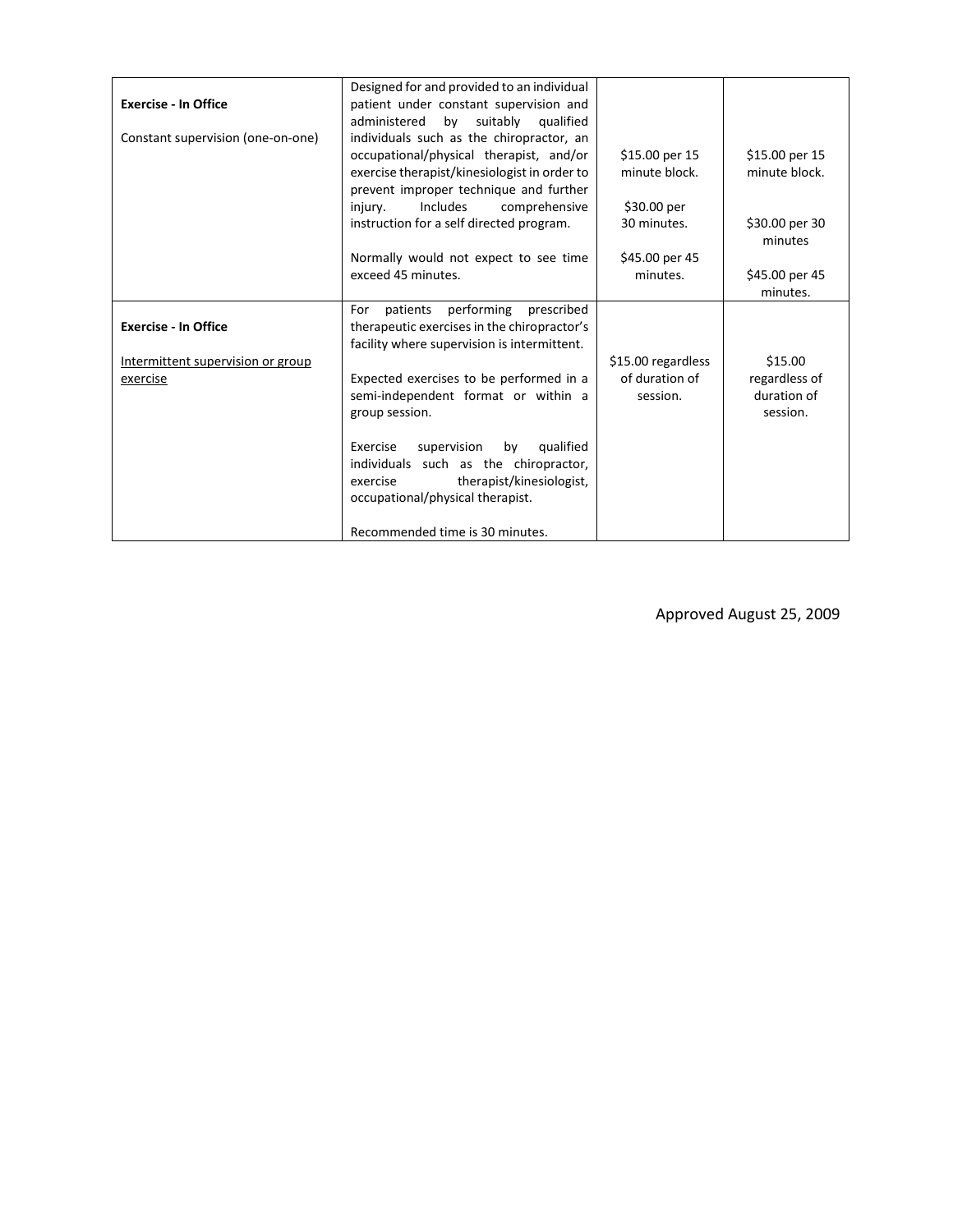| <b>Exercise - In Office</b><br>Constant supervision (one-on-one) | Designed for and provided to an individual<br>patient under constant supervision and<br>suitably<br>administered<br>by<br>qualified<br>individuals such as the chiropractor, an<br>occupational/physical therapist, and/or<br>exercise therapist/kinesiologist in order to | \$15.00 per 15<br>minute block.                  | \$15.00 per 15<br>minute block.                     |
|------------------------------------------------------------------|----------------------------------------------------------------------------------------------------------------------------------------------------------------------------------------------------------------------------------------------------------------------------|--------------------------------------------------|-----------------------------------------------------|
|                                                                  | prevent improper technique and further<br><b>Includes</b><br>comprehensive<br>injury.<br>instruction for a self directed program.                                                                                                                                          | \$30.00 per<br>30 minutes.                       | \$30.00 per 30<br>minutes                           |
|                                                                  | Normally would not expect to see time<br>exceed 45 minutes.                                                                                                                                                                                                                | \$45.00 per 45<br>minutes.                       | \$45.00 per 45<br>minutes.                          |
| <b>Exercise - In Office</b>                                      | performing<br>patients<br>prescribed<br>For<br>therapeutic exercises in the chiropractor's<br>facility where supervision is intermittent.                                                                                                                                  |                                                  |                                                     |
| Intermittent supervision or group<br>exercise                    | Expected exercises to be performed in a<br>semi-independent format or within a<br>group session.                                                                                                                                                                           | \$15.00 regardless<br>of duration of<br>session. | \$15.00<br>regardless of<br>duration of<br>session. |
|                                                                  | Exercise<br>supervision<br>qualified<br>by<br>individuals such as the chiropractor,<br>therapist/kinesiologist,<br>exercise<br>occupational/physical therapist.                                                                                                            |                                                  |                                                     |
|                                                                  | Recommended time is 30 minutes.                                                                                                                                                                                                                                            |                                                  |                                                     |

Approved August 25, 2009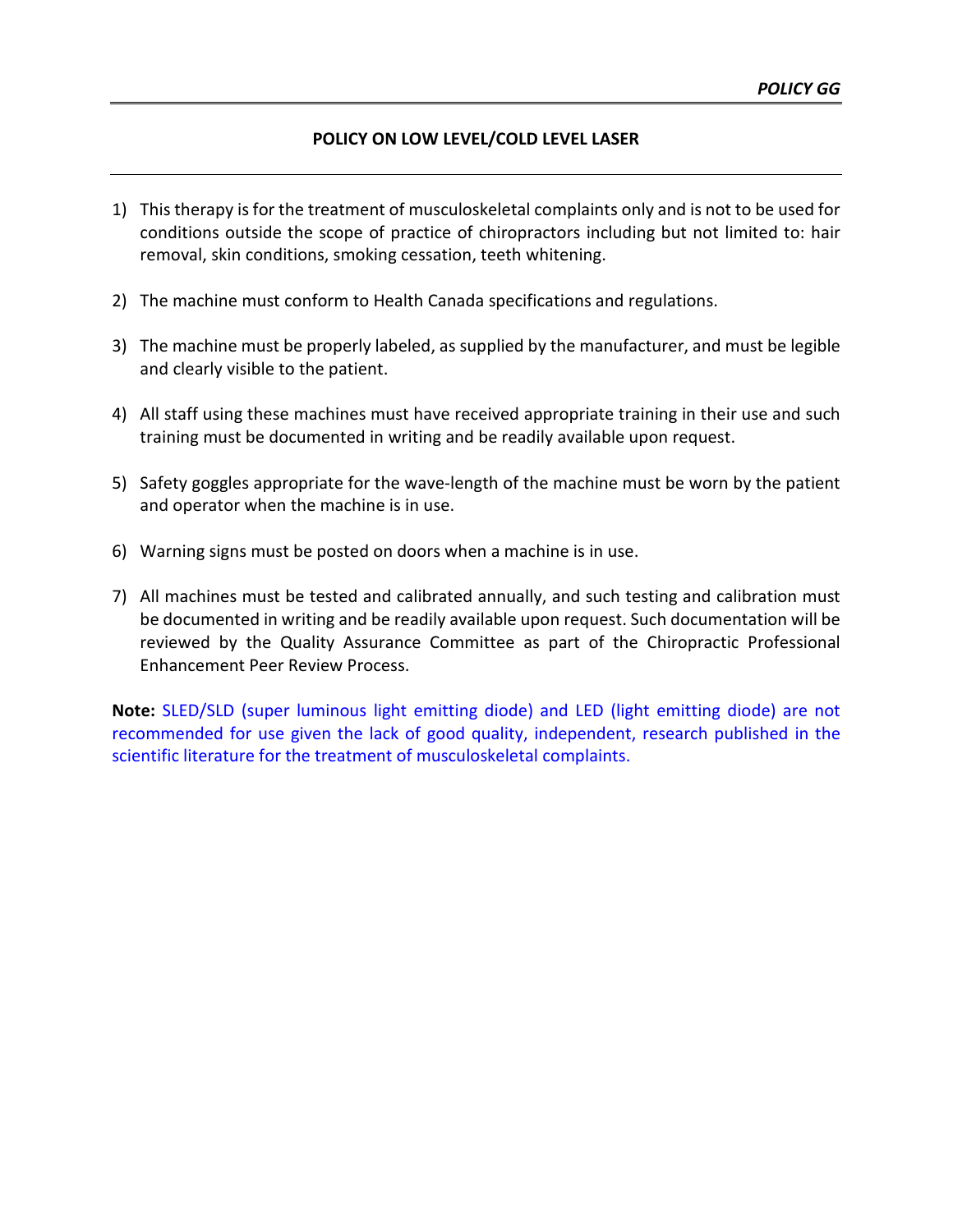## **POLICY ON LOW LEVEL/COLD LEVEL LASER**

- 1) This therapy is for the treatment of musculoskeletal complaints only and is not to be used for conditions outside the scope of practice of chiropractors including but not limited to: hair removal, skin conditions, smoking cessation, teeth whitening.
- 2) The machine must conform to Health Canada specifications and regulations.
- 3) The machine must be properly labeled, as supplied by the manufacturer, and must be legible and clearly visible to the patient.
- 4) All staff using these machines must have received appropriate training in their use and such training must be documented in writing and be readily available upon request.
- 5) Safety goggles appropriate for the wave-length of the machine must be worn by the patient and operator when the machine is in use.
- 6) Warning signs must be posted on doors when a machine is in use.
- 7) All machines must be tested and calibrated annually, and such testing and calibration must be documented in writing and be readily available upon request. Such documentation will be reviewed by the Quality Assurance Committee as part of the Chiropractic Professional Enhancement Peer Review Process.

**Note:** SLED/SLD (super luminous light emitting diode) and LED (light emitting diode) are not recommended for use given the lack of good quality, independent, research published in the scientific literature for the treatment of musculoskeletal complaints.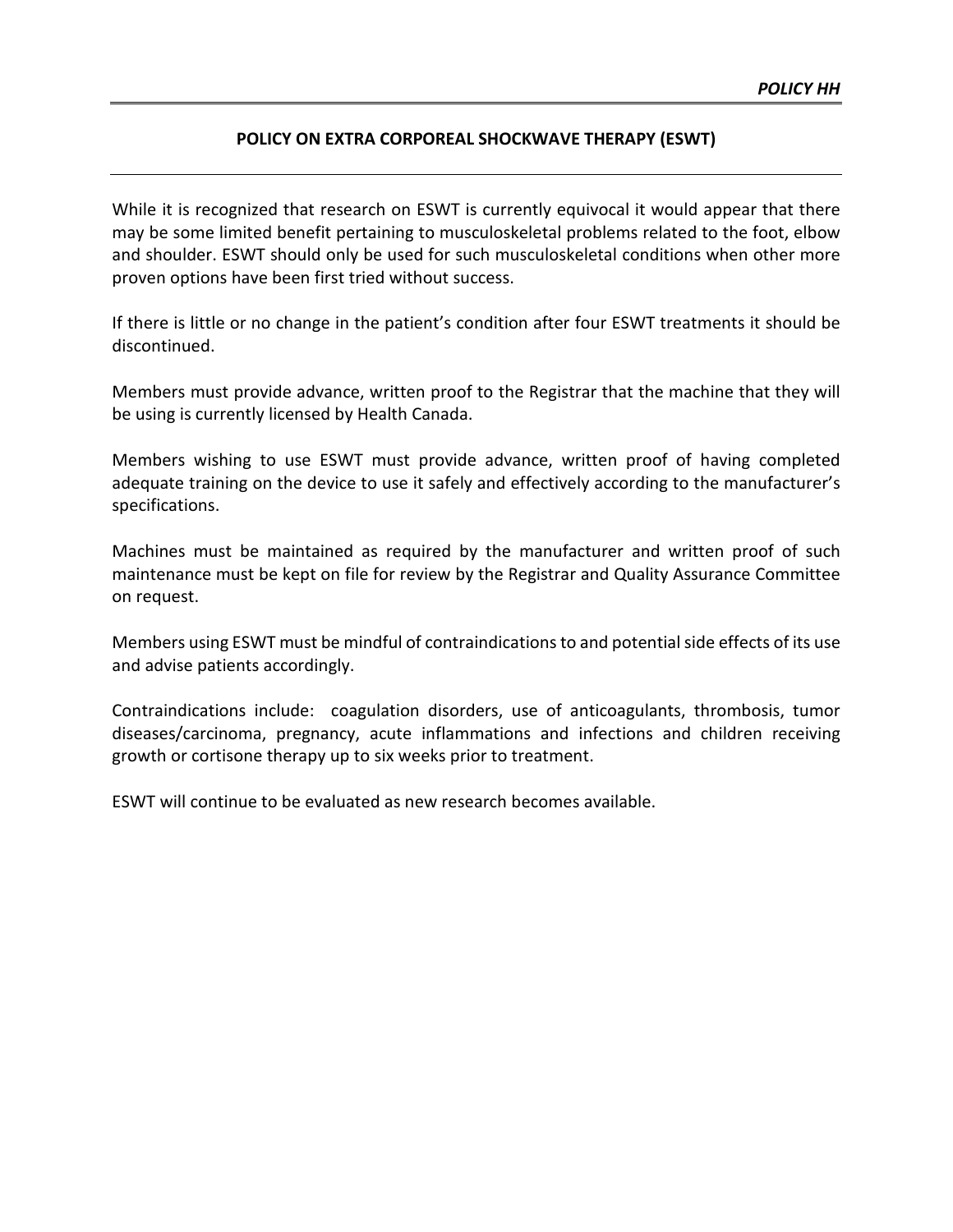## **POLICY ON EXTRA CORPOREAL SHOCKWAVE THERAPY (ESWT)**

While it is recognized that research on ESWT is currently equivocal it would appear that there may be some limited benefit pertaining to musculoskeletal problems related to the foot, elbow and shoulder. ESWT should only be used for such musculoskeletal conditions when other more proven options have been first tried without success.

If there is little or no change in the patient's condition after four ESWT treatments it should be discontinued.

Members must provide advance, written proof to the Registrar that the machine that they will be using is currently licensed by Health Canada.

Members wishing to use ESWT must provide advance, written proof of having completed adequate training on the device to use it safely and effectively according to the manufacturer's specifications.

Machines must be maintained as required by the manufacturer and written proof of such maintenance must be kept on file for review by the Registrar and Quality Assurance Committee on request.

Members using ESWT must be mindful of contraindications to and potential side effects of its use and advise patients accordingly.

Contraindications include: coagulation disorders, use of anticoagulants, thrombosis, tumor diseases/carcinoma, pregnancy, acute inflammations and infections and children receiving growth or cortisone therapy up to six weeks prior to treatment.

ESWT will continue to be evaluated as new research becomes available.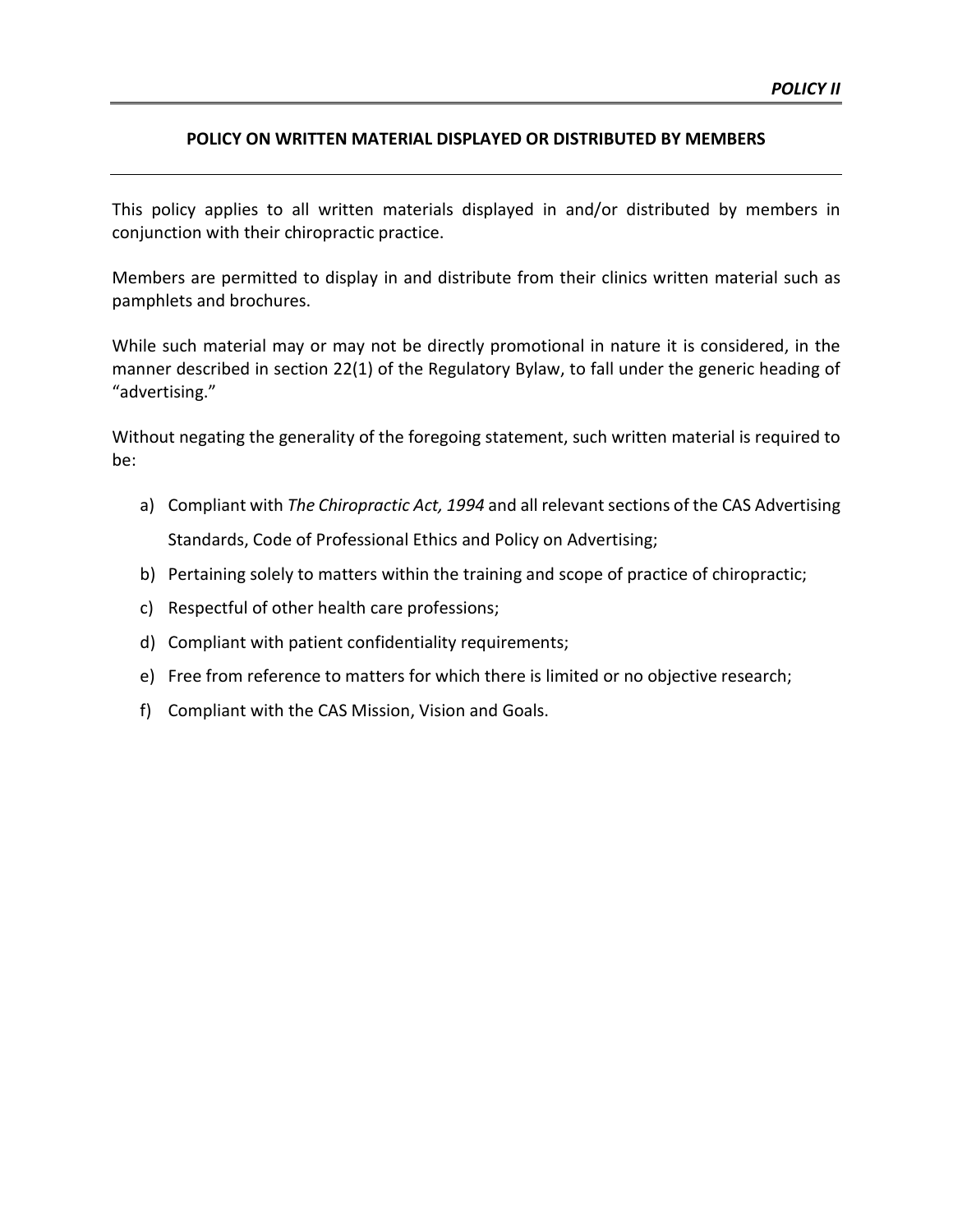### **POLICY ON WRITTEN MATERIAL DISPLAYED OR DISTRIBUTED BY MEMBERS**

This policy applies to all written materials displayed in and/or distributed by members in conjunction with their chiropractic practice.

Members are permitted to display in and distribute from their clinics written material such as pamphlets and brochures.

While such material may or may not be directly promotional in nature it is considered, in the manner described in section 22(1) of the Regulatory Bylaw, to fall under the generic heading of "advertising."

Without negating the generality of the foregoing statement, such written material is required to be:

- a) Compliant with *The Chiropractic Act, 1994* and all relevant sections of the CAS Advertising Standards, Code of Professional Ethics and Policy on Advertising;
- b) Pertaining solely to matters within the training and scope of practice of chiropractic;
- c) Respectful of other health care professions;
- d) Compliant with patient confidentiality requirements;
- e) Free from reference to matters for which there is limited or no objective research;
- f) Compliant with the CAS Mission, Vision and Goals.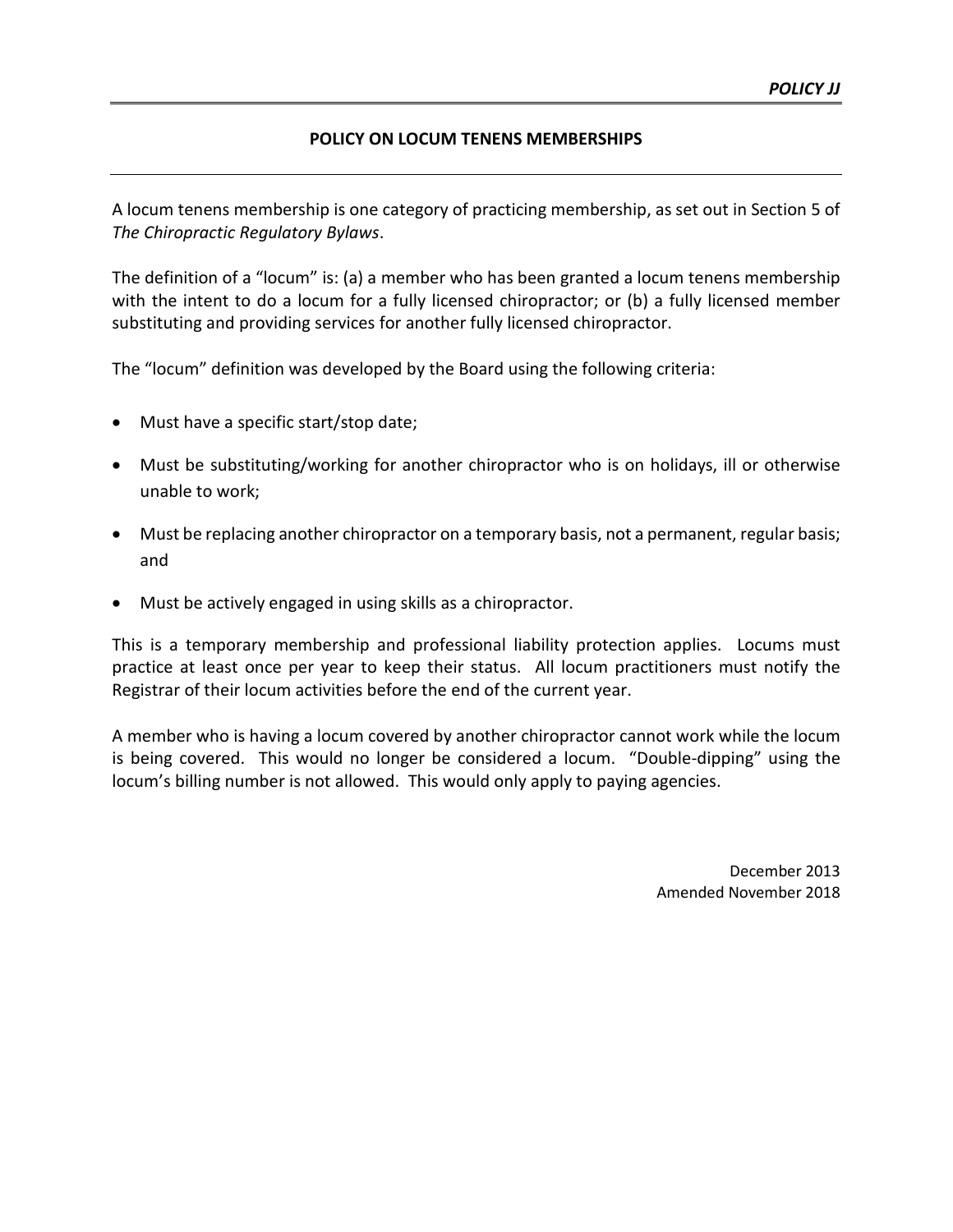# **POLICY ON LOCUM TENENS MEMBERSHIPS**

A locum tenens membership is one category of practicing membership, as set out in Section 5 of *The Chiropractic Regulatory Bylaws*.

The definition of a "locum" is: (a) a member who has been granted a locum tenens membership with the intent to do a locum for a fully licensed chiropractor; or (b) a fully licensed member substituting and providing services for another fully licensed chiropractor.

The "locum" definition was developed by the Board using the following criteria:

- Must have a specific start/stop date;
- Must be substituting/working for another chiropractor who is on holidays, ill or otherwise unable to work;
- Must be replacing another chiropractor on a temporary basis, not a permanent, regular basis; and
- Must be actively engaged in using skills as a chiropractor.

This is a temporary membership and professional liability protection applies. Locums must practice at least once per year to keep their status. All locum practitioners must notify the Registrar of their locum activities before the end of the current year.

A member who is having a locum covered by another chiropractor cannot work while the locum is being covered. This would no longer be considered a locum. "Double-dipping" using the locum's billing number is not allowed. This would only apply to paying agencies.

> December 2013 Amended November 2018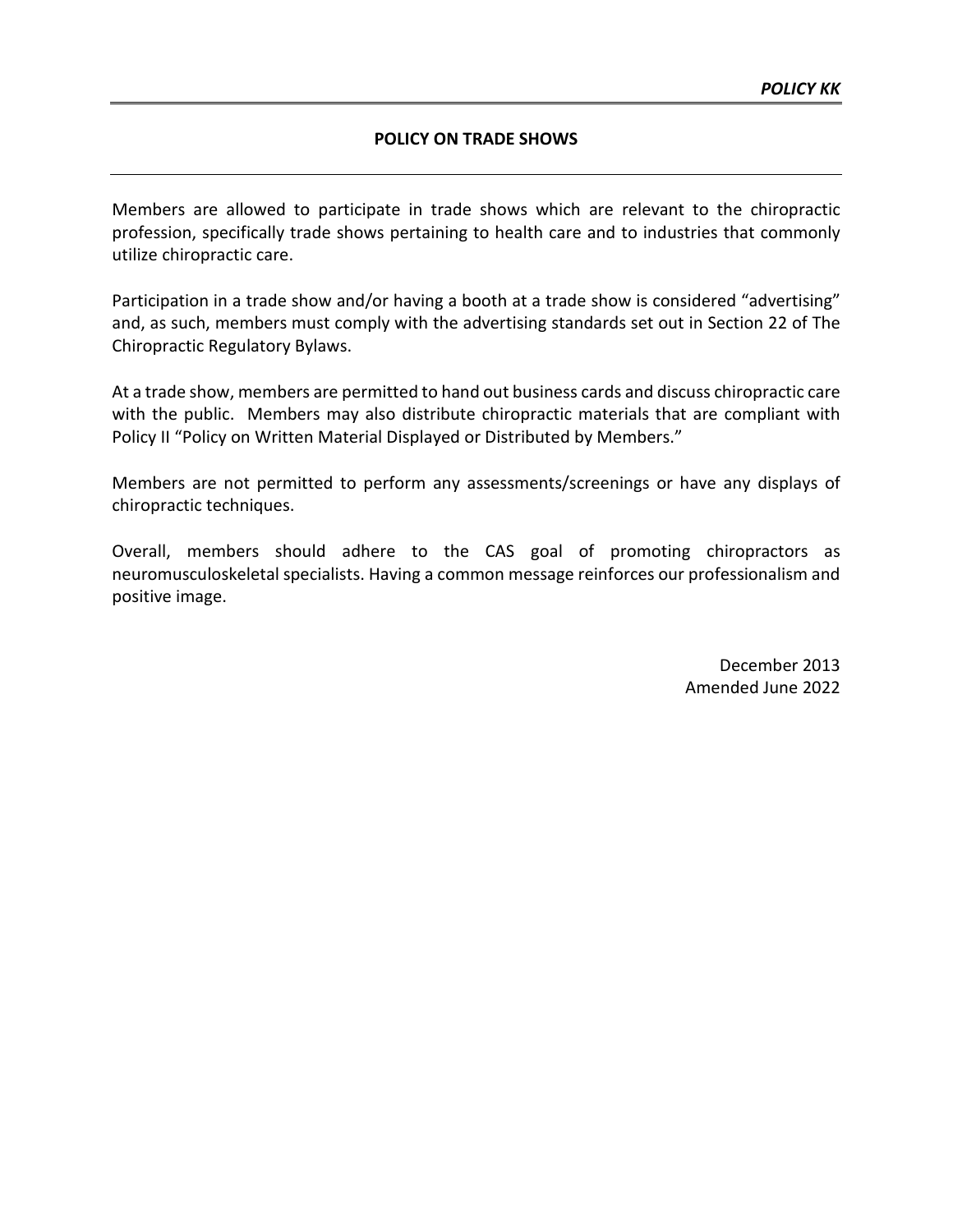### **POLICY ON TRADE SHOWS**

Members are allowed to participate in trade shows which are relevant to the chiropractic profession, specifically trade shows pertaining to health care and to industries that commonly utilize chiropractic care.

Participation in a trade show and/or having a booth at a trade show is considered "advertising" and, as such, members must comply with the advertising standards set out in Section 22 of The Chiropractic Regulatory Bylaws.

At a trade show, members are permitted to hand out business cards and discuss chiropractic care with the public. Members may also distribute chiropractic materials that are compliant with Policy II "Policy on Written Material Displayed or Distributed by Members."

Members are not permitted to perform any assessments/screenings or have any displays of chiropractic techniques.

Overall, members should adhere to the CAS goal of promoting chiropractors as neuromusculoskeletal specialists. Having a common message reinforces our professionalism and positive image.

> December 2013 Amended June 2022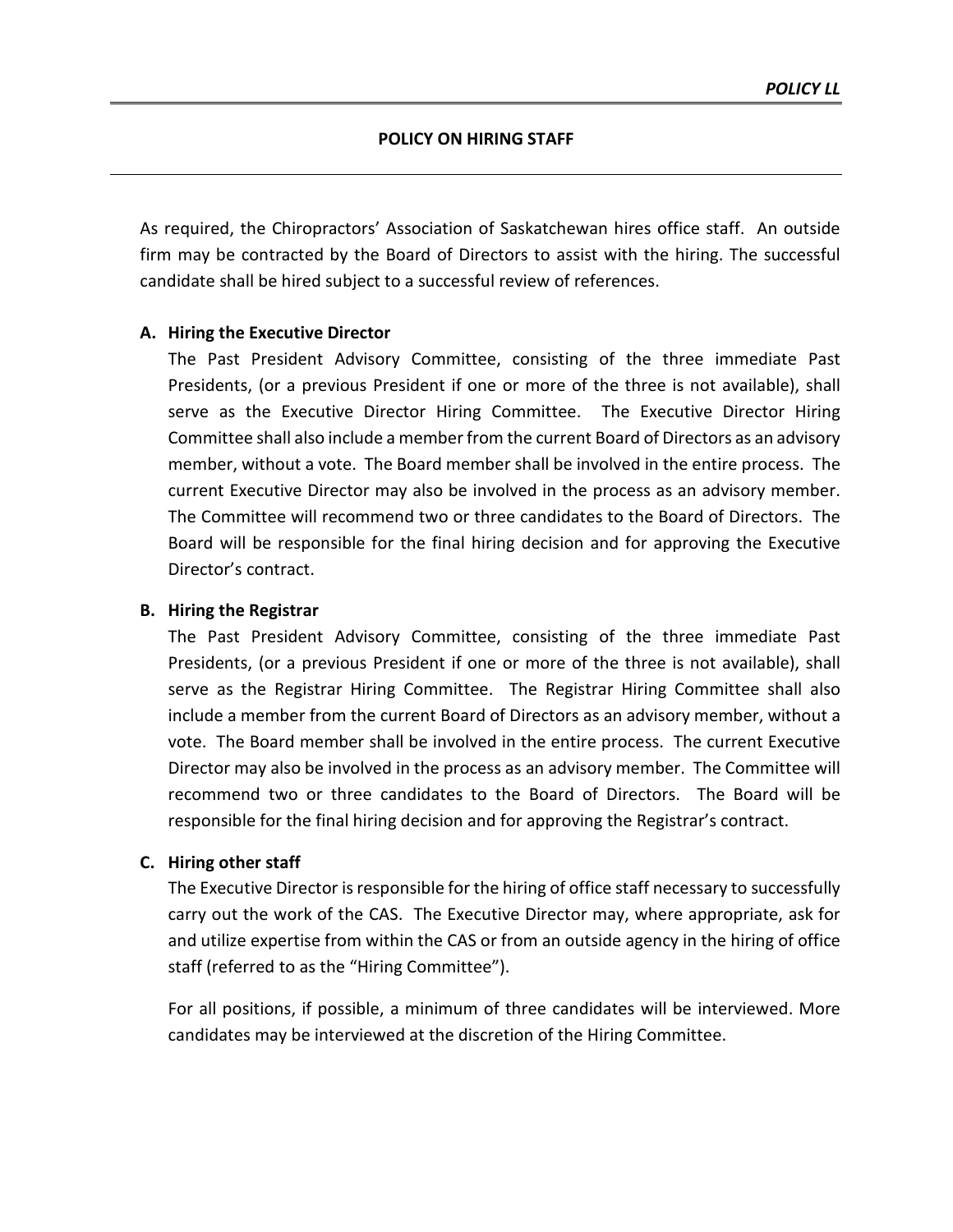As required, the Chiropractors' Association of Saskatchewan hires office staff. An outside firm may be contracted by the Board of Directors to assist with the hiring. The successful candidate shall be hired subject to a successful review of references.

## **A. Hiring the Executive Director**

The Past President Advisory Committee, consisting of the three immediate Past Presidents, (or a previous President if one or more of the three is not available), shall serve as the Executive Director Hiring Committee. The Executive Director Hiring Committee shall also include a member from the current Board of Directors as an advisory member, without a vote. The Board member shall be involved in the entire process. The current Executive Director may also be involved in the process as an advisory member. The Committee will recommend two or three candidates to the Board of Directors. The Board will be responsible for the final hiring decision and for approving the Executive Director's contract.

### **B. Hiring the Registrar**

The Past President Advisory Committee, consisting of the three immediate Past Presidents, (or a previous President if one or more of the three is not available), shall serve as the Registrar Hiring Committee. The Registrar Hiring Committee shall also include a member from the current Board of Directors as an advisory member, without a vote. The Board member shall be involved in the entire process. The current Executive Director may also be involved in the process as an advisory member. The Committee will recommend two or three candidates to the Board of Directors. The Board will be responsible for the final hiring decision and for approving the Registrar's contract.

### **C. Hiring other staff**

The Executive Director is responsible for the hiring of office staff necessary to successfully carry out the work of the CAS. The Executive Director may, where appropriate, ask for and utilize expertise from within the CAS or from an outside agency in the hiring of office staff (referred to as the "Hiring Committee").

For all positions, if possible, a minimum of three candidates will be interviewed. More candidates may be interviewed at the discretion of the Hiring Committee.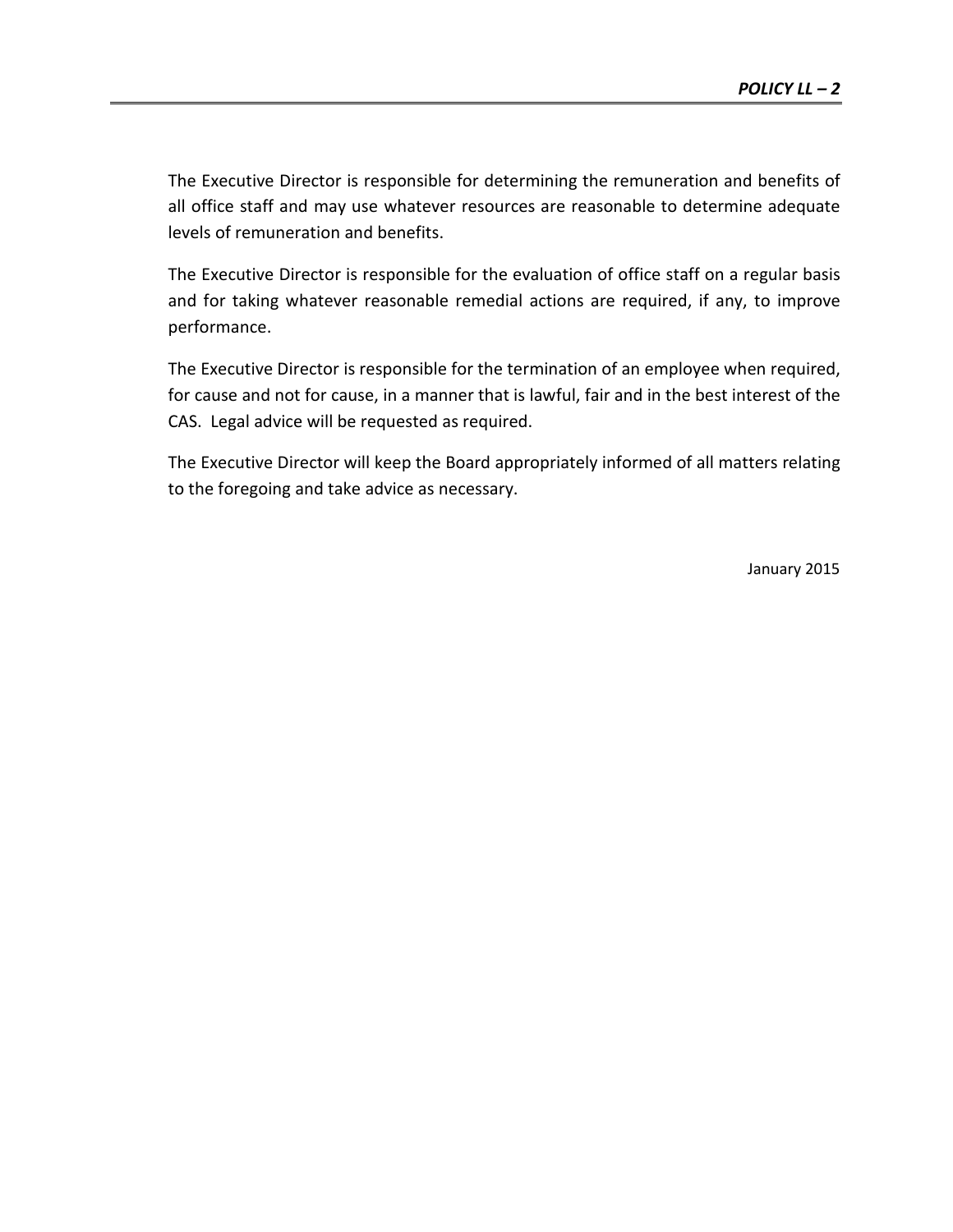The Executive Director is responsible for determining the remuneration and benefits of all office staff and may use whatever resources are reasonable to determine adequate levels of remuneration and benefits.

The Executive Director is responsible for the evaluation of office staff on a regular basis and for taking whatever reasonable remedial actions are required, if any, to improve performance.

The Executive Director is responsible for the termination of an employee when required, for cause and not for cause, in a manner that is lawful, fair and in the best interest of the CAS. Legal advice will be requested as required.

The Executive Director will keep the Board appropriately informed of all matters relating to the foregoing and take advice as necessary.

January 2015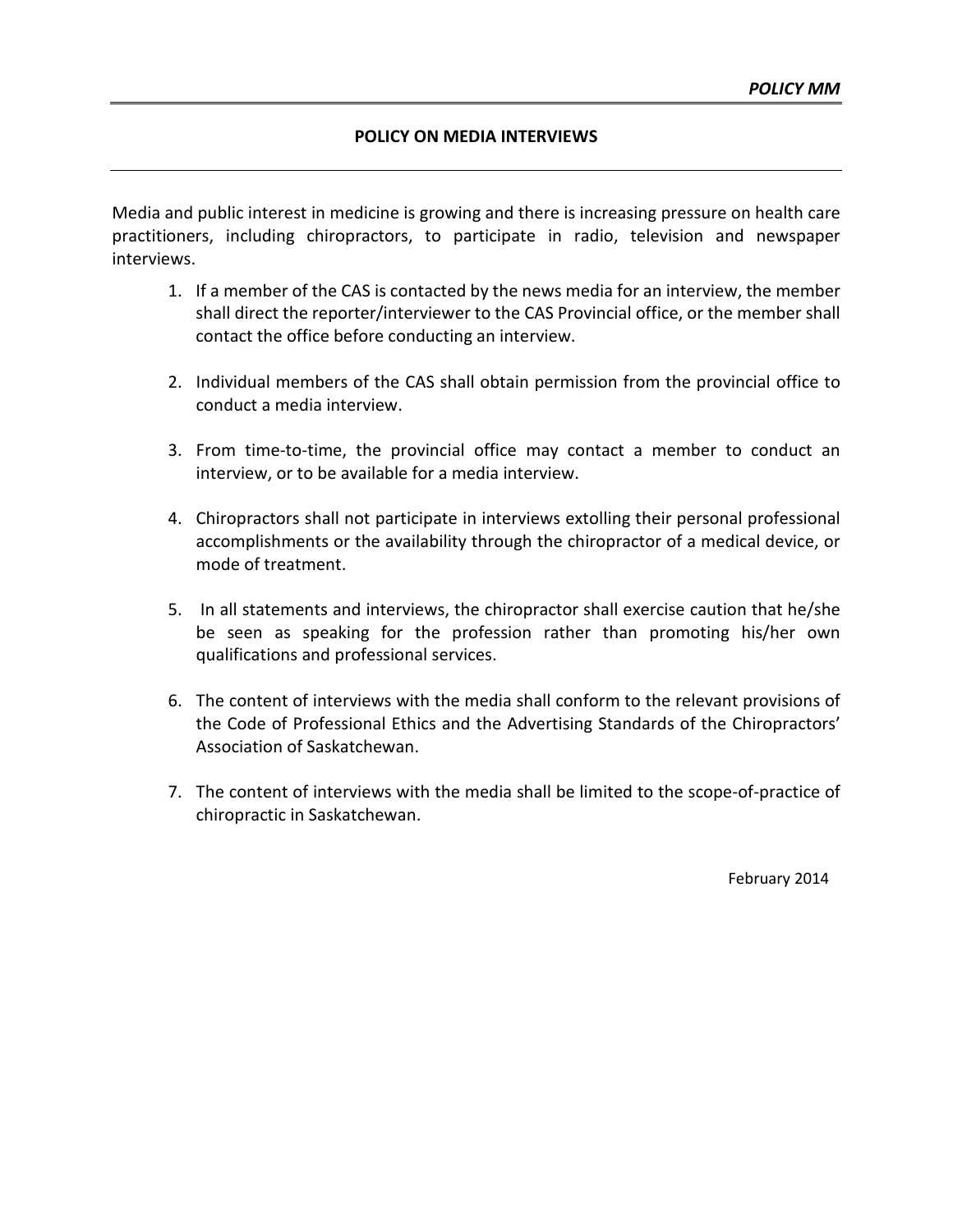#### **POLICY ON MEDIA INTERVIEWS**

Media and public interest in medicine is growing and there is increasing pressure on health care practitioners, including chiropractors, to participate in radio, television and newspaper interviews.

- 1. If a member of the CAS is contacted by the news media for an interview, the member shall direct the reporter/interviewer to the CAS Provincial office, or the member shall contact the office before conducting an interview.
- 2. Individual members of the CAS shall obtain permission from the provincial office to conduct a media interview.
- 3. From time-to-time, the provincial office may contact a member to conduct an interview, or to be available for a media interview.
- 4. Chiropractors shall not participate in interviews extolling their personal professional accomplishments or the availability through the chiropractor of a medical device, or mode of treatment.
- 5. In all statements and interviews, the chiropractor shall exercise caution that he/she be seen as speaking for the profession rather than promoting his/her own qualifications and professional services.
- 6. The content of interviews with the media shall conform to the relevant provisions of the Code of Professional Ethics and the Advertising Standards of the Chiropractors' Association of Saskatchewan.
- 7. The content of interviews with the media shall be limited to the scope-of-practice of chiropractic in Saskatchewan.

February 2014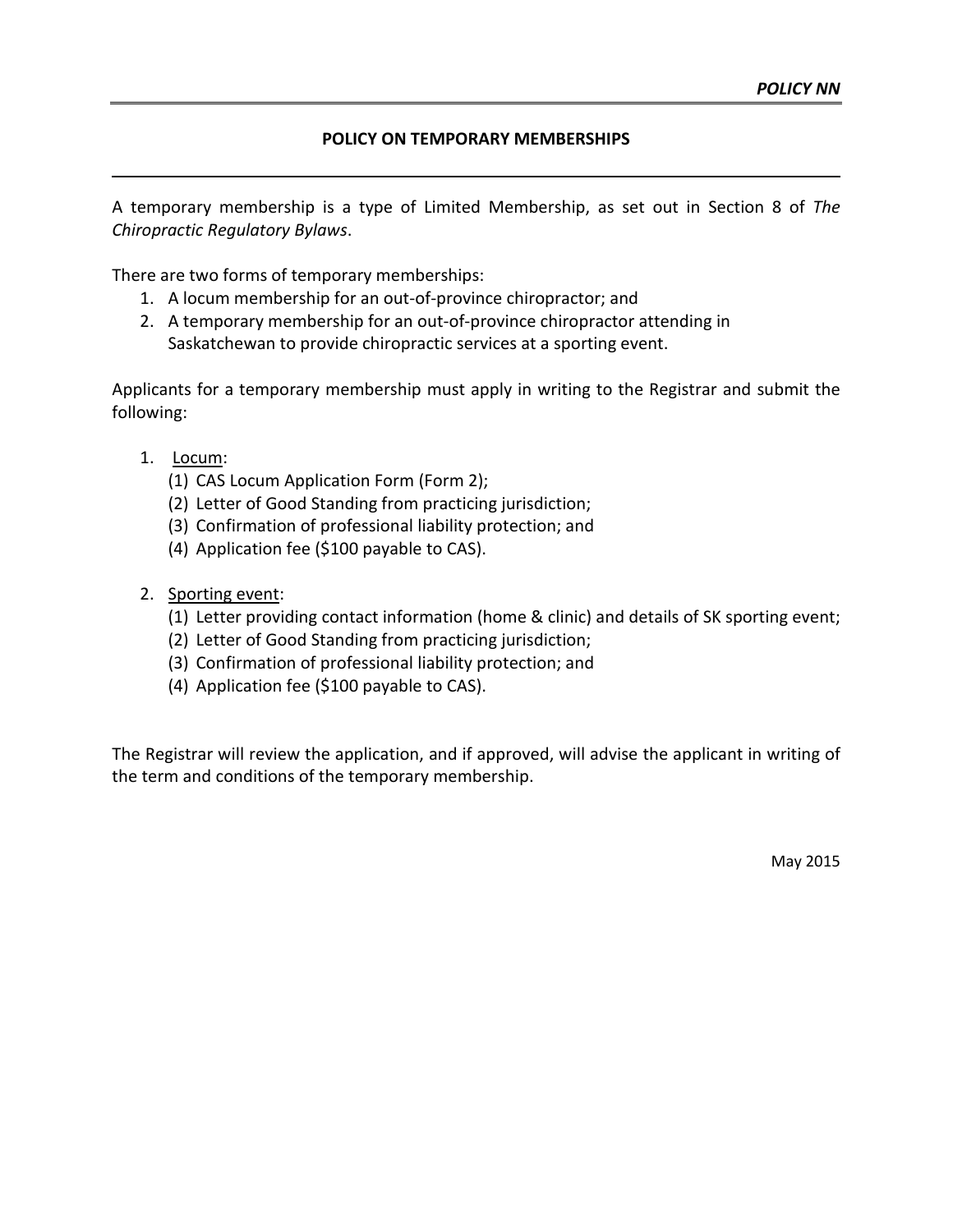## **POLICY ON TEMPORARY MEMBERSHIPS**

A temporary membership is a type of Limited Membership, as set out in Section 8 of *The Chiropractic Regulatory Bylaws*.

There are two forms of temporary memberships:

- 1. A locum membership for an out-of-province chiropractor; and
- 2. A temporary membership for an out-of-province chiropractor attending in Saskatchewan to provide chiropractic services at a sporting event.

Applicants for a temporary membership must apply in writing to the Registrar and submit the following:

- 1. Locum:
	- (1) CAS Locum Application Form (Form 2);
	- (2) Letter of Good Standing from practicing jurisdiction;
	- (3) Confirmation of professional liability protection; and
	- (4) Application fee (\$100 payable to CAS).
- 2. Sporting event:
	- (1) Letter providing contact information (home & clinic) and details of SK sporting event;
	- (2) Letter of Good Standing from practicing jurisdiction;
	- (3) Confirmation of professional liability protection; and
	- (4) Application fee (\$100 payable to CAS).

The Registrar will review the application, and if approved, will advise the applicant in writing of the term and conditions of the temporary membership.

May 2015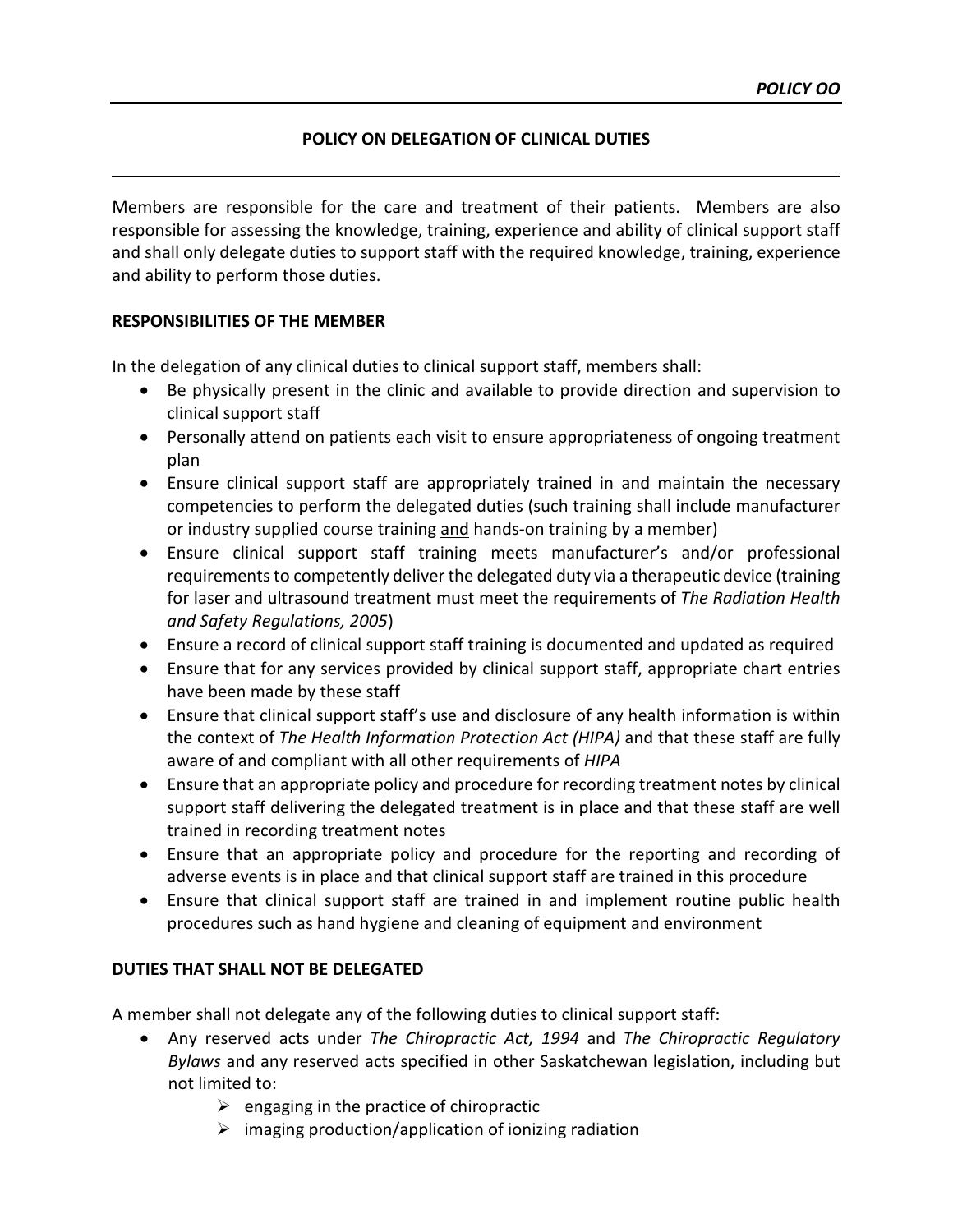# **POLICY ON DELEGATION OF CLINICAL DUTIES**

Members are responsible for the care and treatment of their patients. Members are also responsible for assessing the knowledge, training, experience and ability of clinical support staff and shall only delegate duties to support staff with the required knowledge, training, experience and ability to perform those duties.

# **RESPONSIBILITIES OF THE MEMBER**

In the delegation of any clinical duties to clinical support staff, members shall:

- Be physically present in the clinic and available to provide direction and supervision to clinical support staff
- Personally attend on patients each visit to ensure appropriateness of ongoing treatment plan
- Ensure clinical support staff are appropriately trained in and maintain the necessary competencies to perform the delegated duties (such training shall include manufacturer or industry supplied course training and hands-on training by a member)
- Ensure clinical support staff training meets manufacturer's and/or professional requirements to competently deliver the delegated duty via a therapeutic device (training for laser and ultrasound treatment must meet the requirements of *The Radiation Health and Safety Regulations, 2005*)
- Ensure a record of clinical support staff training is documented and updated as required
- Ensure that for any services provided by clinical support staff, appropriate chart entries have been made by these staff
- Ensure that clinical support staff's use and disclosure of any health information is within the context of *The Health Information Protection Act (HIPA)* and that these staff are fully aware of and compliant with all other requirements of *HIPA*
- Ensure that an appropriate policy and procedure for recording treatment notes by clinical support staff delivering the delegated treatment is in place and that these staff are well trained in recording treatment notes
- Ensure that an appropriate policy and procedure for the reporting and recording of adverse events is in place and that clinical support staff are trained in this procedure
- Ensure that clinical support staff are trained in and implement routine public health procedures such as hand hygiene and cleaning of equipment and environment

# **DUTIES THAT SHALL NOT BE DELEGATED**

A member shall not delegate any of the following duties to clinical support staff:

- Any reserved acts under *The Chiropractic Act, 1994* and *The Chiropractic Regulatory Bylaws* and any reserved acts specified in other Saskatchewan legislation, including but not limited to:
	- $\triangleright$  engaging in the practice of chiropractic
	- $\triangleright$  imaging production/application of ionizing radiation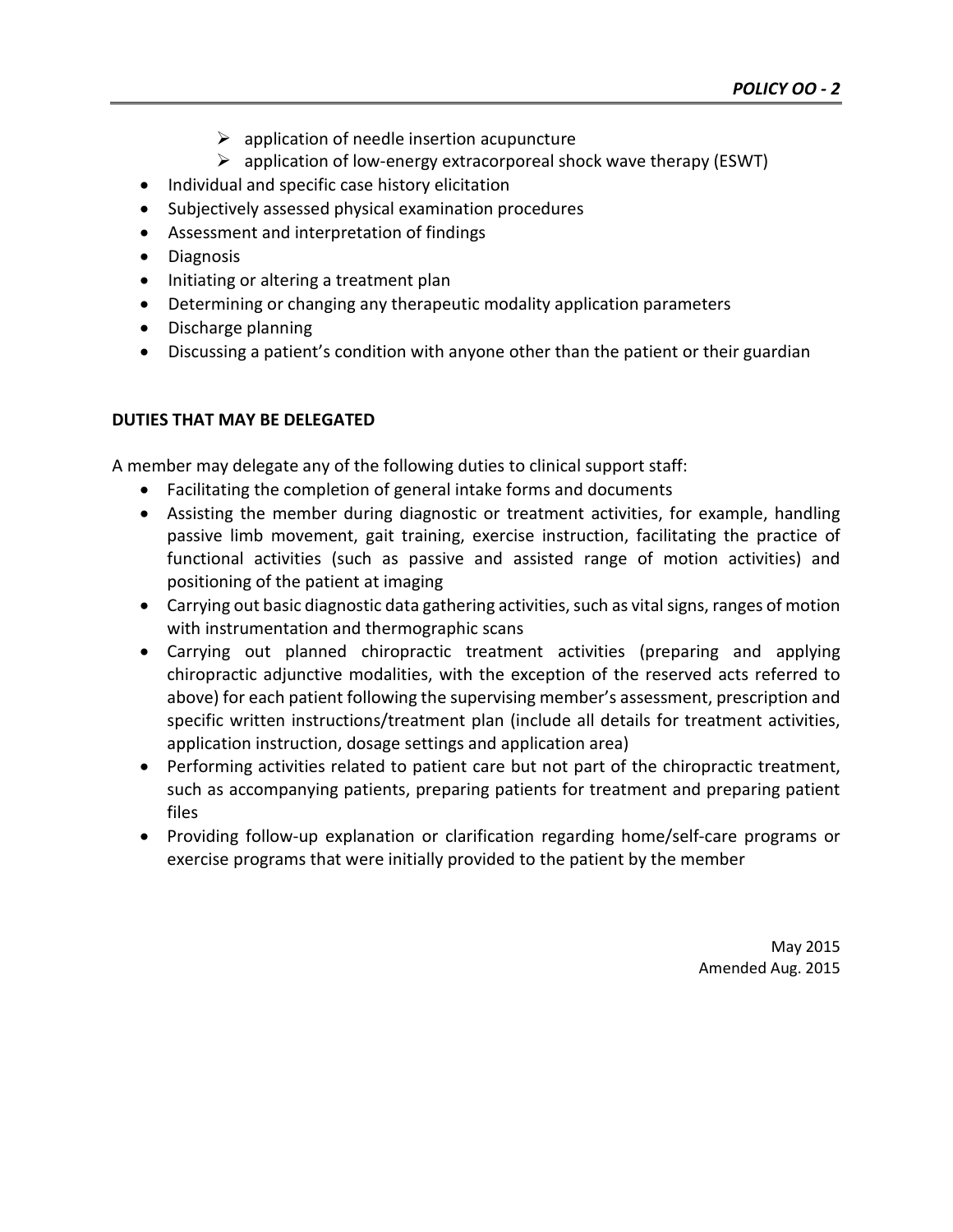- $\triangleright$  application of needle insertion acupuncture
- $\triangleright$  application of low-energy extracorporeal shock wave therapy (ESWT)
- Individual and specific case history elicitation
- Subjectively assessed physical examination procedures
- Assessment and interpretation of findings
- Diagnosis
- Initiating or altering a treatment plan
- Determining or changing any therapeutic modality application parameters
- Discharge planning
- Discussing a patient's condition with anyone other than the patient or their guardian

# **DUTIES THAT MAY BE DELEGATED**

A member may delegate any of the following duties to clinical support staff:

- Facilitating the completion of general intake forms and documents
- Assisting the member during diagnostic or treatment activities, for example, handling passive limb movement, gait training, exercise instruction, facilitating the practice of functional activities (such as passive and assisted range of motion activities) and positioning of the patient at imaging
- Carrying out basic diagnostic data gathering activities, such as vital signs, ranges of motion with instrumentation and thermographic scans
- Carrying out planned chiropractic treatment activities (preparing and applying chiropractic adjunctive modalities, with the exception of the reserved acts referred to above) for each patient following the supervising member's assessment, prescription and specific written instructions/treatment plan (include all details for treatment activities, application instruction, dosage settings and application area)
- Performing activities related to patient care but not part of the chiropractic treatment, such as accompanying patients, preparing patients for treatment and preparing patient files
- Providing follow-up explanation or clarification regarding home/self-care programs or exercise programs that were initially provided to the patient by the member

May 2015 Amended Aug. 2015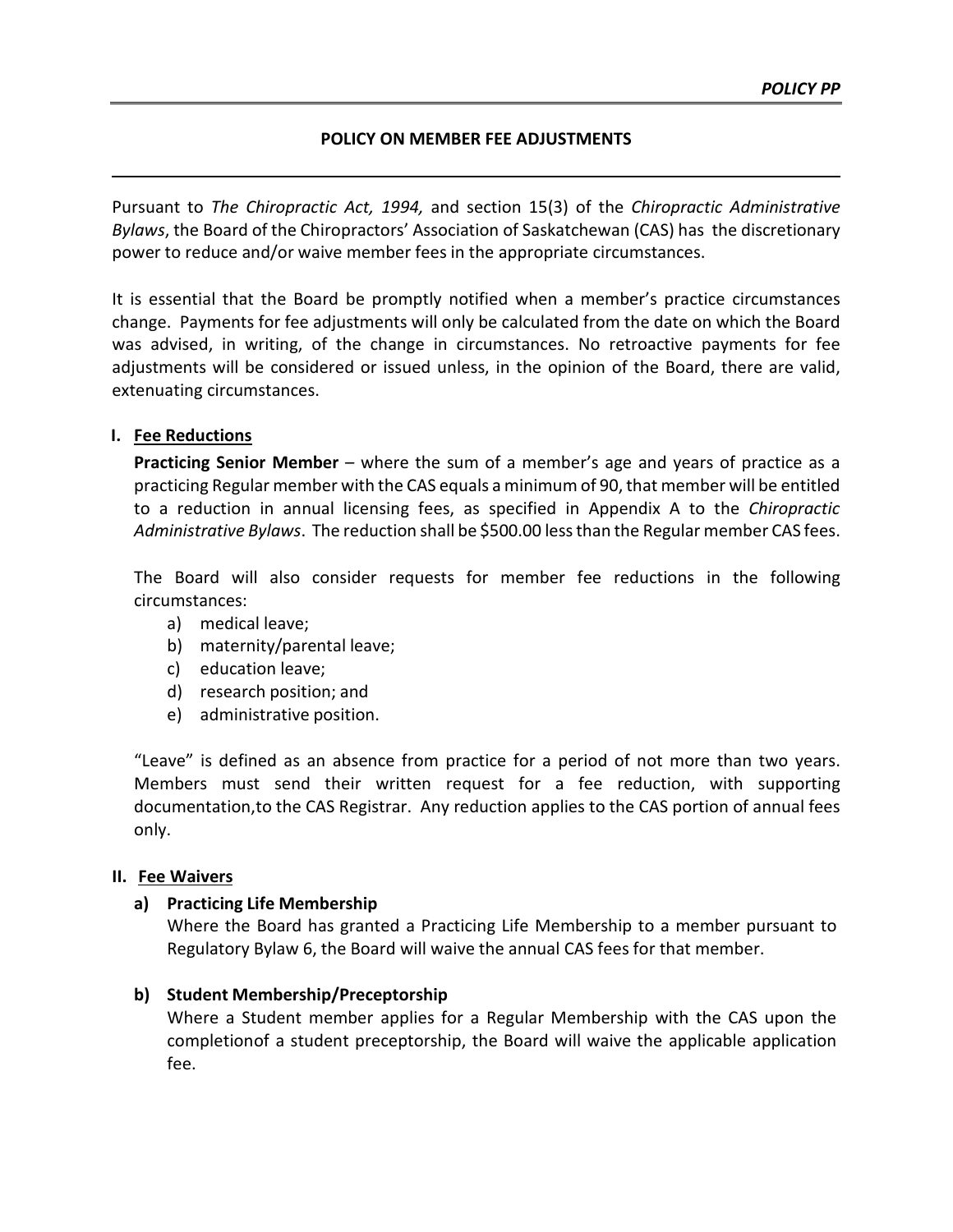## **POLICY ON MEMBER FEE ADJUSTMENTS**

Pursuant to *The Chiropractic Act, 1994,* and section 15(3) of the *Chiropractic Administrative Bylaws*, the Board of the Chiropractors' Association of Saskatchewan (CAS) has the discretionary power to reduce and/or waive member fees in the appropriate circumstances.

It is essential that the Board be promptly notified when a member's practice circumstances change. Payments for fee adjustments will only be calculated from the date on which the Board was advised, in writing, of the change in circumstances. No retroactive payments for fee adjustments will be considered or issued unless, in the opinion of the Board, there are valid, extenuating circumstances.

## **I. Fee Reductions**

**Practicing Senior Member** – where the sum of a member's age and years of practice as a practicing Regular member with the CAS equals a minimum of 90, that member will be entitled to a reduction in annual licensing fees, as specified in Appendix A to the *Chiropractic Administrative Bylaws*. The reduction shall be \$500.00 lessthan the Regular member CAS fees.

The Board will also consider requests for member fee reductions in the following circumstances:

- a) medical leave;
- b) maternity/parental leave;
- c) education leave;
- d) research position; and
- e) administrative position.

"Leave" is defined as an absence from practice for a period of not more than two years. Members must send their written request for a fee reduction, with supporting documentation,to the CAS Registrar. Any reduction applies to the CAS portion of annual fees only.

### **II. Fee Waivers**

### **a) Practicing Life Membership**

Where the Board has granted a Practicing Life Membership to a member pursuant to Regulatory Bylaw 6, the Board will waive the annual CAS fees for that member.

# **b) Student Membership/Preceptorship**

Where a Student member applies for a Regular Membership with the CAS upon the completionof a student preceptorship, the Board will waive the applicable application fee.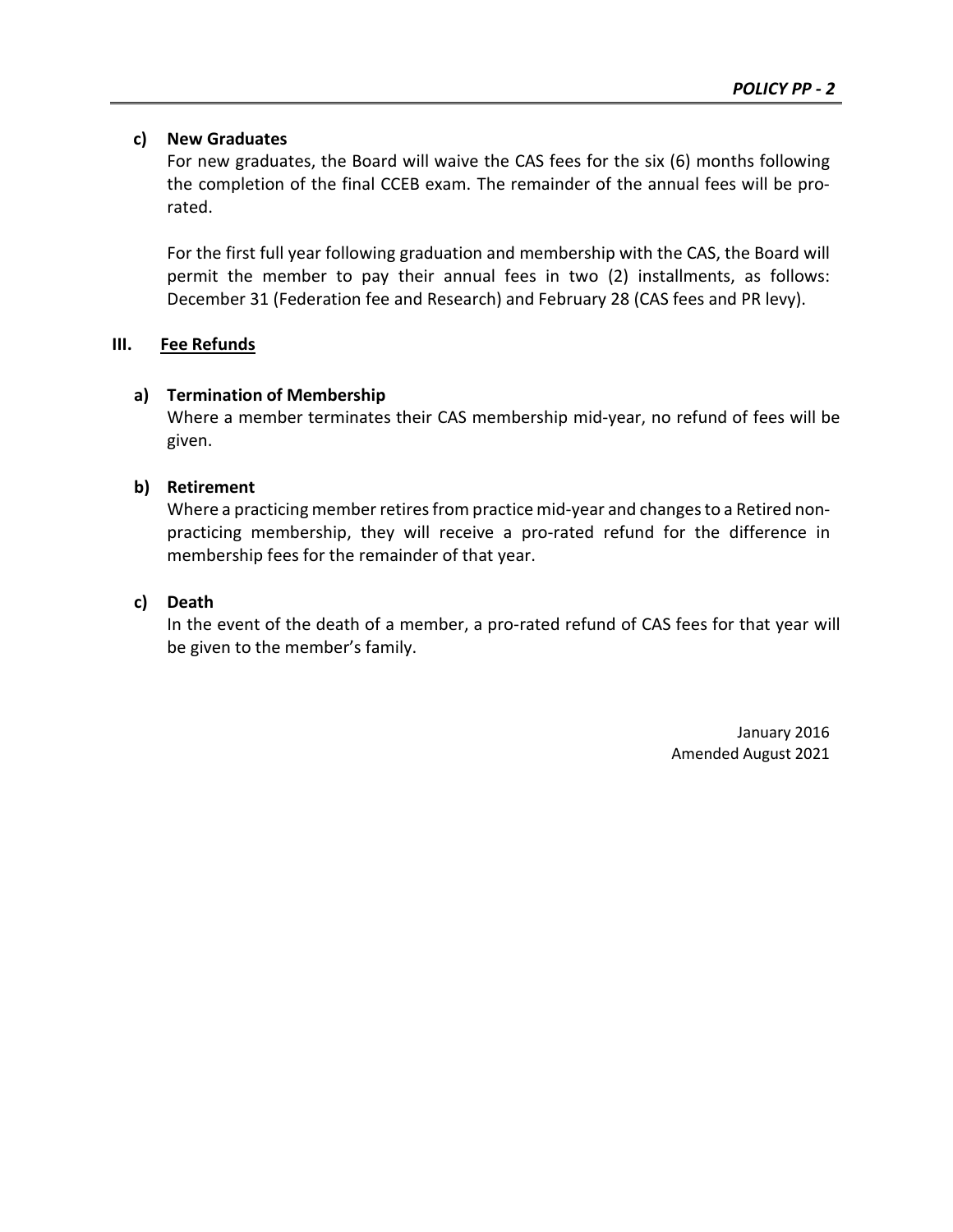# **c) New Graduates**

For new graduates, the Board will waive the CAS fees for the six (6) months following the completion of the final CCEB exam. The remainder of the annual fees will be prorated.

For the first full year following graduation and membership with the CAS, the Board will permit the member to pay their annual fees in two (2) installments, as follows: December 31 (Federation fee and Research) and February 28 (CAS fees and PR levy).

# **III. Fee Refunds**

# **a) Termination of Membership**

Where a member terminates their CAS membership mid-year, no refund of fees will be given.

# **b) Retirement**

Where a practicing member retires from practice mid-year and changesto a Retired nonpracticing membership, they will receive a pro-rated refund for the difference in membership fees for the remainder of that year.

# **c) Death**

In the event of the death of a member, a pro-rated refund of CAS fees for that year will be given to the member's family.

> January 2016 Amended August 2021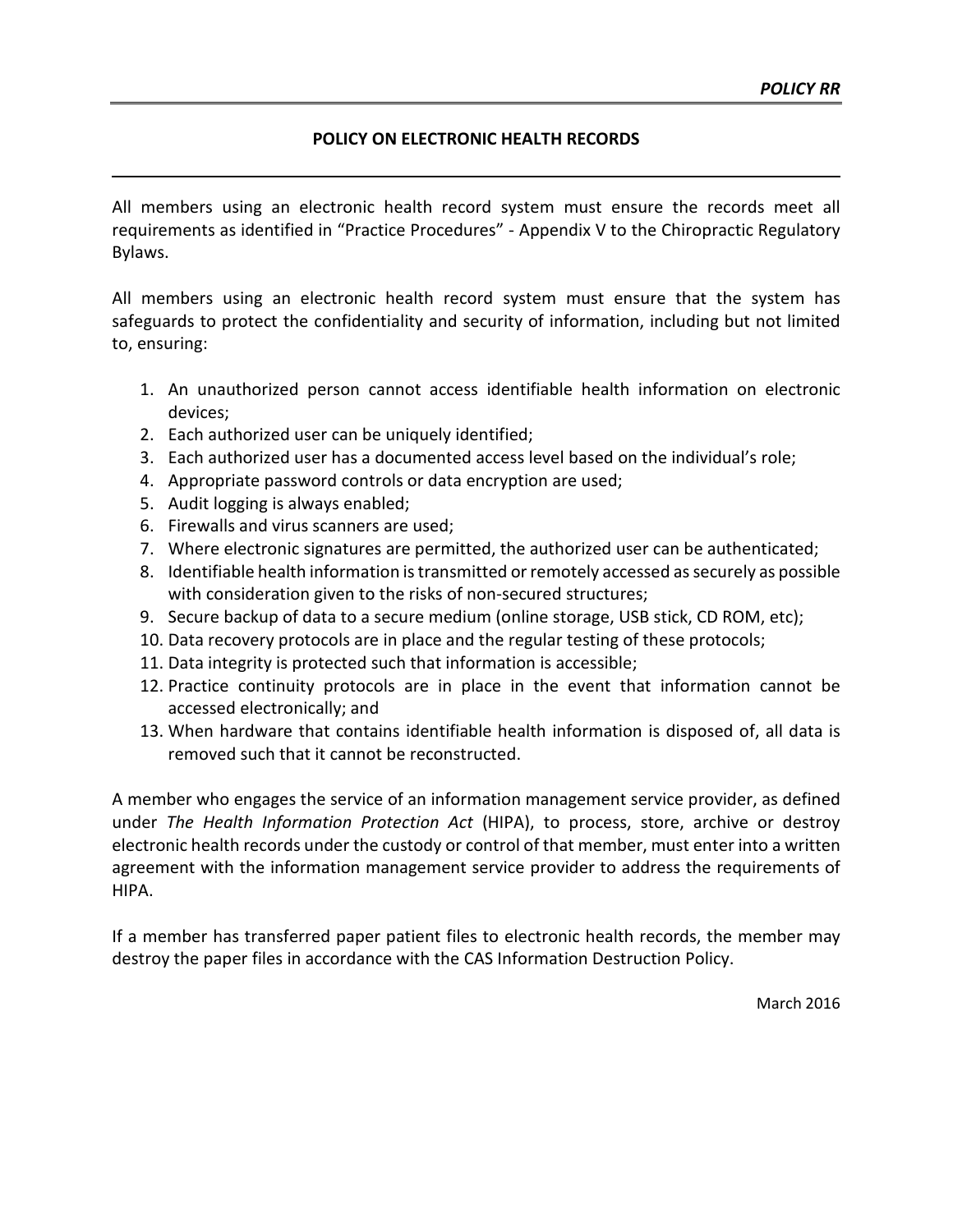# **POLICY ON ELECTRONIC HEALTH RECORDS**

All members using an electronic health record system must ensure the records meet all requirements as identified in "Practice Procedures" - Appendix V to the Chiropractic Regulatory Bylaws.

All members using an electronic health record system must ensure that the system has safeguards to protect the confidentiality and security of information, including but not limited to, ensuring:

- 1. An unauthorized person cannot access identifiable health information on electronic devices;
- 2. Each authorized user can be uniquely identified;
- 3. Each authorized user has a documented access level based on the individual's role;
- 4. Appropriate password controls or data encryption are used;
- 5. Audit logging is always enabled;
- 6. Firewalls and virus scanners are used;
- 7. Where electronic signatures are permitted, the authorized user can be authenticated;
- 8. Identifiable health information is transmitted or remotely accessed as securely as possible with consideration given to the risks of non-secured structures;
- 9. Secure backup of data to a secure medium (online storage, USB stick, CD ROM, etc);
- 10. Data recovery protocols are in place and the regular testing of these protocols;
- 11. Data integrity is protected such that information is accessible;
- 12. Practice continuity protocols are in place in the event that information cannot be accessed electronically; and
- 13. When hardware that contains identifiable health information is disposed of, all data is removed such that it cannot be reconstructed.

A member who engages the service of an information management service provider, as defined under *The Health Information Protection Act* (HIPA), to process, store, archive or destroy electronic health records under the custody or control of that member, must enter into a written agreement with the information management service provider to address the requirements of HIPA.

If a member has transferred paper patient files to electronic health records, the member may destroy the paper files in accordance with the CAS Information Destruction Policy.

March 2016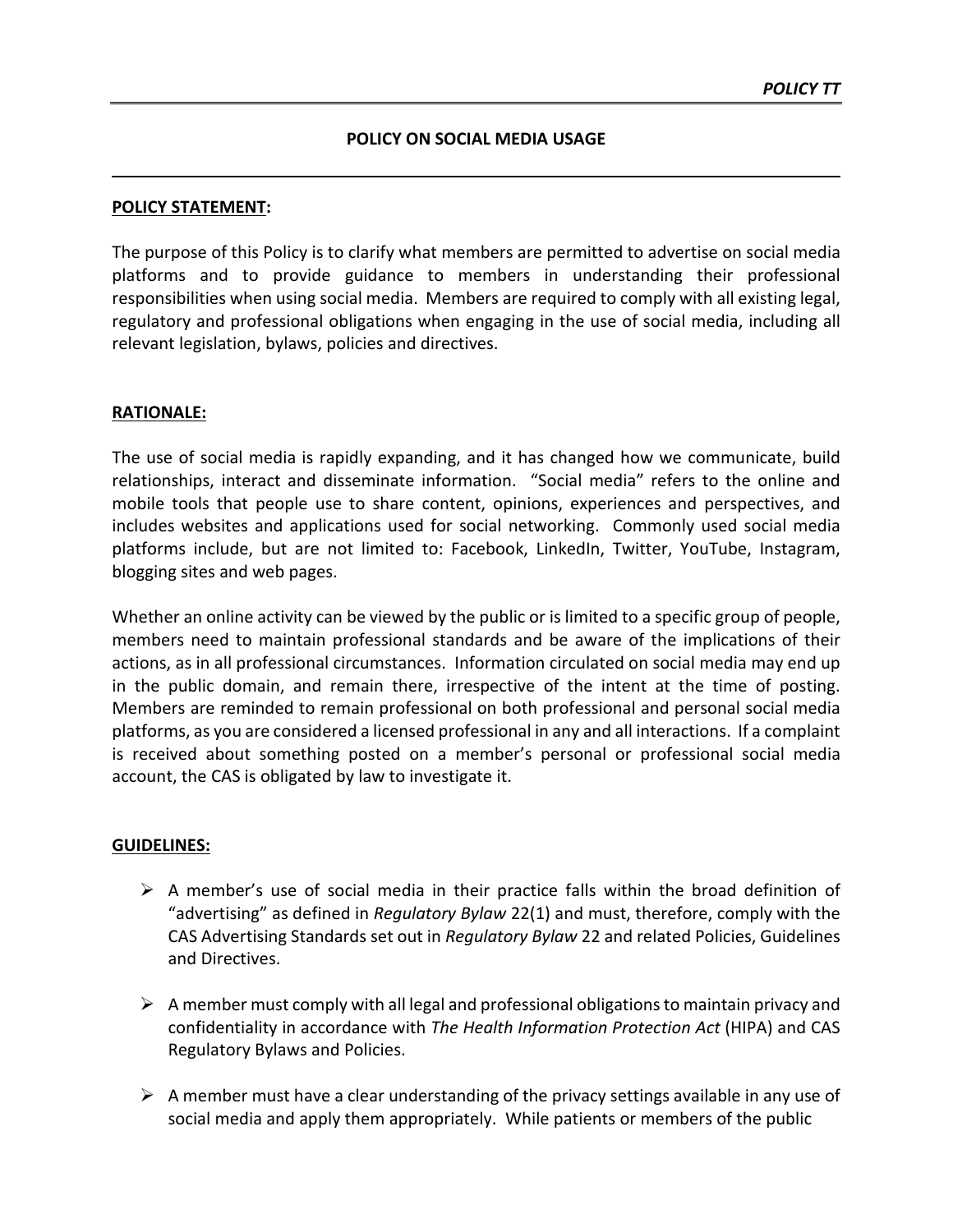#### **POLICY STATEMENT:**

The purpose of this Policy is to clarify what members are permitted to advertise on social media platforms and to provide guidance to members in understanding their professional responsibilities when using social media. Members are required to comply with all existing legal, regulatory and professional obligations when engaging in the use of social media, including all relevant legislation, bylaws, policies and directives.

#### **RATIONALE:**

The use of social media is rapidly expanding, and it has changed how we communicate, build relationships, interact and disseminate information. "Social media" refers to the online and mobile tools that people use to share content, opinions, experiences and perspectives, and includes websites and applications used for social networking. Commonly used social media platforms include, but are not limited to: Facebook, LinkedIn, Twitter, YouTube, Instagram, blogging sites and web pages.

Whether an online activity can be viewed by the public or is limited to a specific group of people, members need to maintain professional standards and be aware of the implications of their actions, as in all professional circumstances. Information circulated on social media may end up in the public domain, and remain there, irrespective of the intent at the time of posting. Members are reminded to remain professional on both professional and personal social media platforms, as you are considered a licensed professional in any and all interactions. If a complaint is received about something posted on a member's personal or professional social media account, the CAS is obligated by law to investigate it.

#### **GUIDELINES:**

- $\triangleright$  A member's use of social media in their practice falls within the broad definition of "advertising" as defined in *Regulatory Bylaw* 22(1) and must, therefore, comply with the CAS Advertising Standards set out in *Regulatory Bylaw* 22 and related Policies, Guidelines and Directives.
- $\triangleright$  A member must comply with all legal and professional obligations to maintain privacy and confidentiality in accordance with *The Health Information Protection Act* (HIPA) and CAS Regulatory Bylaws and Policies.
- $\triangleright$  A member must have a clear understanding of the privacy settings available in any use of social media and apply them appropriately. While patients or members of the public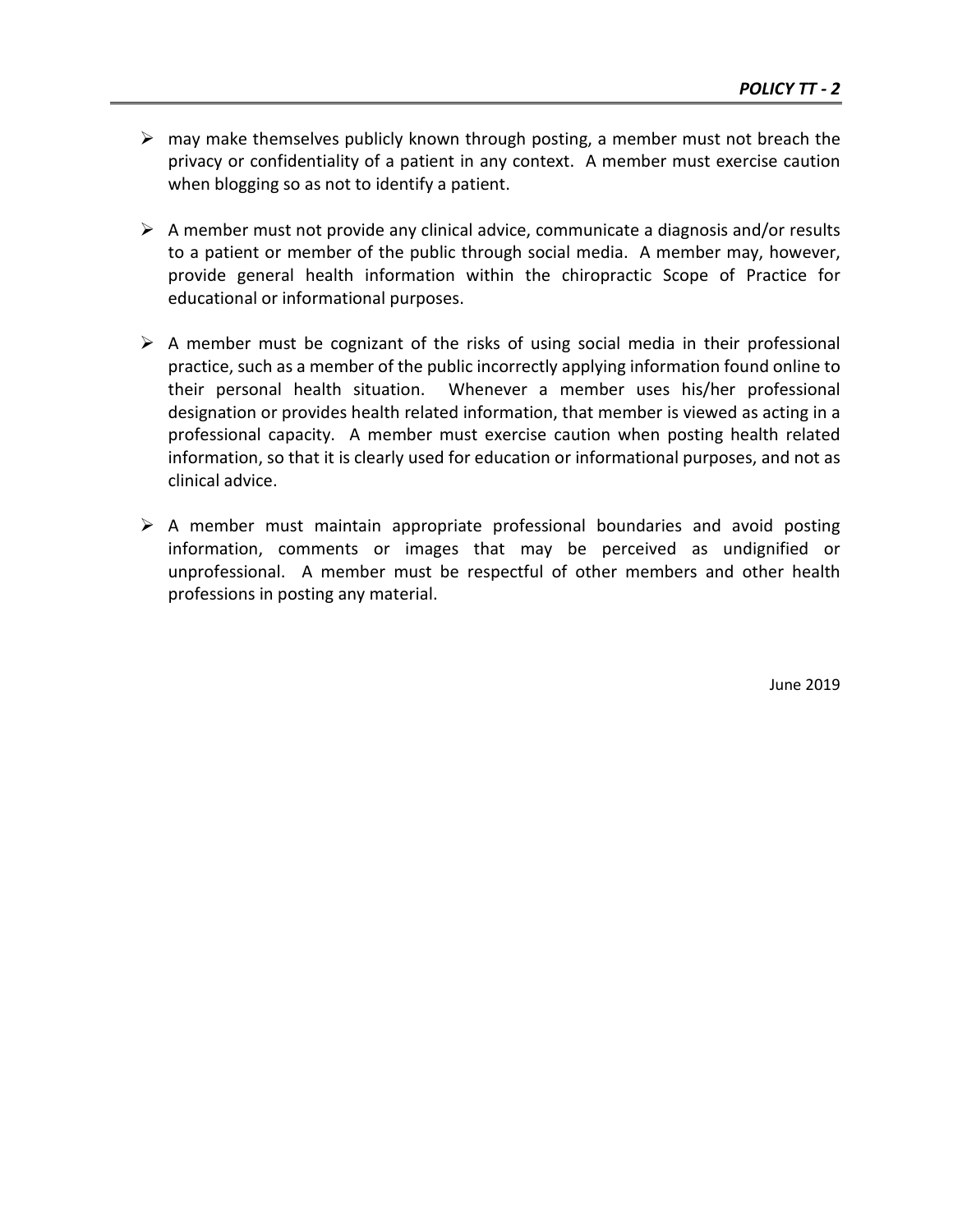- $\triangleright$  may make themselves publicly known through posting, a member must not breach the privacy or confidentiality of a patient in any context. A member must exercise caution when blogging so as not to identify a patient.
- $\triangleright$  A member must not provide any clinical advice, communicate a diagnosis and/or results to a patient or member of the public through social media. A member may, however, provide general health information within the chiropractic Scope of Practice for educational or informational purposes.
- $\triangleright$  A member must be cognizant of the risks of using social media in their professional practice, such as a member of the public incorrectly applying information found online to their personal health situation. Whenever a member uses his/her professional designation or provides health related information, that member is viewed as acting in a professional capacity. A member must exercise caution when posting health related information, so that it is clearly used for education or informational purposes, and not as clinical advice.
- $\triangleright$  A member must maintain appropriate professional boundaries and avoid posting information, comments or images that may be perceived as undignified or unprofessional. A member must be respectful of other members and other health professions in posting any material.

June 2019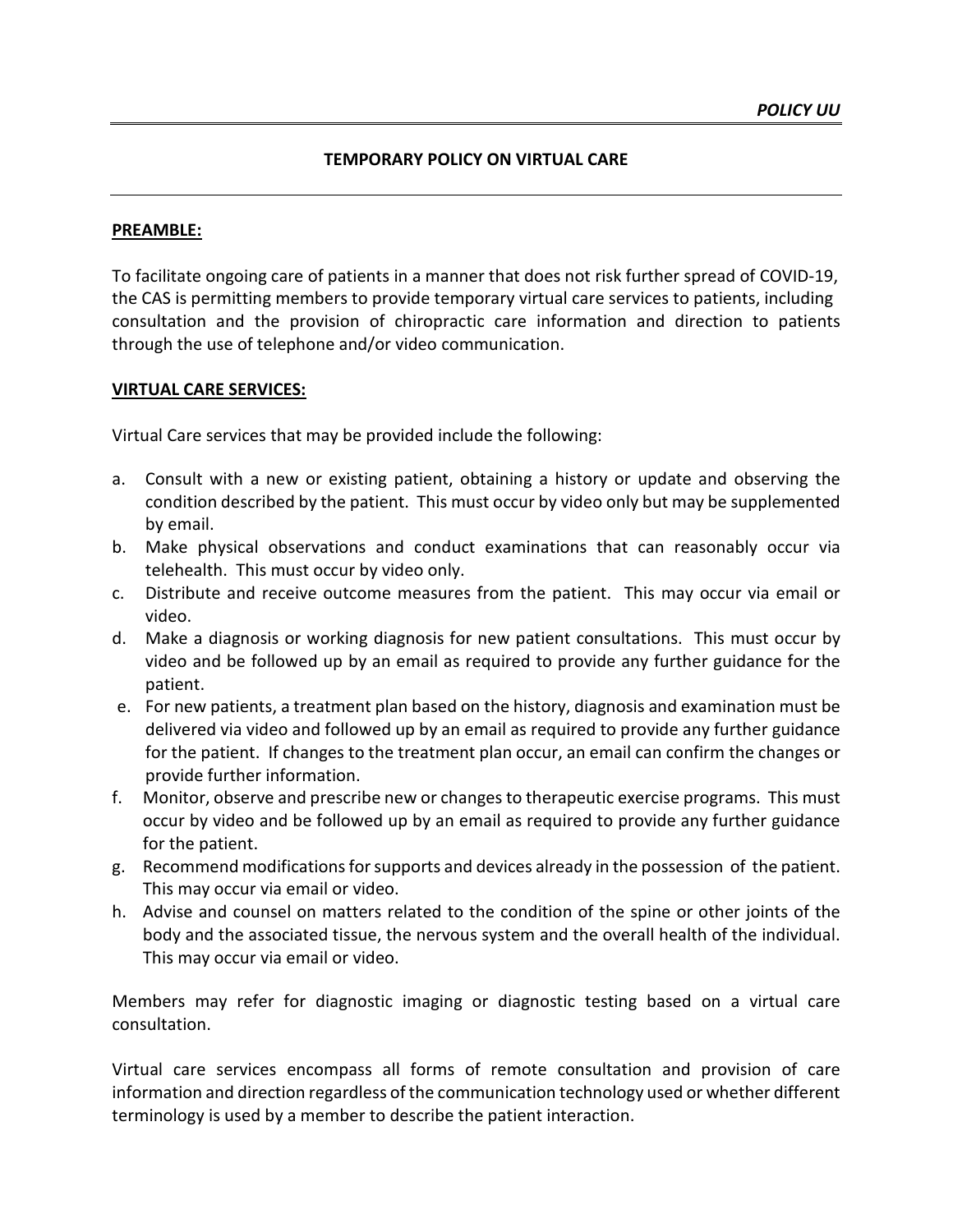#### **TEMPORARY POLICY ON VIRTUAL CARE**

#### **PREAMBLE:**

To facilitate ongoing care of patients in a manner that does not risk further spread of COVID-19, the CAS is permitting members to provide temporary virtual care services to patients, including consultation and the provision of chiropractic care information and direction to patients through the use of telephone and/or video communication.

#### **VIRTUAL CARE SERVICES:**

Virtual Care services that may be provided include the following:

- a. Consult with a new or existing patient, obtaining a history or update and observing the condition described by the patient. This must occur by video only but may be supplemented by email.
- b. Make physical observations and conduct examinations that can reasonably occur via telehealth. This must occur by video only.
- c. Distribute and receive outcome measures from the patient. This may occur via email or video.
- d. Make a diagnosis or working diagnosis for new patient consultations. This must occur by video and be followed up by an email as required to provide any further guidance for the patient.
- e. For new patients, a treatment plan based on the history, diagnosis and examination must be delivered via video and followed up by an email as required to provide any further guidance for the patient. If changes to the treatment plan occur, an email can confirm the changes or provide further information.
- f. Monitor, observe and prescribe new or changes to therapeutic exercise programs. This must occur by video and be followed up by an email as required to provide any further guidance for the patient.
- g. Recommend modifications for supports and devices already in the possession of the patient. This may occur via email or video.
- h. Advise and counsel on matters related to the condition of the spine or other joints of the body and the associated tissue, the nervous system and the overall health of the individual. This may occur via email or video.

Members may refer for diagnostic imaging or diagnostic testing based on a virtual care consultation.

Virtual care services encompass all forms of remote consultation and provision of care information and direction regardless of the communication technology used or whether different terminology is used by a member to describe the patient interaction.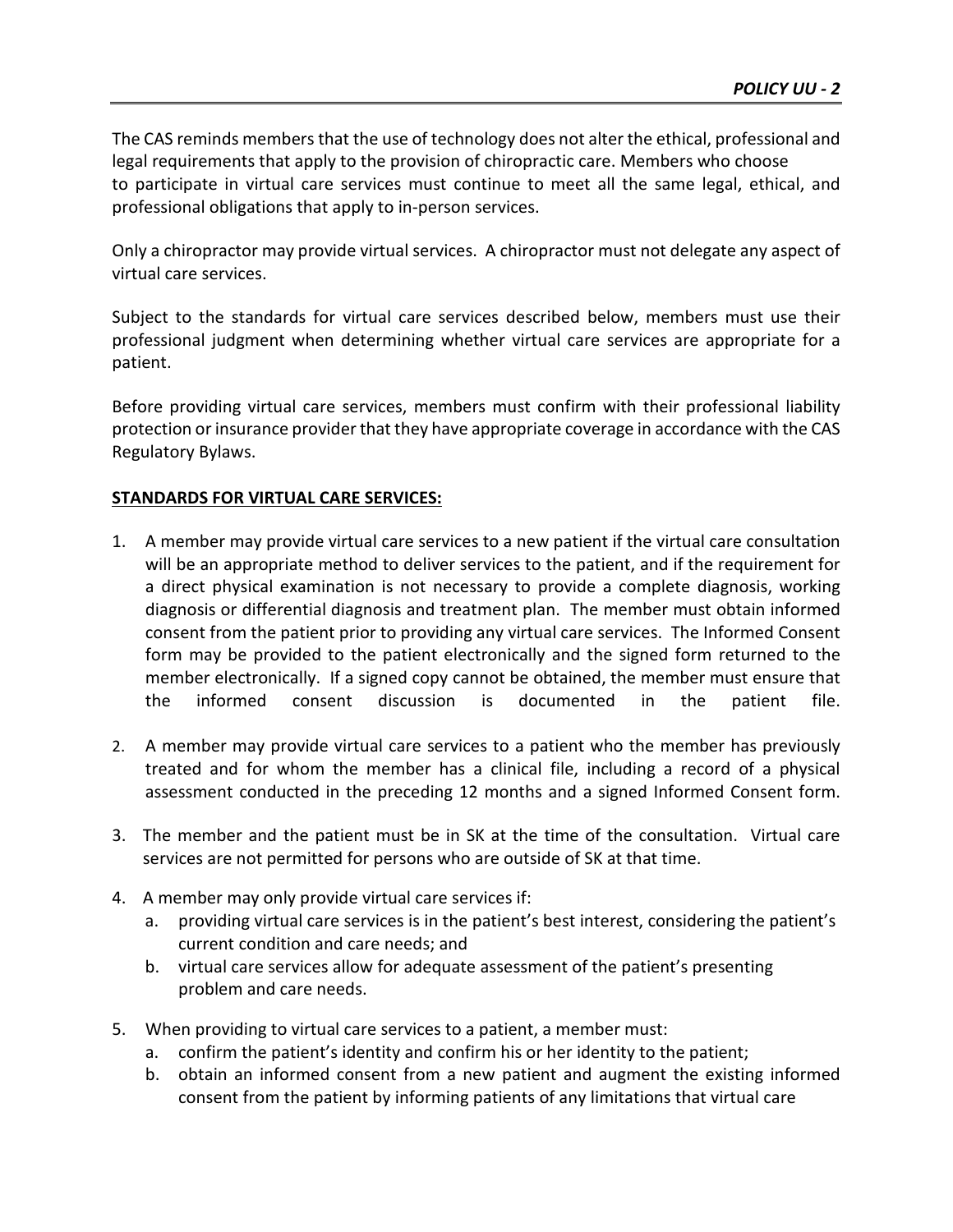The CAS reminds members that the use of technology does not alter the ethical, professional and legal requirements that apply to the provision of chiropractic care. Members who choose to participate in virtual care services must continue to meet all the same legal, ethical, and professional obligations that apply to in-person services.

Only a chiropractor may provide virtual services. A chiropractor must not delegate any aspect of virtual care services.

Subject to the standards for virtual care services described below, members must use their professional judgment when determining whether virtual care services are appropriate for a patient.

Before providing virtual care services, members must confirm with their professional liability protection or insurance provider that they have appropriate coverage in accordance with the CAS Regulatory Bylaws.

## **STANDARDS FOR VIRTUAL CARE SERVICES:**

- 1. A member may provide virtual care services to a new patient if the virtual care consultation will be an appropriate method to deliver services to the patient, and if the requirement for a direct physical examination is not necessary to provide a complete diagnosis, working diagnosis or differential diagnosis and treatment plan. The member must obtain informed consent from the patient prior to providing any virtual care services. The Informed Consent form may be provided to the patient electronically and the signed form returned to the member electronically. If a signed copy cannot be obtained, the member must ensure that the informed consent discussion is documented in the patient file.
- 2. A member may provide virtual care services to a patient who the member has previously treated and for whom the member has a clinical file, including a record of a physical assessment conducted in the preceding 12 months and a signed Informed Consent form.
- 3. The member and the patient must be in SK at the time of the consultation. Virtual care services are not permitted for persons who are outside of SK at that time.
- 4. A member may only provide virtual care services if:
	- a. providing virtual care services is in the patient's best interest, considering the patient's current condition and care needs; and
	- b. virtual care services allow for adequate assessment of the patient's presenting problem and care needs.
- 5. When providing to virtual care services to a patient, a member must:
	- a. confirm the patient's identity and confirm his or her identity to the patient;
	- b. obtain an informed consent from a new patient and augment the existing informed consent from the patient by informing patients of any limitations that virtual care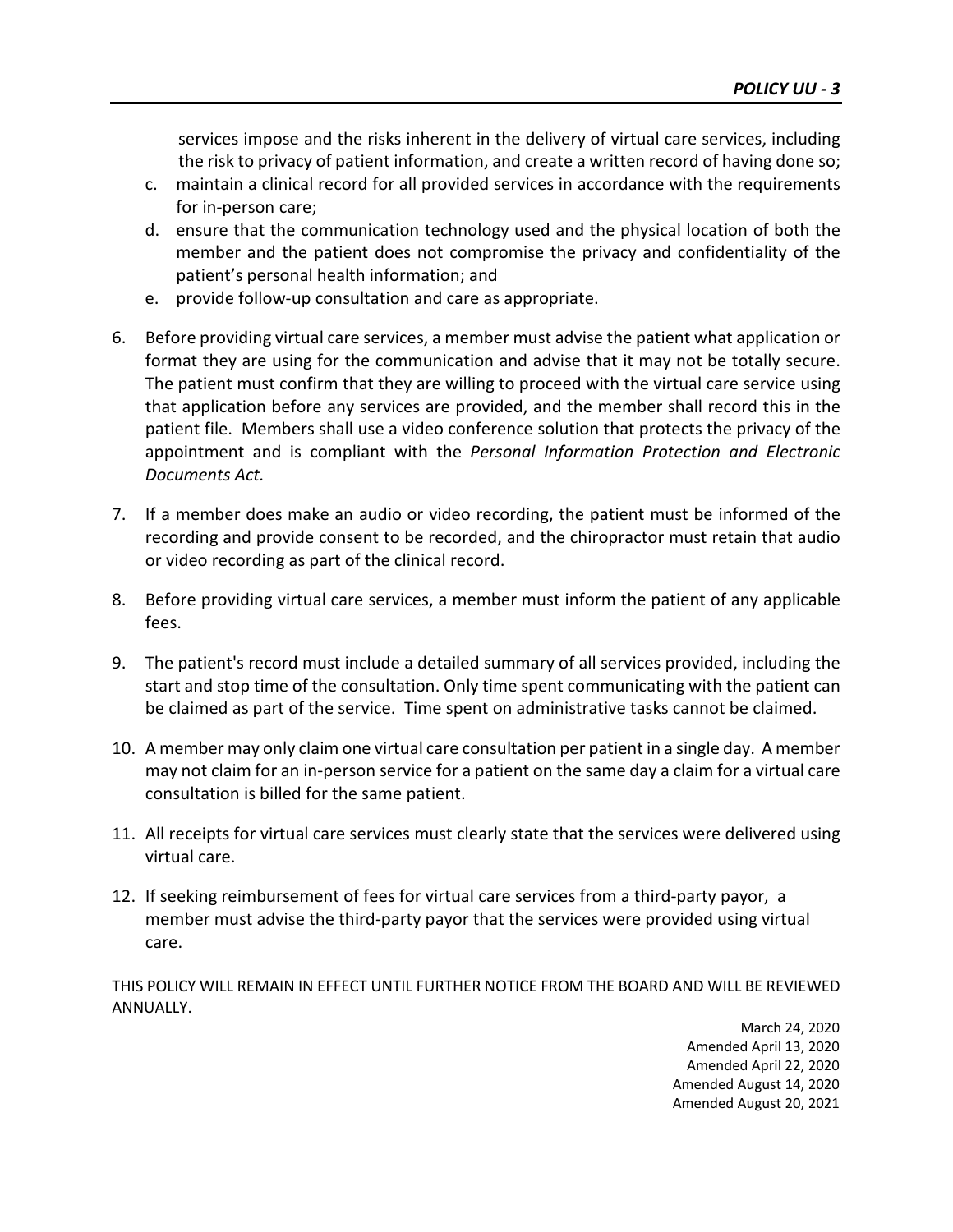services impose and the risks inherent in the delivery of virtual care services, including the risk to privacy of patient information, and create a written record of having done so;

- c. maintain a clinical record for all provided services in accordance with the requirements for in-person care;
- d. ensure that the communication technology used and the physical location of both the member and the patient does not compromise the privacy and confidentiality of the patient's personal health information; and
- e. provide follow-up consultation and care as appropriate.
- 6. Before providing virtual care services, a member must advise the patient what application or format they are using for the communication and advise that it may not be totally secure. The patient must confirm that they are willing to proceed with the virtual care service using that application before any services are provided, and the member shall record this in the patient file. Members shall use a video conference solution that protects the privacy of the appointment and is compliant with the *Personal Information Protection and Electronic Documents Act.*
- 7. If a member does make an audio or video recording, the patient must be informed of the recording and provide consent to be recorded, and the chiropractor must retain that audio or video recording as part of the clinical record.
- 8. Before providing virtual care services, a member must inform the patient of any applicable fees.
- 9. The patient's record must include a detailed summary of all services provided, including the start and stop time of the consultation. Only time spent communicating with the patient can be claimed as part of the service. Time spent on administrative tasks cannot be claimed.
- 10. A member may only claim one virtual care consultation per patient in a single day. A member may not claim for an in-person service for a patient on the same day a claim for a virtual care consultation is billed for the same patient.
- 11. All receipts for virtual care services must clearly state that the services were delivered using virtual care.
- 12. If seeking reimbursement of fees for virtual care services from a third-party payor, a member must advise the third-party payor that the services were provided using virtual care.

THIS POLICY WILL REMAIN IN EFFECT UNTIL FURTHER NOTICE FROM THE BOARD AND WILL BE REVIEWED ANNUALLY.

March 24, 2020 Amended April 13, 2020 Amended April 22, 2020 Amended August 14, 2020 Amended August 20, 2021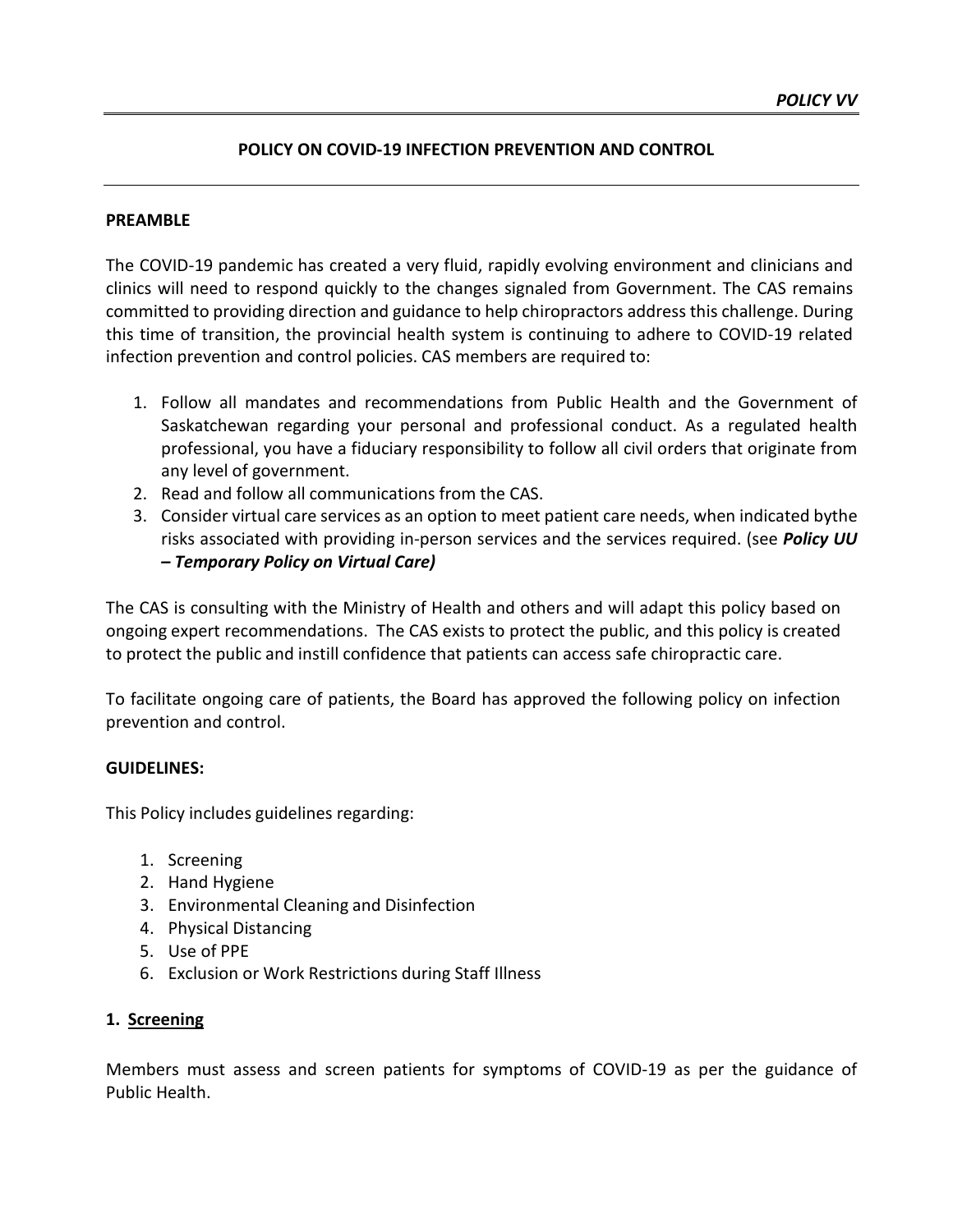### **POLICY ON COVID-19 INFECTION PREVENTION AND CONTROL**

#### **PREAMBLE**

The COVID-19 pandemic has created a very fluid, rapidly evolving environment and clinicians and clinics will need to respond quickly to the changes signaled from Government. The CAS remains committed to providing direction and guidance to help chiropractors address this challenge. During this time of transition, the provincial health system is continuing to adhere to COVID-19 related infection prevention and control policies. CAS members are required to:

- 1. Follow all mandates and recommendations from Public Health and the Government of Saskatchewan regarding your personal and professional conduct. As a regulated health professional, you have a fiduciary responsibility to follow all civil orders that originate from any level of government.
- 2. Read and follow all communications from the CAS.
- 3. Consider virtual care services as an option to meet patient care needs, when indicated bythe risks associated with providing in-person services and the services required. (see *Policy UU – Temporary Policy on Virtual Care)*

The CAS is consulting with the Ministry of Health and others and will adapt this policy based on ongoing expert recommendations. The CAS exists to protect the public, and this policy is created to protect the public and instill confidence that patients can access safe chiropractic care.

To facilitate ongoing care of patients, the Board has approved the following policy on infection prevention and control.

#### **GUIDELINES:**

This Policy includes guidelines regarding:

- 1. Screening
- 2. Hand Hygiene
- 3. Environmental Cleaning and Disinfection
- 4. Physical Distancing
- 5. Use of PPE
- 6. Exclusion or Work Restrictions during Staff Illness

#### **1. Screening**

Members must assess and screen patients for symptoms of COVID-19 as per the guidance of Public Health.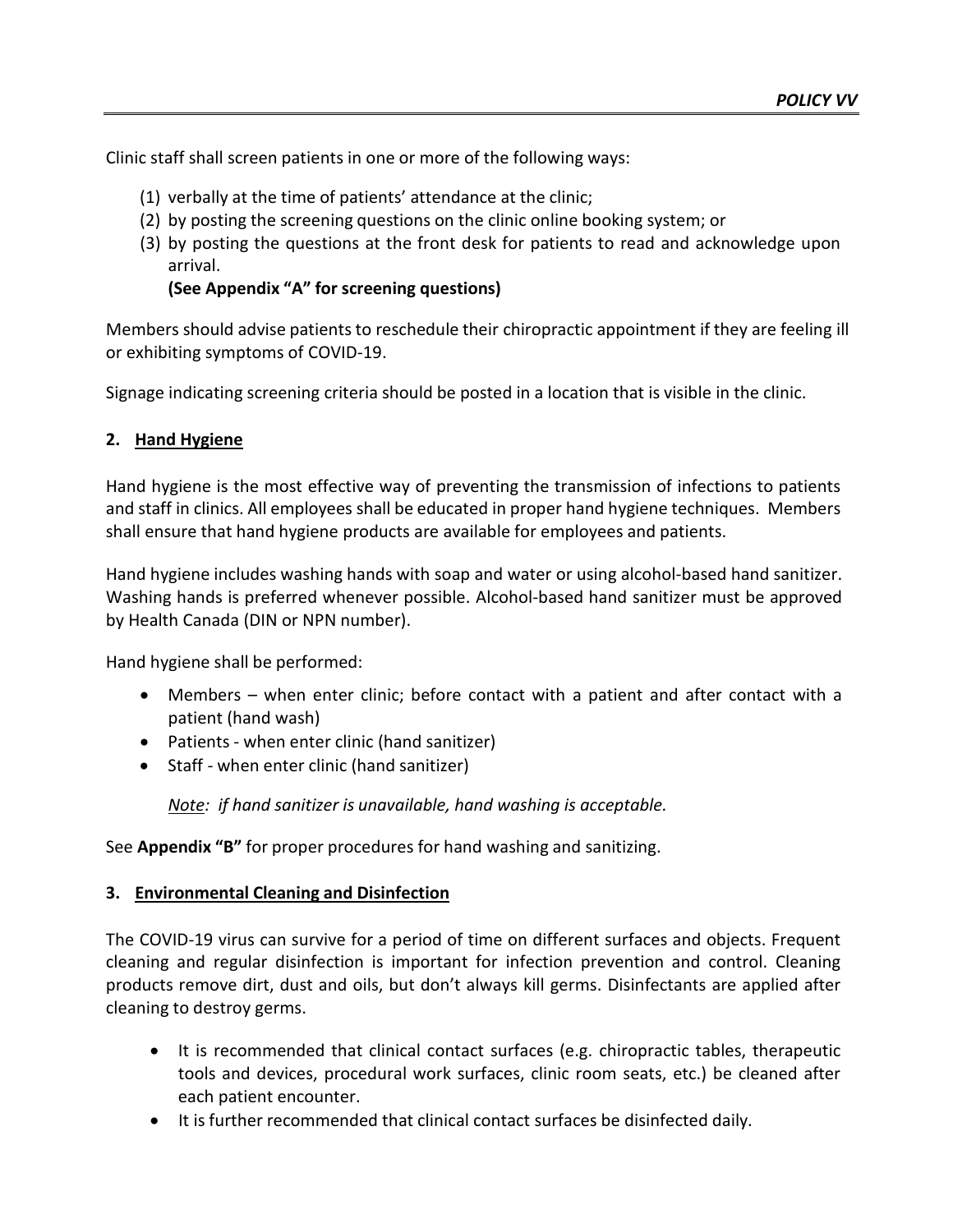Clinic staff shall screen patients in one or more of the following ways:

- (1) verbally at the time of patients' attendance at the clinic;
- (2) by posting the screening questions on the clinic online booking system; or
- (3) by posting the questions at the front desk for patients to read and acknowledge upon arrival.

## **(See Appendix "A" for screening questions)**

Members should advise patients to reschedule their chiropractic appointment if they are feeling ill or exhibiting symptoms of COVID-19.

Signage indicating screening criteria should be posted in a location that is visible in the clinic.

## **2. Hand Hygiene**

Hand hygiene is the most effective way of preventing the transmission of infections to patients and staff in clinics. All employees shall be educated in proper hand hygiene techniques. Members shall ensure that hand hygiene products are available for employees and patients.

Hand hygiene includes washing hands with soap and water or using alcohol-based hand sanitizer. Washing hands is preferred whenever possible. Alcohol-based hand sanitizer must be approved by Health Canada (DIN or NPN number).

Hand hygiene shall be performed:

- Members when enter clinic; before contact with a patient and after contact with a patient (hand wash)
- Patients when enter clinic (hand sanitizer)
- Staff when enter clinic (hand sanitizer)

*Note: if hand sanitizer is unavailable, hand washing is acceptable.*

See **Appendix "B"** for proper procedures for hand washing and sanitizing.

## **3. Environmental Cleaning and Disinfection**

The COVID-19 virus can survive for a period of time on different surfaces and objects. Frequent cleaning and regular disinfection is important for infection prevention and control. Cleaning products remove dirt, dust and oils, but don't always kill germs. Disinfectants are applied after cleaning to destroy germs.

- It is recommended that clinical contact surfaces (e.g. chiropractic tables, therapeutic tools and devices, procedural work surfaces, clinic room seats, etc.) be cleaned after each patient encounter.
- It is further recommended that clinical contact surfaces be disinfected daily.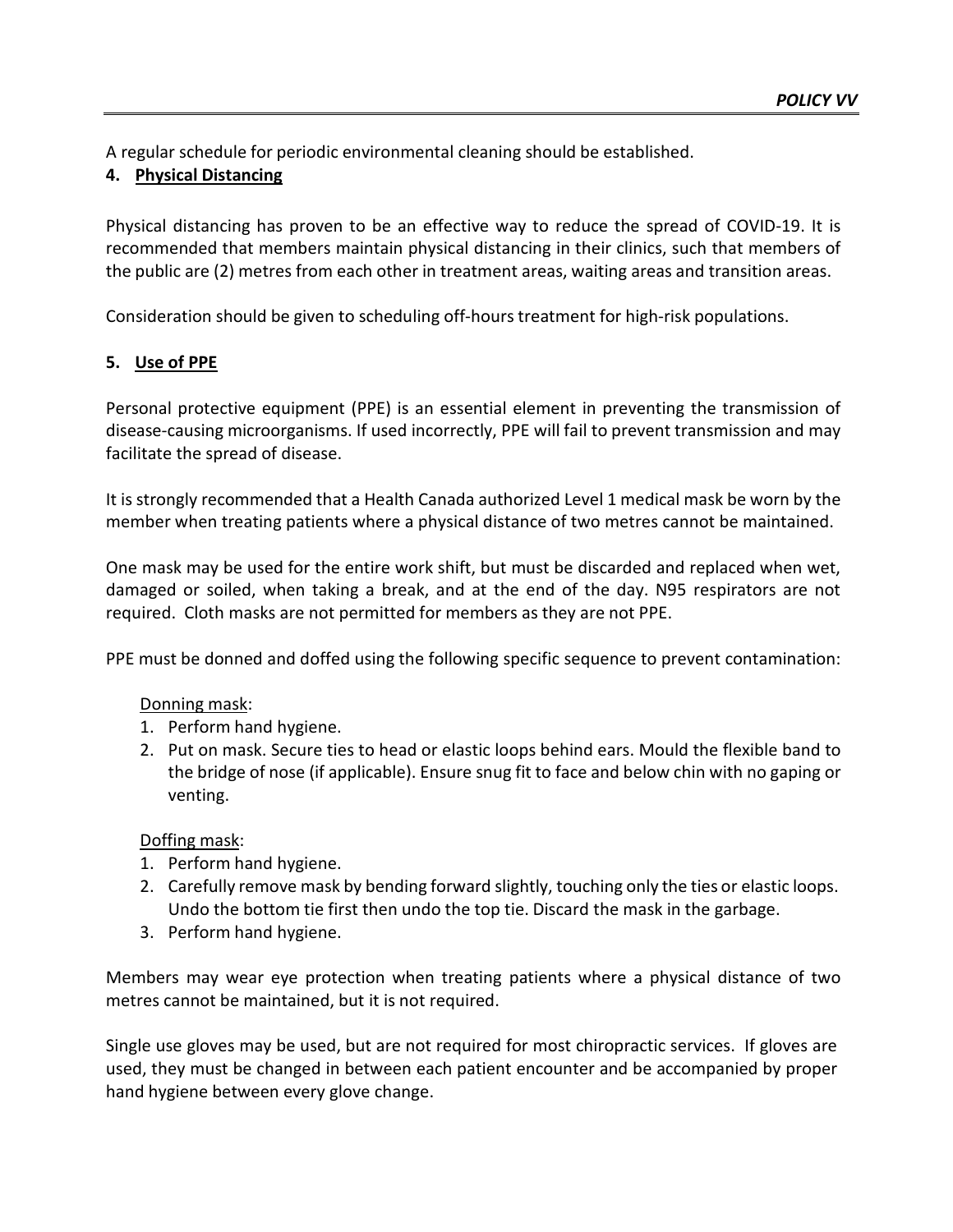A regular schedule for periodic environmental cleaning should be established.

## **4. Physical Distancing**

Physical distancing has proven to be an effective way to reduce the spread of COVID-19. It is recommended that members maintain physical distancing in their clinics, such that members of the public are (2) metres from each other in treatment areas, waiting areas and transition areas.

Consideration should be given to scheduling off-hours treatment for high-risk populations.

# **5. Use of PPE**

Personal protective equipment (PPE) is an essential element in preventing the transmission of disease-causing microorganisms. If used incorrectly, PPE will fail to prevent transmission and may facilitate the spread of disease.

It is strongly recommended that a Health Canada authorized Level 1 medical mask be worn by the member when treating patients where a physical distance of two metres cannot be maintained.

One mask may be used for the entire work shift, but must be discarded and replaced when wet, damaged or soiled, when taking a break, and at the end of the day. N95 respirators are not required. Cloth masks are not permitted for members as they are not PPE.

PPE must be donned and doffed using the following specific sequence to prevent contamination:

## Donning mask:

- 1. Perform hand hygiene.
- 2. Put on mask. Secure ties to head or elastic loops behind ears. Mould the flexible band to the bridge of nose (if applicable). Ensure snug fit to face and below chin with no gaping or venting.

Doffing mask:

- 1. Perform hand hygiene.
- 2. Carefully remove mask by bending forward slightly, touching only the ties or elastic loops. Undo the bottom tie first then undo the top tie. Discard the mask in the garbage.
- 3. Perform hand hygiene.

Members may wear eye protection when treating patients where a physical distance of two metres cannot be maintained, but it is not required.

Single use gloves may be used, but are not required for most chiropractic services. If gloves are used, they must be changed in between each patient encounter and be accompanied by proper hand hygiene between every glove change.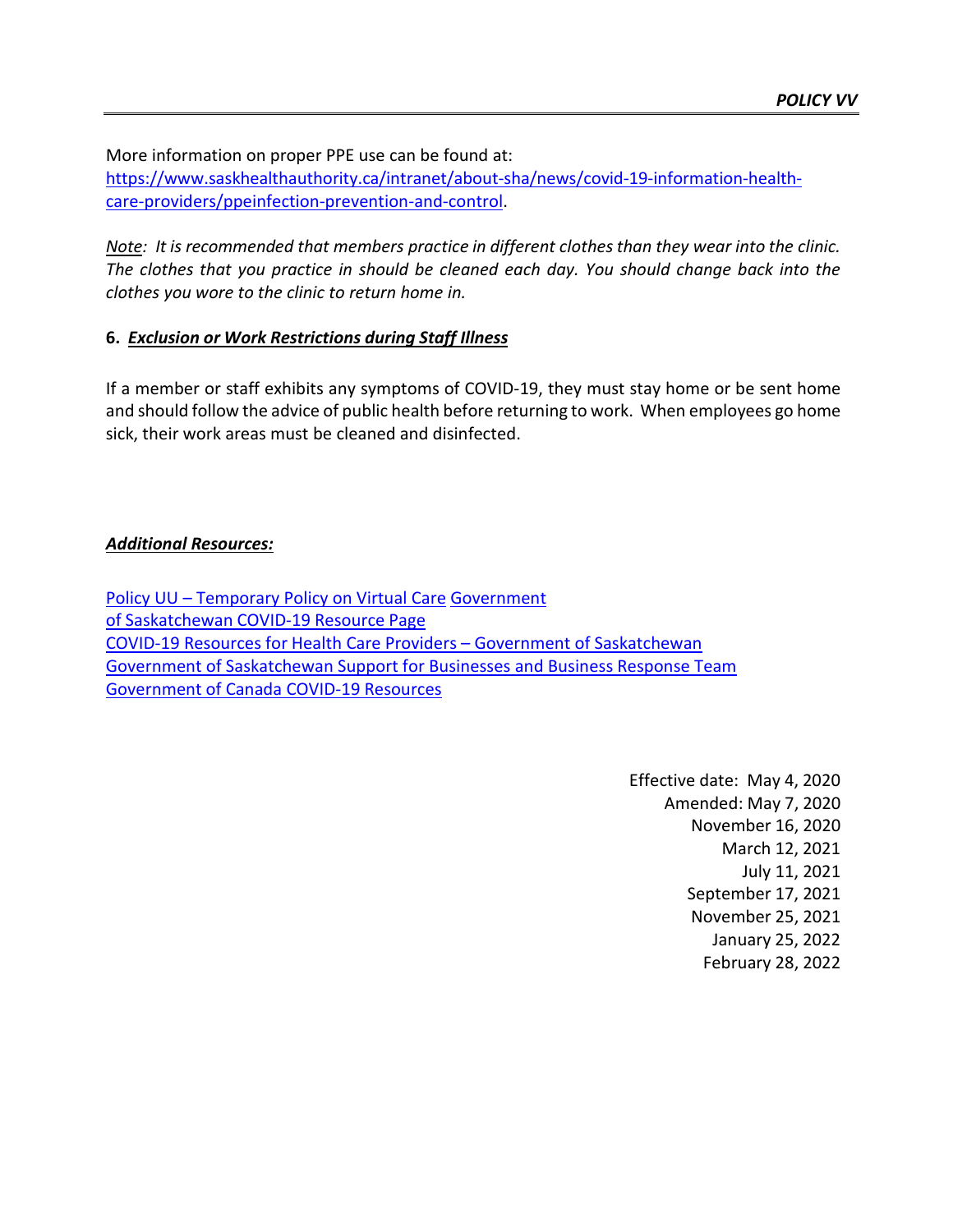More information on proper PPE use can be found at:

[https://www.saskhealthauthority.ca/intranet/about-sha/news/covid-19-information-health](https://www.saskhealthauthority.ca/intranet/about-sha/news/covid-19-information-health-care-providers/ppeinfection-prevention-and-control)[care-providers/ppeinfection-prevention-and-control.](https://www.saskhealthauthority.ca/intranet/about-sha/news/covid-19-information-health-care-providers/ppeinfection-prevention-and-control)

*Note: It is recommended that members practice in different clothes than they wear into the clinic. The clothes that you practice in should be cleaned each day. You should change back into the clothes you wore to the clinic to return home in.*

## **6.** *Exclusion or Work Restrictions during Staff Illness*

If a member or staff exhibits any symptoms of COVID-19, they must stay home or be sent home and should follow the advice of public health before returning to work. When employees go home sick, their work areas must be cleaned and disinfected.

## *Additional Resources:*

[Policy UU – Temporary Policy on Virtual C](https://saskchiro.ca/wp-content/uploads/2022/01/POLICIES-2022-1.pdf)are [Government](http://www.saskatchewan.ca/coronavirus) of [Saskatchewan](http://www.saskatchewan.ca/coronavirus) COVID-19 Resource Page [COVID-19 Resources for Health Care Providers – Government of Saskatchewan](https://www.saskatchewan.ca/government/health-care-administration-and-provider-resources/treatment-procedures-and-guidelines/emerging-public-health-issues/2019-novel-coronavirus/information-for-health-care-providers) [Government of Saskatchewan Support for Businesses and Business Response Team](https://www.saskatchewan.ca/government/health-care-administration-and-provider-resources/treatment-procedures-and-guidelines/emerging-public-health-issues/2019-novel-coronavirus/covid-19-information-for-businesses-and-workers/support-for-businesses) [Government](https://www.canada.ca/en/public-health/services/diseases/coronavirus-disease-covid-19.html) of Canada COVID-19 Resources

> Effective date: May 4, 2020 Amended: May 7, 2020 November 16, 2020 March 12, 2021 July 11, 2021 September 17, 2021 November 25, 2021 January 25, 2022 February 28, 2022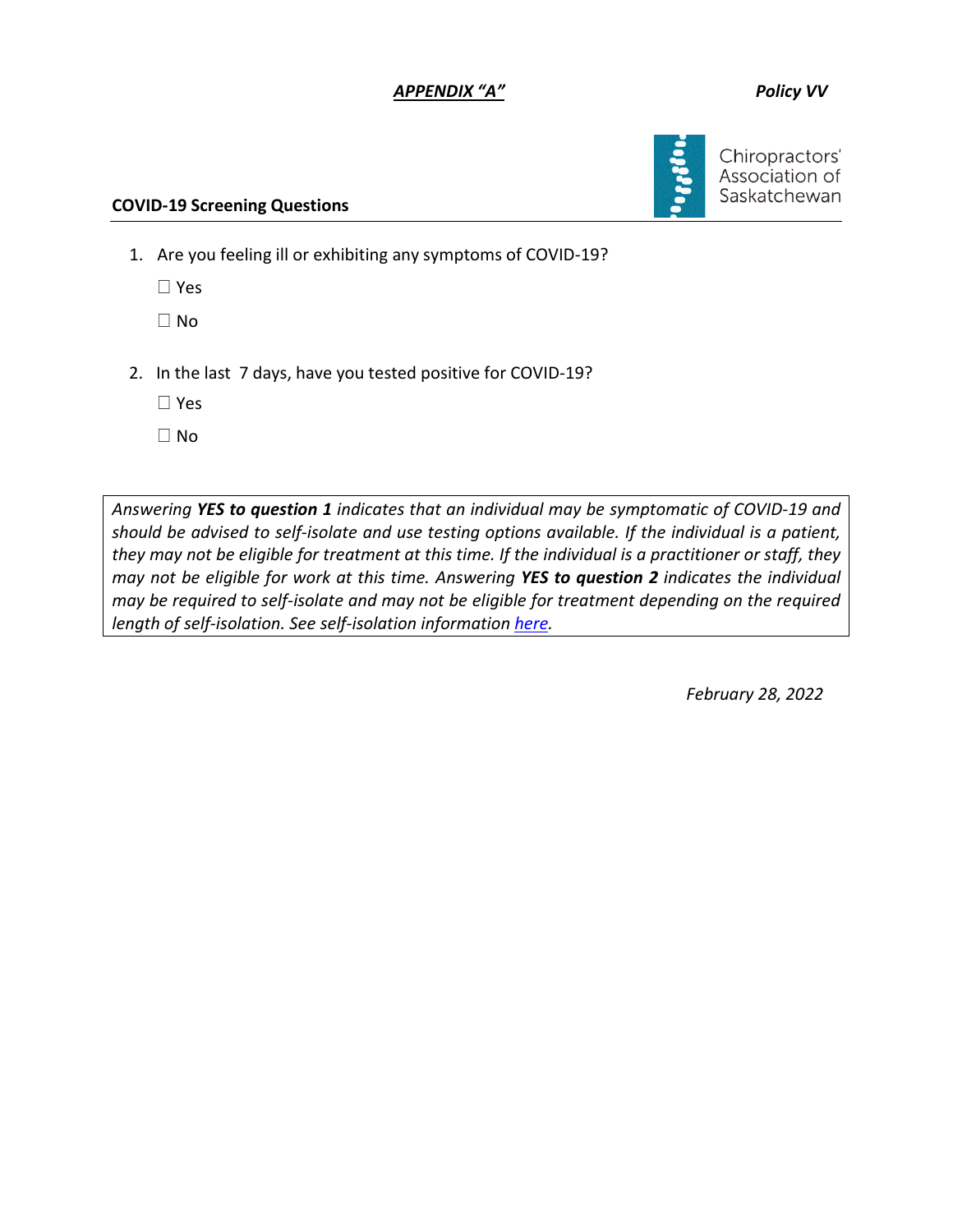## *APPENDIX "A" Policy VV*



Chiropractors' Association of Saskatchewan

#### **COVID-19 Screening Questions**

1. Are you feeling ill or exhibiting any symptoms of COVID-19?

Yes

 $\Box$  No

2. In the last 7 days, have you tested positive for COVID-19?

Yes

 $\Box$  No

*Answering YES to question 1 indicates that an individual may be symptomatic of COVID-19 and should be advised to self-isolate and use testing options available. If the individual is a patient, they may not be eligible for treatment at this time. If the individual is a practitioner or staff, they may not be eligible for work at this time. Answering YES to question 2 indicates the individual may be required to self-isolate and may not be eligible for treatment depending on the required length of self-isolation. See self-isolation informatio[n here.](https://www.saskatchewan.ca/government/health-care-administration-and-provider-resources/treatment-procedures-and-guidelines/emerging-public-health-issues/2019-novel-coronavirus/about-covid-19/self-isolation)*

*February 28, 2022*